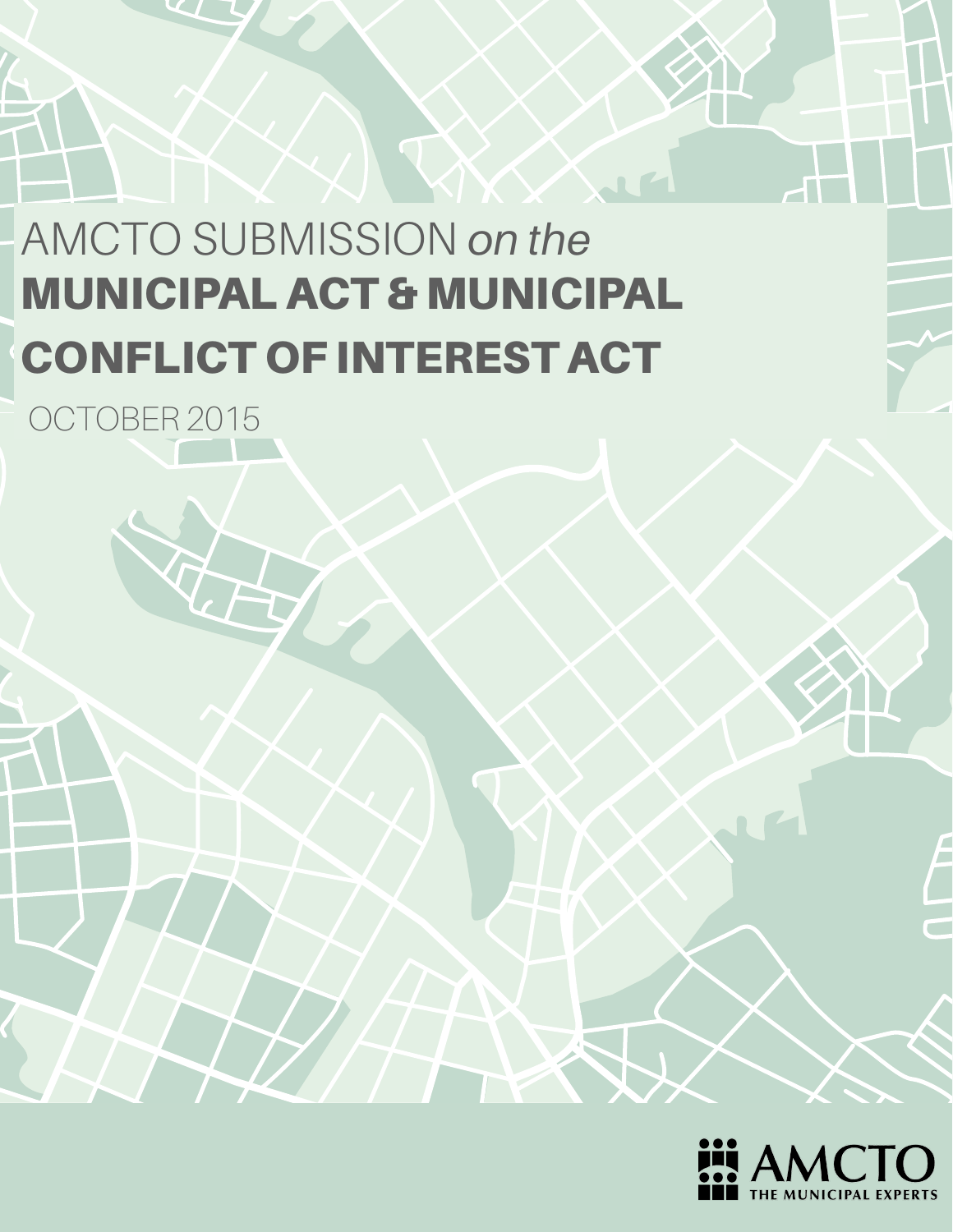# AMCTO SUBMISSION *on the* MUNICIPAL ACT & MUNICIPAL CONFLICT OF INTEREST ACT

OCTOBER 2015

A

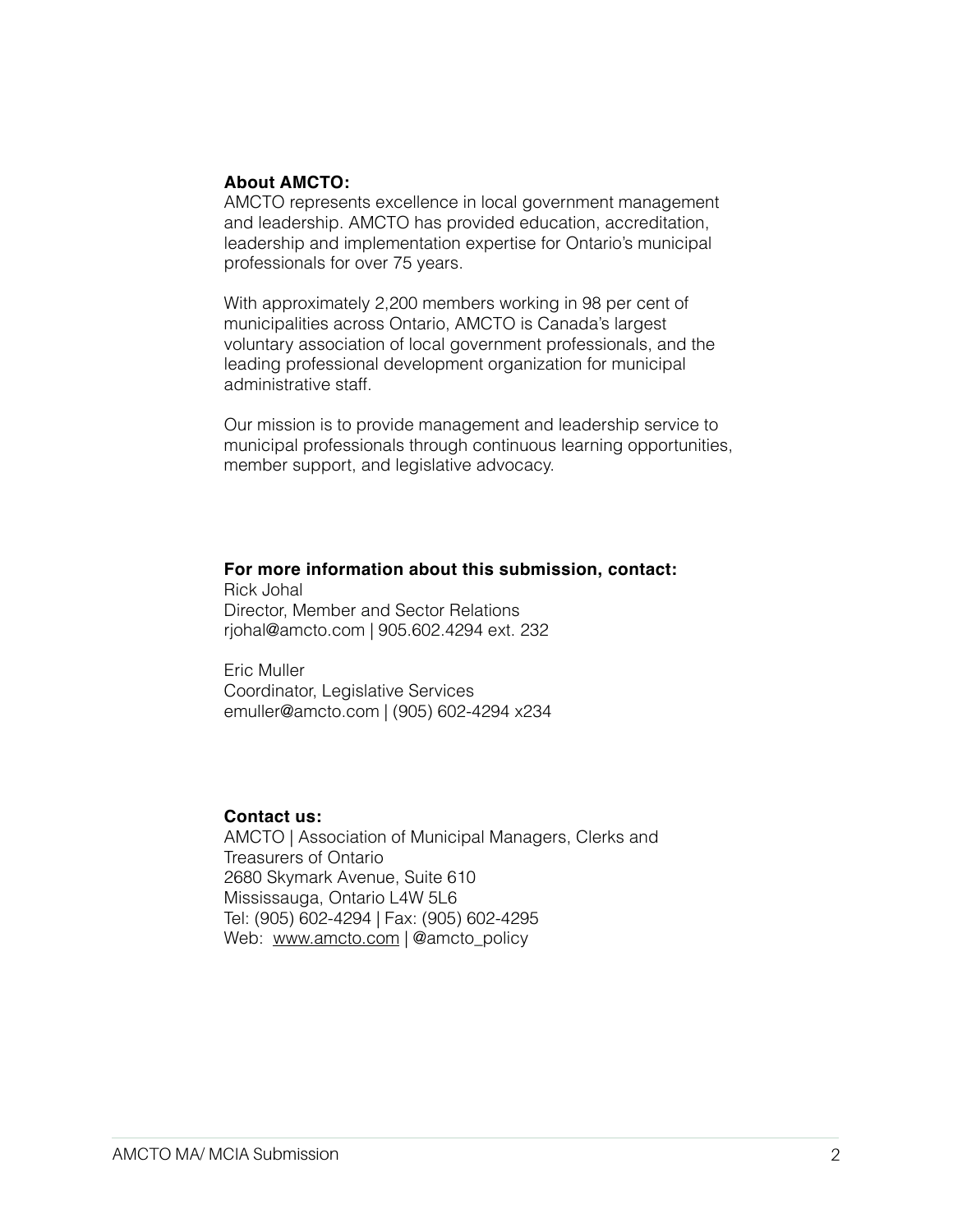#### **About AMCTO:**

AMCTO represents excellence in local government management and leadership. AMCTO has provided education, accreditation, leadership and implementation expertise for Ontario's municipal professionals for over 75 years.

With approximately 2,200 members working in 98 per cent of municipalities across Ontario, AMCTO is Canada's largest voluntary association of local government professionals, and the leading professional development organization for municipal administrative staff.

Our mission is to provide management and leadership service to municipal professionals through continuous learning opportunities, member support, and legislative advocacy.

#### **For more information about this submission, contact:**

Rick Johal Director, Member and Sector Relations rjohal@amcto.com | 905.602.4294 ext. 232

Eric Muller Coordinator, Legislative Services [emuller@amcto.com](mailto:emuller@amcto.com) | (905) 602-4294 x234

#### **Contact us:**

AMCTO | Association of Municipal Managers, Clerks and Treasurers of Ontario 2680 Skymark Avenue, Suite 610 Mississauga, Ontario L4W 5L6 Tel: (905) 602-4294 | Fax: (905) 602-4295 Web: [www.amcto.com](http://www.amcto.com) | @amcto\_policy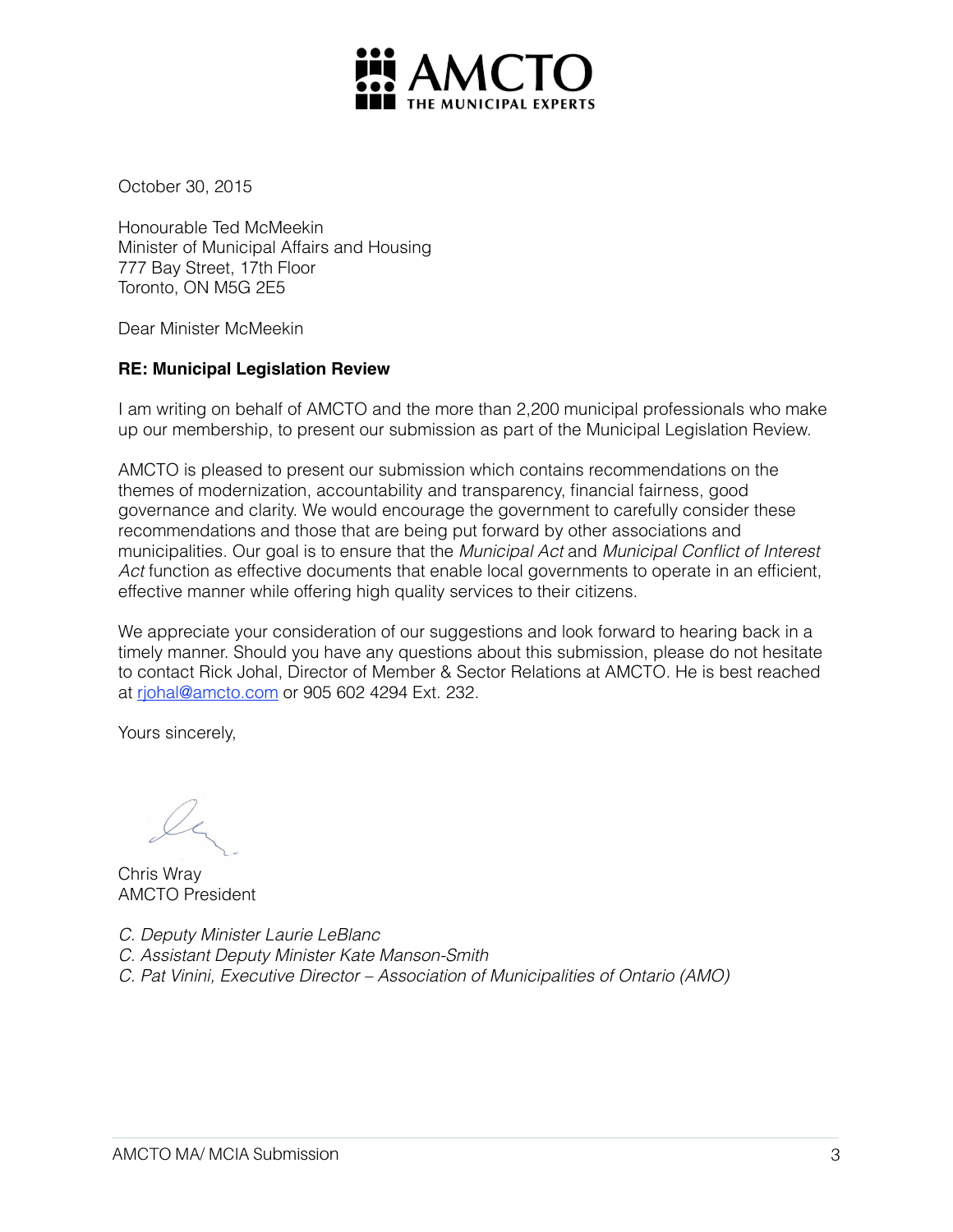

October 30, 2015

Honourable Ted McMeekin Minister of Municipal Affairs and Housing 777 Bay Street, 17th Floor Toronto, ON M5G 2E5

Dear Minister McMeekin

#### **RE: Municipal Legislation Review**

I am writing on behalf of AMCTO and the more than 2,200 municipal professionals who make up our membership, to present our submission as part of the Municipal Legislation Review.

AMCTO is pleased to present our submission which contains recommendations on the themes of modernization, accountability and transparency, financial fairness, good governance and clarity. We would encourage the government to carefully consider these recommendations and those that are being put forward by other associations and municipalities. Our goal is to ensure that the *Municipal Act* and *Municipal Conflict of Interest*  Act function as effective documents that enable local governments to operate in an efficient, effective manner while offering high quality services to their citizens.

We appreciate your consideration of our suggestions and look forward to hearing back in a timely manner. Should you have any questions about this submission, please do not hesitate to contact Rick Johal, Director of Member & Sector Relations at AMCTO. He is best reached at [rjohal@amcto.com](mailto:rjohal@amcto.com) or 905 602 4294 Ext. 232.

Yours sincerely,

Chris Wray AMCTO President

*C. Deputy Minister Laurie LeBlanc*

- *C. Assistant Deputy Minister Kate Manson-Smith*
- *C. Pat Vinini, Executive Director Association of Municipalities of Ontario (AMO)*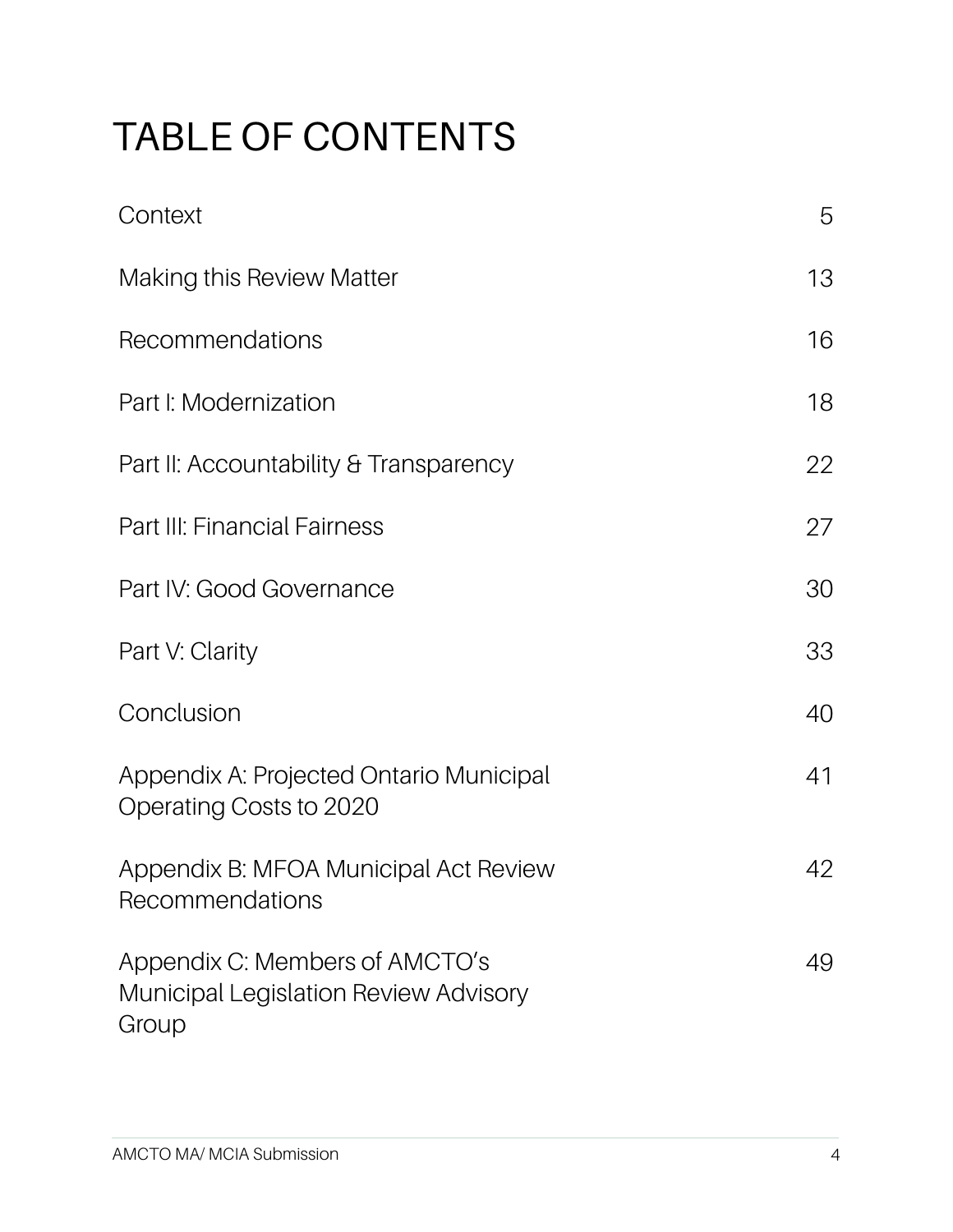## TABLE OF CONTENTS

| Context                                                                                 | 5  |
|-----------------------------------------------------------------------------------------|----|
| <b>Making this Review Matter</b>                                                        | 13 |
| Recommendations                                                                         | 16 |
| Part I: Modernization                                                                   | 18 |
| Part II: Accountability & Transparency                                                  | 22 |
| Part III: Financial Fairness                                                            | 27 |
| Part IV: Good Governance                                                                | 30 |
| Part V: Clarity                                                                         | 33 |
| Conclusion                                                                              | 40 |
| Appendix A: Projected Ontario Municipal<br>Operating Costs to 2020                      | 41 |
| Appendix B: MFOA Municipal Act Review<br>Recommendations                                | 42 |
| Appendix C: Members of AMCTO's<br><b>Municipal Legislation Review Advisory</b><br>Group | 49 |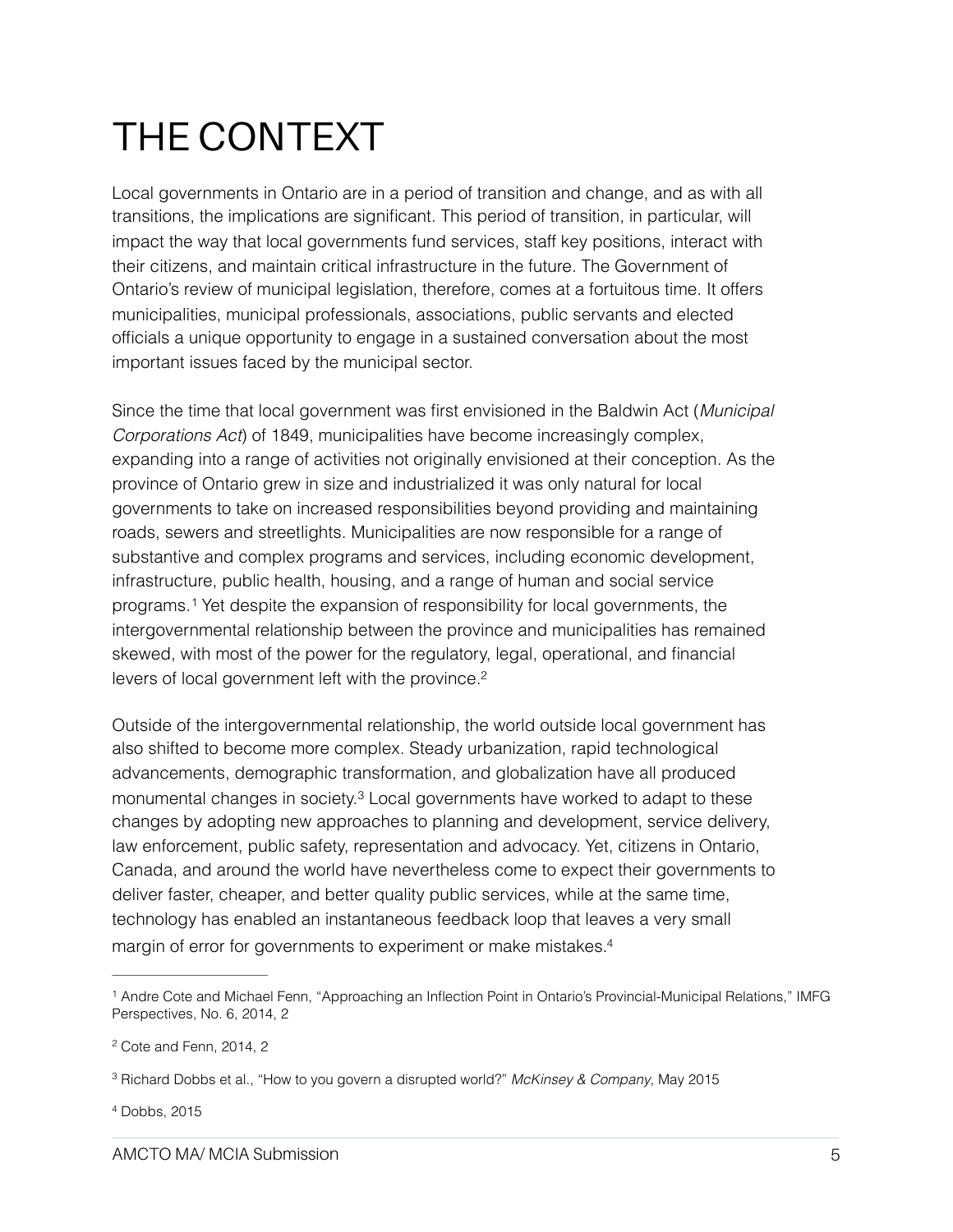## THE CONTEXT

Local governments in Ontario are in a period of transition and change, and as with all transitions, the implications are significant. This period of transition, in particular, will impact the way that local governments fund services, staff key positions, interact with their citizens, and maintain critical infrastructure in the future. The Government of Ontario's review of municipal legislation, therefore, comes at a fortuitous time. It offers municipalities, municipal professionals, associations, public servants and elected officials a unique opportunity to engage in a sustained conversation about the most important issues faced by the municipal sector.

Since the time that local government was first envisioned in the Baldwin Act (*Municipal Corporations Act*) of 1849, municipalities have become increasingly complex, expanding into a range of activities not originally envisioned at their conception. As the province of Ontario grew in size and industrialized it was only natural for local governments to take on increased responsibilities beyond providing and maintaining roads, sewers and streetlights. Municipalities are now responsible for a range of substantive and complex programs and services, including economic development, infrastructure, public health, housing, and a range of human and social service programs.Yet despite the expansion of responsibility for local governments, the [1](#page-4-0) intergovernmental relationship between the province and municipalities has remained skewed, with most of the power for the regulatory, legal, operational, and financial levers of local government left with the province[.2](#page-4-1)

<span id="page-4-6"></span><span id="page-4-5"></span><span id="page-4-4"></span>Outside of the intergovernmental relationship, the world outside local government has also shifted to become more complex. Steady urbanization, rapid technological advancements, demographic transformation, and globalization have all produced monumental changes in society.<sup>[3](#page-4-2)</sup> Local governments have worked to adapt to these changes by adopting new approaches to planning and development, service delivery, law enforcement, public safety, representation and advocacy. Yet, citizens in Ontario, Canada, and around the world have nevertheless come to expect their governments to deliver faster, cheaper, and better quality public services, while at the same time, technology has enabled an instantaneous feedback loop that leaves a very small margin of error for governments to experiment or make mistakes[.4](#page-4-3)

<span id="page-4-3"></span> $4$  Dobbs, 2015

<span id="page-4-7"></span><span id="page-4-0"></span><sup>&</sup>lt;sup>[1](#page-4-4)</sup> Andre Cote and Michael Fenn, "Approaching an Inflection Point in Ontario's Provincial-Municipal Relations," IMFG Perspectives, No. 6, 2014, 2

<span id="page-4-1"></span><sup>&</sup>lt;sup>[2](#page-4-5)</sup> Cote and Fenn, 2014, 2

<span id="page-4-2"></span><sup>&</sup>lt;sup>[3](#page-4-6)</sup> Richard Dobbs et al., "How to you govern a disrupted world?" *McKinsey & Company*, May 2015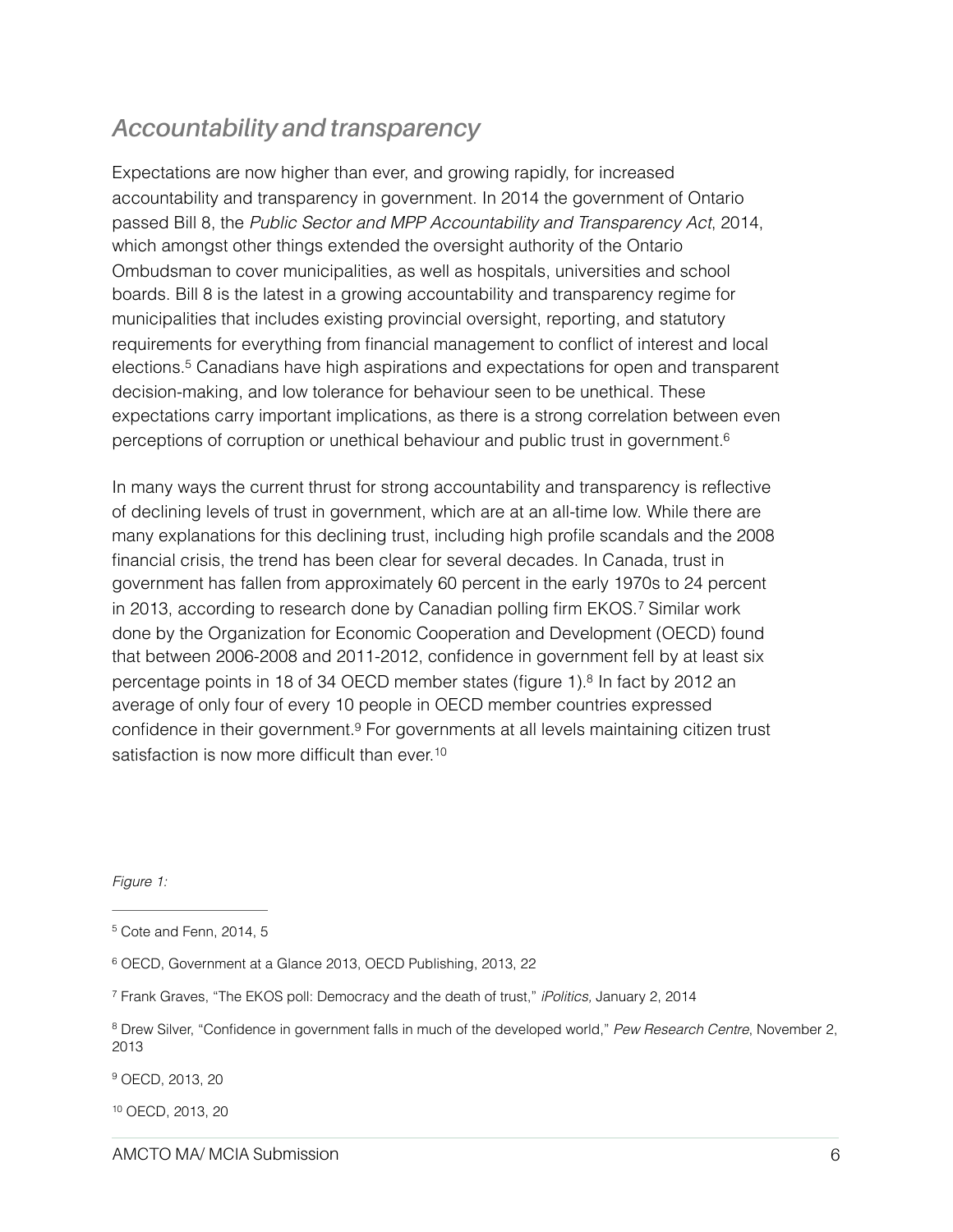### *Accountability and transparency*

Expectations are now higher than ever, and growing rapidly, for increased accountability and transparency in government. In 2014 the government of Ontario passed Bill 8, the *Public Sector and MPP Accountability and Transparency Act*, 2014, which amongst other things extended the oversight authority of the Ontario Ombudsman to cover municipalities, as well as hospitals, universities and school boards. Bill 8 is the latest in a growing accountability and transparency regime for municipalities that includes existing provincial oversight, reporting, and statutory requirements for everything from financial management to conflict of interest and local elections[.](#page-5-0)<sup>[5](#page-5-0)</sup> Canadians have high aspirations and expectations for open and transparent decision-making, and low tolerance for behaviour seen to be unethical. These expectations carry important implications, as there is a strong correlation between even perceptions of corruption or unethical behaviour and public trust in government[.6](#page-5-1)

<span id="page-5-8"></span><span id="page-5-7"></span><span id="page-5-6"></span>In many ways the current thrust for strong accountability and transparency is reflective of declining levels of trust in government, which are at an all-time low. While there are many explanations for this declining trust, including high profile scandals and the 2008 financial crisis, the trend has been clear for several decades. In Canada, trust in government has fallen from approximately 60 percent in the early 1970s to 24 percent in2013, according to research done by Canadian polling firm EKOS.<sup>[7](#page-5-2)</sup> Similar work done by the Organization for Economic Cooperation and Development (OECD) found that between 2006-2008 and 2011-2012, confidence in government fell by at least six percentage points in 18 of 34 OECD member states (figure 1)[.](#page-5-3) $8$  In fact by 2012 an average of only four of every 10 people in OECD member countries expressed confidence in their government[.](#page-5-4)<sup>[9](#page-5-4)</sup> For governments at all levels maintaining citizen trust satisfaction is now more difficult than ever.<sup>10</sup>

<span id="page-5-11"></span><span id="page-5-10"></span><span id="page-5-9"></span>*Figure 1:*

<span id="page-5-4"></span><sup>[9](#page-5-10)</sup> OECD, 2013, 20

<span id="page-5-5"></span><sup>[10](#page-5-11)</sup> OECD, 2013, 20

<span id="page-5-0"></span> $5$  Cote and Fenn, 2014, 5

<span id="page-5-1"></span><sup>&</sup>lt;sup>[6](#page-5-7)</sup> OECD, Government at a Glance 2013, OECD Publishing, 2013, 22

<span id="page-5-2"></span>Frank Graves, "The EKOS poll: Democracy and the death of trust," *iPolitics,* January 2, 2014 [7](#page-5-8)

<span id="page-5-3"></span><sup>&</sup>lt;sup>[8](#page-5-9)</sup> Drew Silver, "Confidence in government falls in much of the developed world," Pew Research Centre, November 2, 2013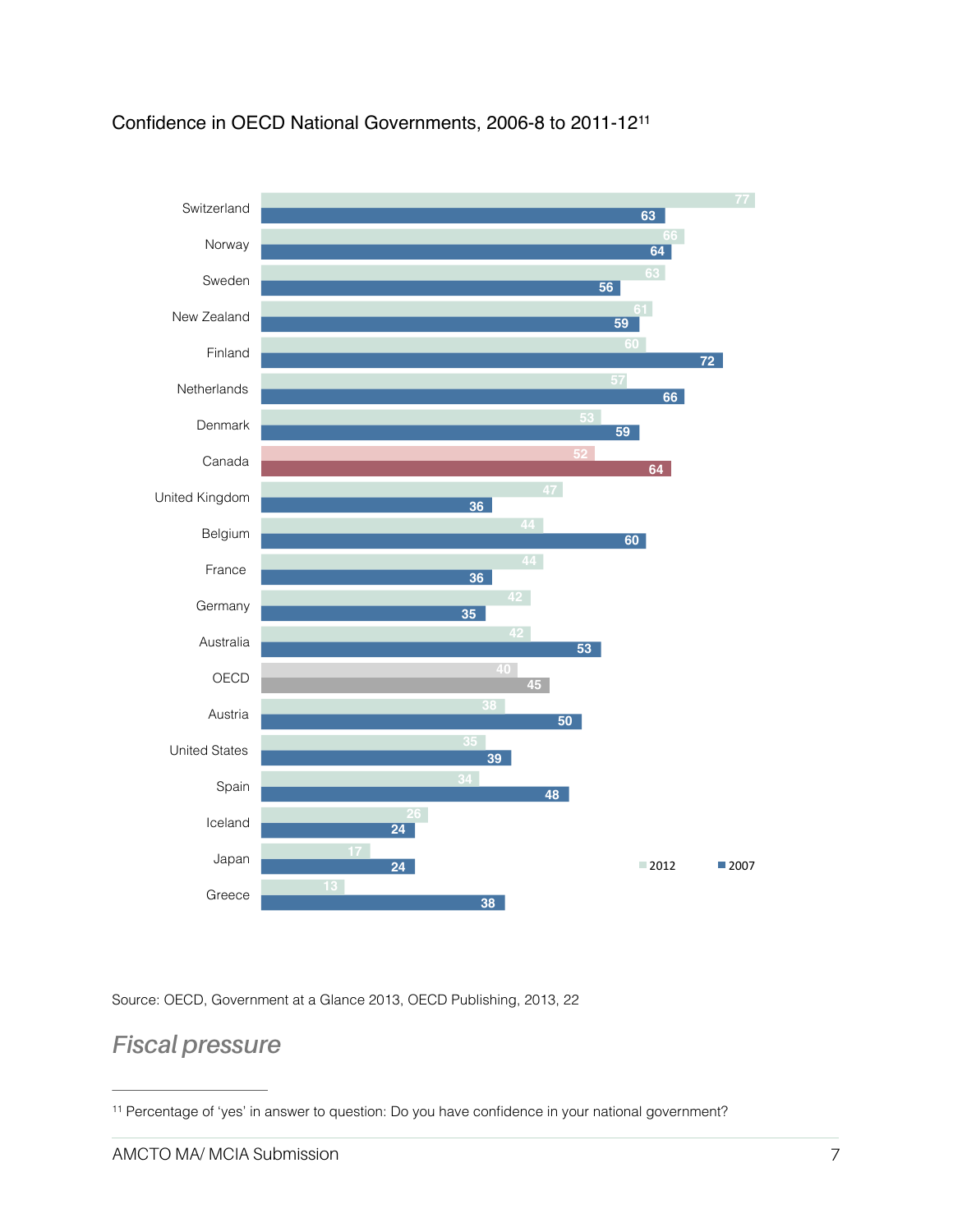

### <span id="page-6-1"></span>Confidence in OECD National Governments, 2006-8 to 2011-12[11](#page-6-0)

**38 24 24 48 39 50 17 34** Greece Japan Iceland Spain United States Austria  $\blacksquare$  2012  $\blacksquare$  2007

Source: OECD, Government at a Glance 2013, OECD Publishing, 2013, 22

### *Fiscal pressure*

<span id="page-6-0"></span><sup>&</sup>lt;sup>[11](#page-6-1)</sup> Percentage of 'yes' in answer to question: Do you have confidence in your national government?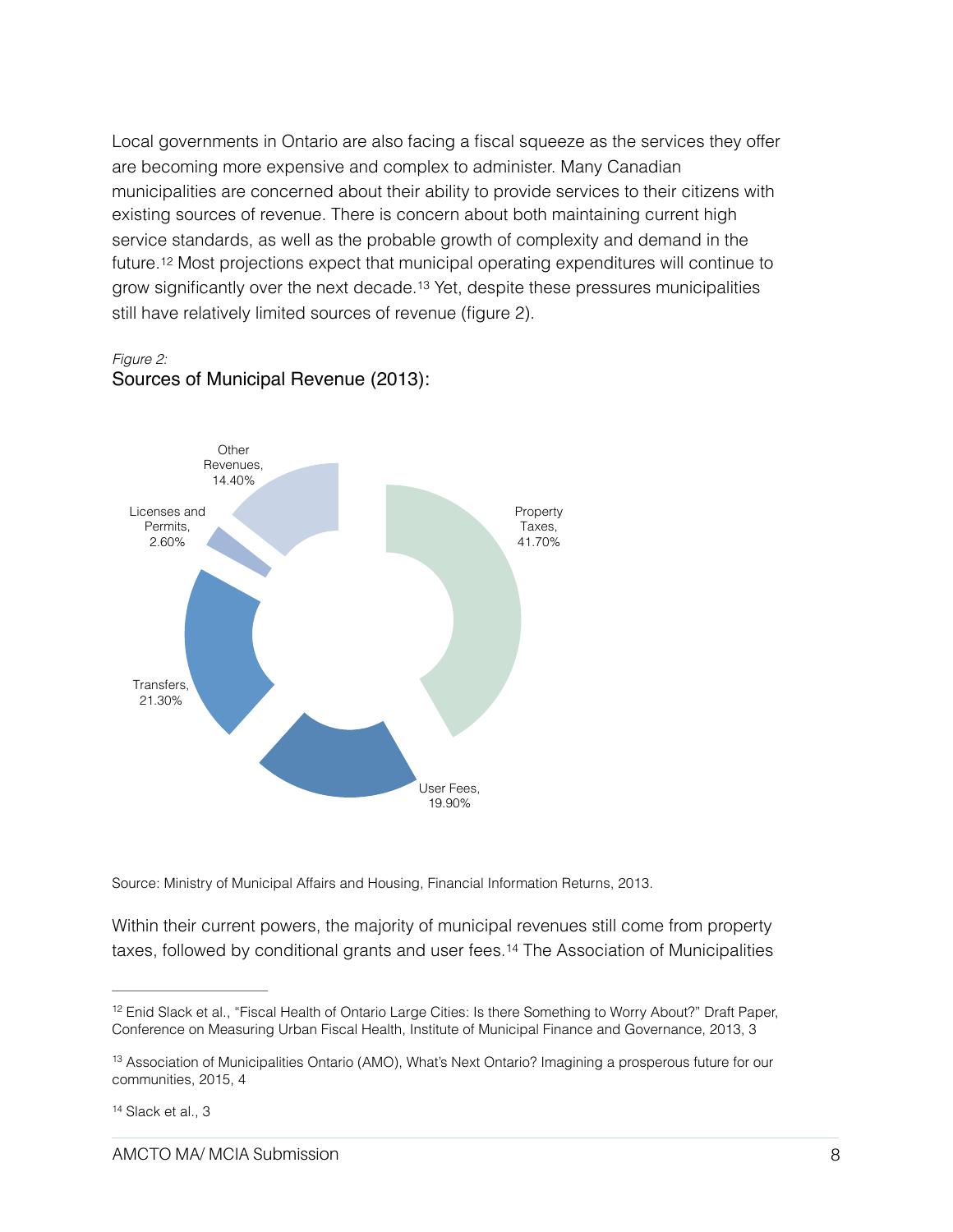Local governments in Ontario are also facing a fiscal squeeze as the services they offer are becoming more expensive and complex to administer. Many Canadian municipalities are concerned about their ability to provide services to their citizens with existing sources of revenue. There is concern about both maintaining current high service standards, as well as the probable growth of complexity and demand in the future.[12](#page-7-0) Most projections expect that municipal operating expenditures will continue to grow significantly over the next decade[.](#page-7-1)<sup>[13](#page-7-1)</sup> Yet, despite these pressures municipalities still have relatively limited sources of revenue (figure 2).

<span id="page-7-4"></span><span id="page-7-3"></span>*Figure 2:*  Sources of Municipal Revenue (2013):



Source: Ministry of Municipal Affairs and Housing, Financial Information Returns, 2013.

<span id="page-7-5"></span>Within their current powers, the majority of municipal revenues still come from property taxes, followed by conditional grants and user fees[.](#page-7-2)<sup>[14](#page-7-2)</sup> The Association of Municipalities

<span id="page-7-0"></span><sup>&</sup>lt;sup>12</sup>Enid Slack et al., "Fiscal Health of Ontario Large Cities: Is there Something to Worry About?" Draft Paper, Conference on Measuring Urban Fiscal Health, Institute of Municipal Finance and Governance, 2013, 3

<span id="page-7-1"></span><sup>&</sup>lt;sup>13</sup>Association of Municipalities Ontario (AMO), What's Next Ontario? Imagining a prosperous future for our communities, 2015, 4

<span id="page-7-2"></span> $14$  Slack et al., 3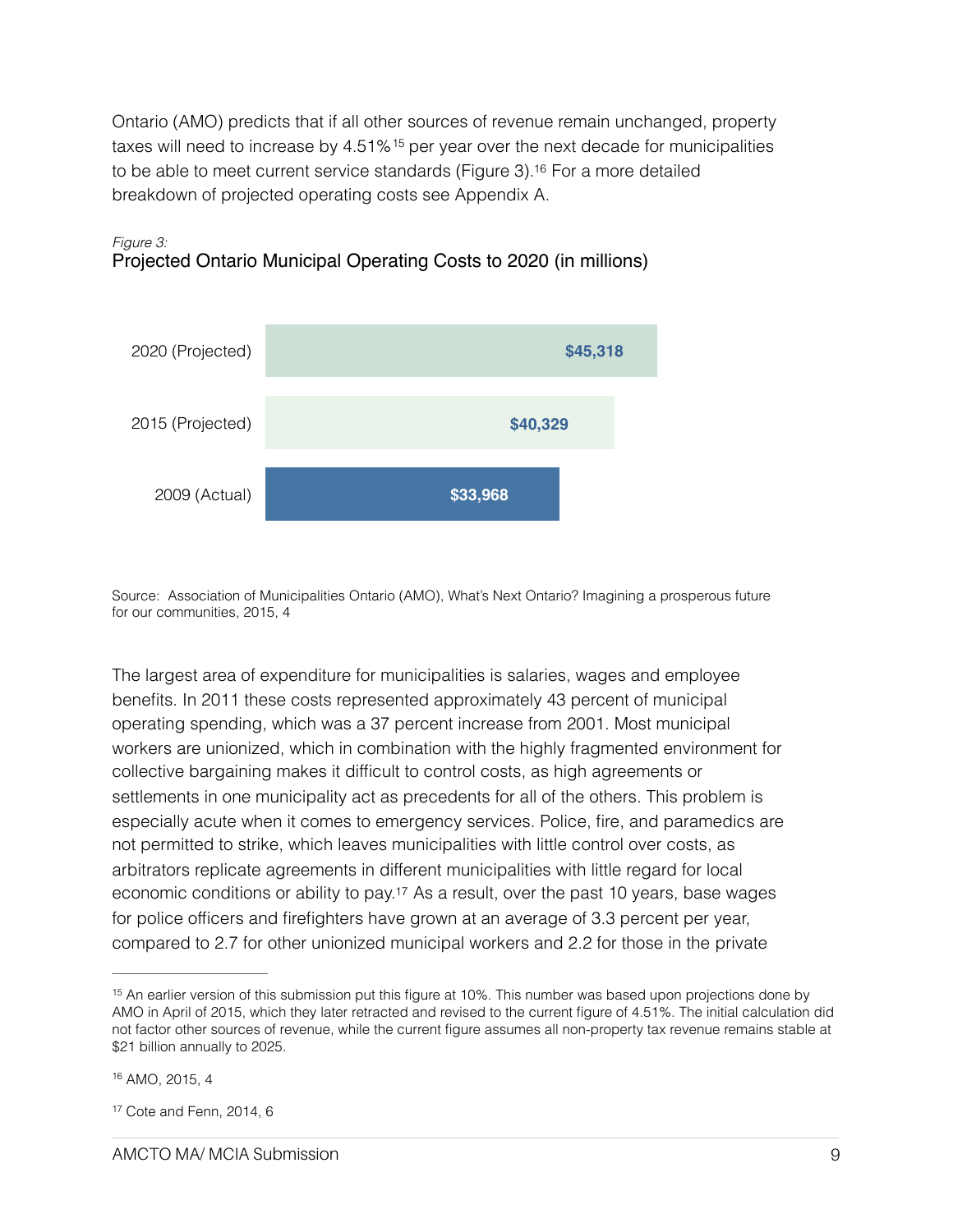<span id="page-8-4"></span><span id="page-8-3"></span>Ontario (AMO) predicts that if all other sources of revenue remain unchanged, property taxeswill need to increase by  $4.51\%$ <sup>[15](#page-8-0)</sup> per year over the next decade for municipalities to be able to meet current service standards (Figure 3).<sup>[16](#page-8-1)</sup> For a more detailed breakdown of projected operating costs see Appendix A.



#### *Figure 3:* Projected Ontario Municipal Operating Costs to 2020 (in millions)

Source: Association of Municipalities Ontario (AMO), What's Next Ontario? Imagining a prosperous future for our communities, 2015, 4

The largest area of expenditure for municipalities is salaries, wages and employee benefits. In 2011 these costs represented approximately 43 percent of municipal operating spending, which was a 37 percent increase from 2001. Most municipal workers are unionized, which in combination with the highly fragmented environment for collective bargaining makes it difficult to control costs, as high agreements or settlements in one municipality act as precedents for all of the others. This problem is especially acute when it comes to emergency services. Police, fire, and paramedics are not permitted to strike, which leaves municipalities with little control over costs, as arbitrators replicate agreements in different municipalities with little regard for local economic conditions or ability to pay[.17](#page-8-2) As a result, over the past 10 years, base wages for police officers and firefighters have grown at an average of 3.3 percent per year, compared to 2.7 for other unionized municipal workers and 2.2 for those in the private

<span id="page-8-5"></span><span id="page-8-0"></span> $15$  An earlier version of this submission put this figure at 10%. This number was based upon projections done by AMO in April of 2015, which they later retracted and revised to the current figure of 4.51%. The initial calculation did not factor other sources of revenue, while the current figure assumes all non-property tax revenue remains stable at \$21 billion annually to 2025.

<span id="page-8-1"></span><sup>&</sup>lt;sup>[16](#page-8-4)</sup> AMO, 2015, 4

<span id="page-8-2"></span> $17$ Cote and Fenn, 2014, 6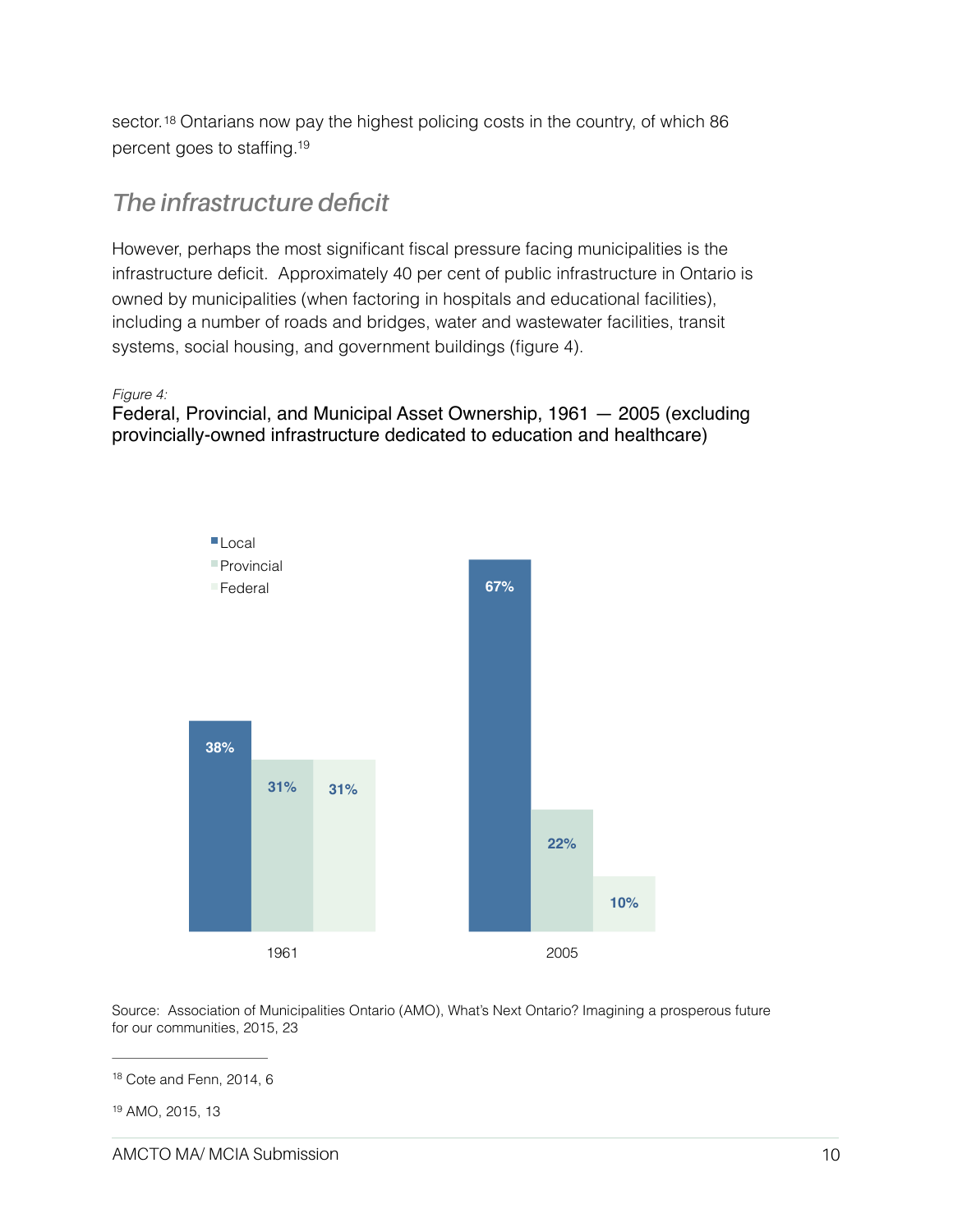<span id="page-9-2"></span>sector.<sup>18</sup> Ontarians now pay the highest policing costs in the country, of which 86 percent goes to staffing[.19](#page-9-1)

### <span id="page-9-3"></span>*The infrastructure deficit*

However, perhaps the most significant fiscal pressure facing municipalities is the infrastructure deficit. Approximately 40 per cent of public infrastructure in Ontario is owned by municipalities (when factoring in hospitals and educational facilities), including a number of roads and bridges, water and wastewater facilities, transit systems, social housing, and government buildings (figure 4).

#### *Figure 4:*

Federal, Provincial, and Municipal Asset Ownership, 1961 — 2005 (excluding provincially-owned infrastructure dedicated to education and healthcare)



Source: Association of Municipalities Ontario (AMO), What's Next Ontario? Imagining a prosperous future for our communities, 2015, 23

<span id="page-9-0"></span> $18$  Cote and Fenn, 2014, 6

<span id="page-9-1"></span><sup>&</sup>lt;sup>[19](#page-9-3)</sup> AMO, 2015, 13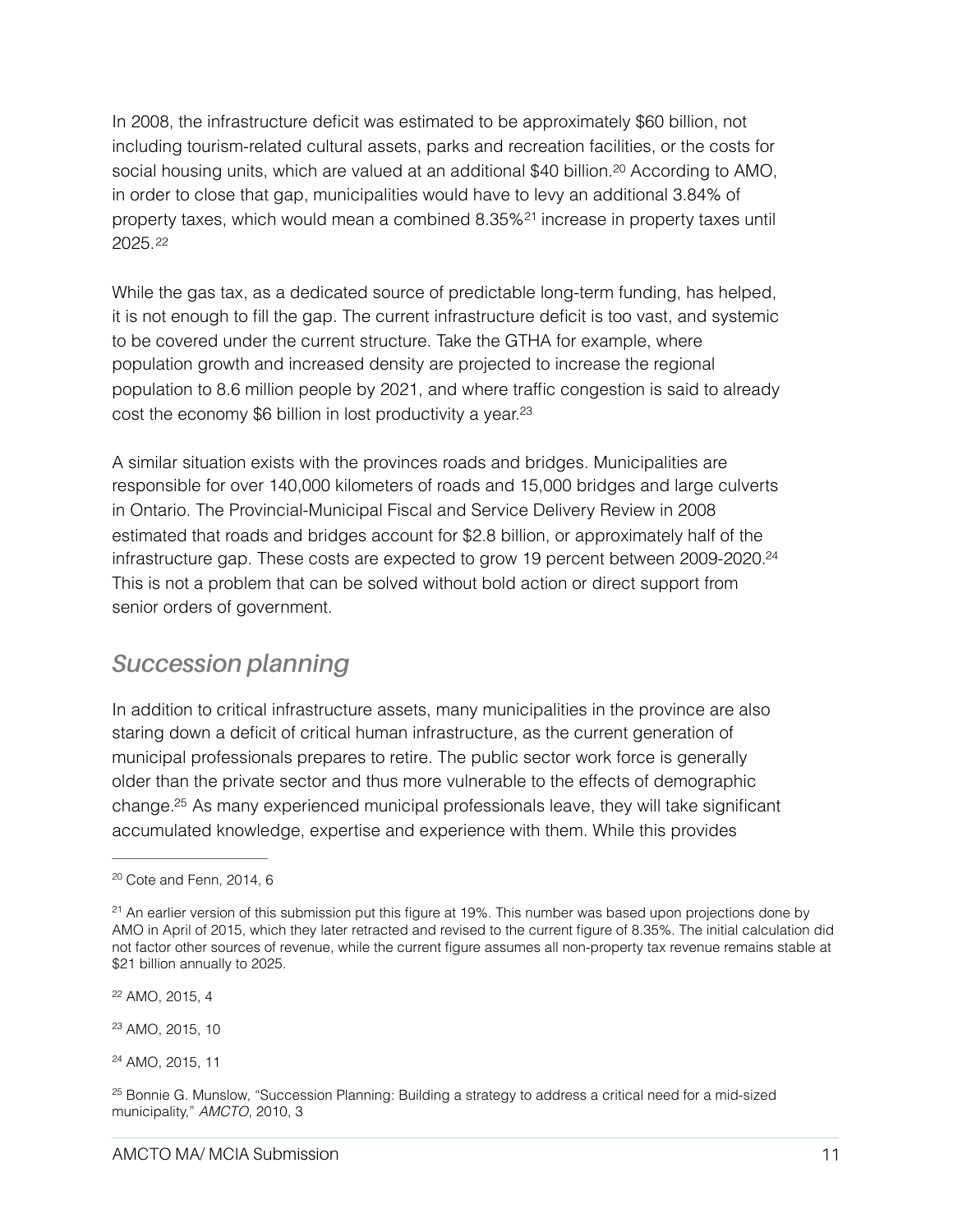<span id="page-10-6"></span>In 2008, the infrastructure deficit was estimated to be approximately \$60 billion, not including tourism-related cultural assets, parks and recreation facilities, or the costs for social housing units, which are valued at an additional \$40 billion.<sup>[20](#page-10-0)</sup> According to AMO, in order to close that gap, municipalities would have to levy an additional 3.84% of propertytaxes, which would mean a combined  $8.35\%$ <sup>[21](#page-10-1)</sup> increase in property taxes until 2025.[22](#page-10-2)

<span id="page-10-8"></span><span id="page-10-7"></span>While the gas tax, as a dedicated source of predictable long-term funding, has helped, it is not enough to fill the gap. The current infrastructure deficit is too vast, and systemic to be covered under the current structure. Take the GTHA for example, where population growth and increased density are projected to increase the regional population to 8.6 million people by 2021, and where traffic congestion is said to already cost the economy \$6 billion in lost productivity a year[.23](#page-10-3)

<span id="page-10-9"></span>A similar situation exists with the provinces roads and bridges. Municipalities are responsible for over 140,000 kilometers of roads and 15,000 bridges and large culverts in Ontario. The Provincial-Municipal Fiscal and Service Delivery Review in 2008 estimated that roads and bridges account for \$2.8 billion, or approximately half of the infrastructure gap. These costs are expected to grow 19 percent between 2009-2020[.24](#page-10-4) This is not a problem that can be solved without bold action or direct support from senior orders of government.

### <span id="page-10-10"></span>*Succession planning*

In addition to critical infrastructure assets, many municipalities in the province are also staring down a deficit of critical human infrastructure, as the current generation of municipal professionals prepares to retire. The public sector work force is generally older than the private sector and thus more vulnerable to the effects of demographic change[.](#page-10-5)<sup>[25](#page-10-5)</sup> As many experienced municipal professionals leave, they will take significant accumulated knowledge, expertise and experience with them. While this provides

<span id="page-10-2"></span><sup>[22](#page-10-8)</sup> AMO, 2015, 4

<span id="page-10-3"></span><sup>[23](#page-10-9)</sup> AMO, 2015, 10

<span id="page-10-4"></span><sup>[24](#page-10-10)</sup> AMO, 2015, 11

<span id="page-10-11"></span><span id="page-10-0"></span> $20$  Cote and Fenn, 2014, 6

<span id="page-10-1"></span> $21$ An earlier version of this submission put this figure at 19%. This number was based upon projections done by AMO in April of 2015, which they later retracted and revised to the current figure of 8.35%. The initial calculation did not factor other sources of revenue, while the current figure assumes all non-property tax revenue remains stable at \$21 billion annually to 2025.

<span id="page-10-5"></span><sup>&</sup>lt;sup>25</sup>Bonnie G. Munslow, "Succession Planning: Building a strategy to address a critical need for a mid-sized municipality," *AMCTO,* 2010, 3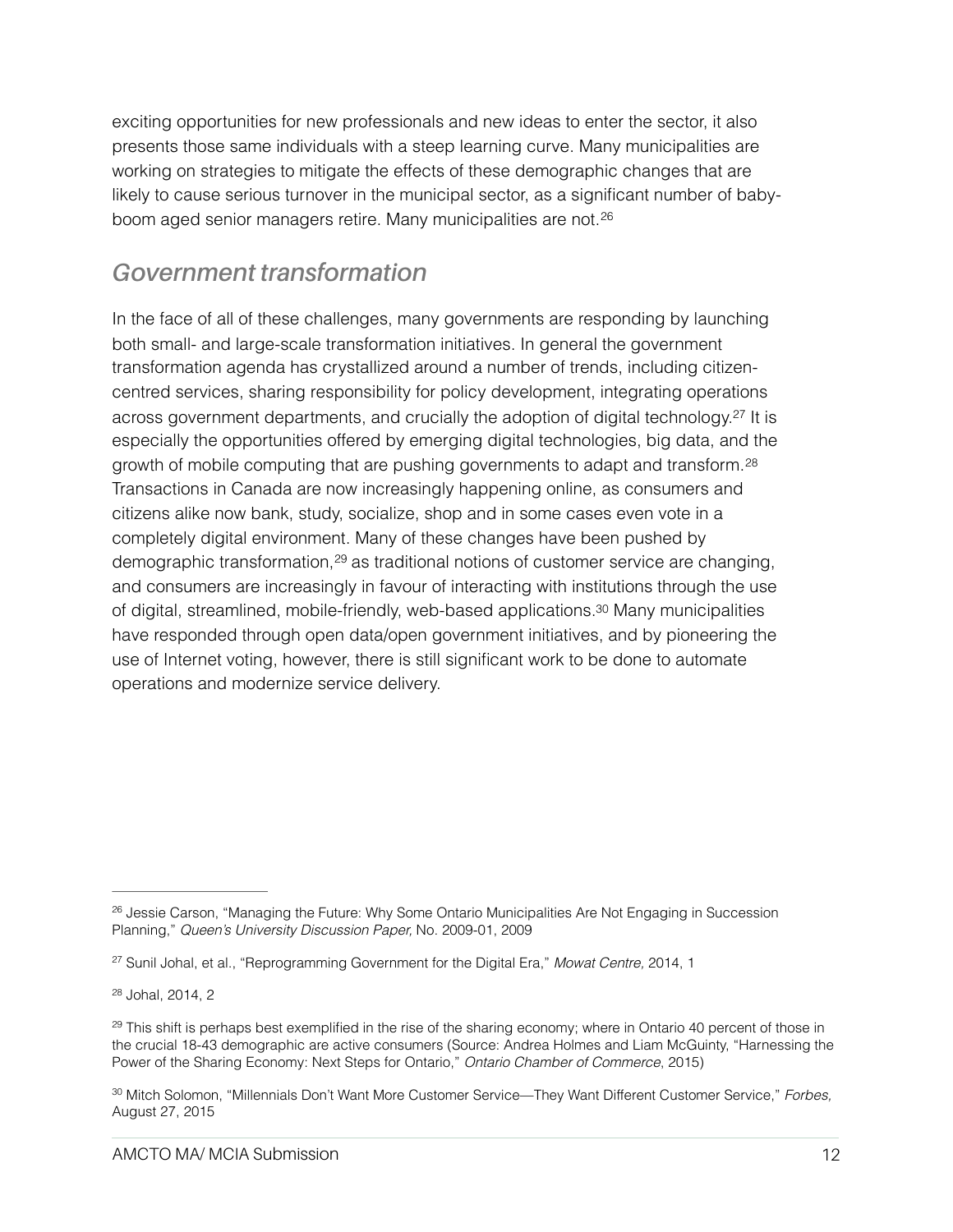exciting opportunities for new professionals and new ideas to enter the sector, it also presents those same individuals with a steep learning curve. Many municipalities are working on strategies to mitigate the effects of these demographic changes that are likely to cause serious turnover in the municipal sector, as a significant number of babyboom aged senior managers retire. Many municipalities are not.[26](#page-11-0)

### <span id="page-11-5"></span>*Government transformation*

<span id="page-11-8"></span><span id="page-11-7"></span><span id="page-11-6"></span>In the face of all of these challenges, many governments are responding by launching both small- and large-scale transformation initiatives. In general the government transformation agenda has crystallized around a number of trends, including citizencentred services, sharing responsibility for policy development, integrating operations across government departments, and crucially the adoption of digital technology[.](#page-11-1)<sup>[27](#page-11-1)</sup> It is especially the opportunities offered by emerging digital technologies, big data, and the growth of mobile computing that are pushing governments to adapt and transform.[28](#page-11-2) Transactions in Canada are now increasingly happening online, as consumers and citizens alike now bank, study, socialize, shop and in some cases even vote in a completely digital environment. Many of these changes have been pushed by demographictransformation, <sup>[29](#page-11-3)</sup> as traditional notions of customer service are changing, and consumers are increasingly in favour of interacting with institutions through the use of digital, streamlined, mobile-friendly, web-based applications[.30](#page-11-4) Many municipalities have responded through open data/open government initiatives, and by pioneering the use of Internet voting, however, there is still significant work to be done to automate operations and modernize service delivery.

<span id="page-11-9"></span><span id="page-11-0"></span><sup>&</sup>lt;sup>26</sup>Jessie Carson, "Managing the Future: Why Some Ontario Municipalities Are Not Engaging in Succession Planning," *Queen's University Discussion Paper,* No. 2009-01, 2009

<span id="page-11-1"></span><sup>&</sup>lt;sup>[27](#page-11-6)</sup> Sunil Johal, et al., "Reprogramming Government for the Digital Era," *Mowat Centre*, 2014, 1

<span id="page-11-2"></span><sup>&</sup>lt;sup>[28](#page-11-7)</sup> Johal, 2014, 2

<span id="page-11-3"></span> $29$ This shift is perhaps best exemplified in the rise of the sharing economy; where in Ontario 40 percent of those in the crucial 18-43 demographic are active consumers (Source: Andrea Holmes and Liam McGuinty, "Harnessing the Power of the Sharing Economy: Next Steps for Ontario," *Ontario Chamber of Commerce*, 2015)

<span id="page-11-4"></span>[<sup>30</sup>](#page-11-9) Mitch Solomon, "Millennials Don't Want More Customer Service—They Want Different Customer Service," *Forbes*, August 27, 2015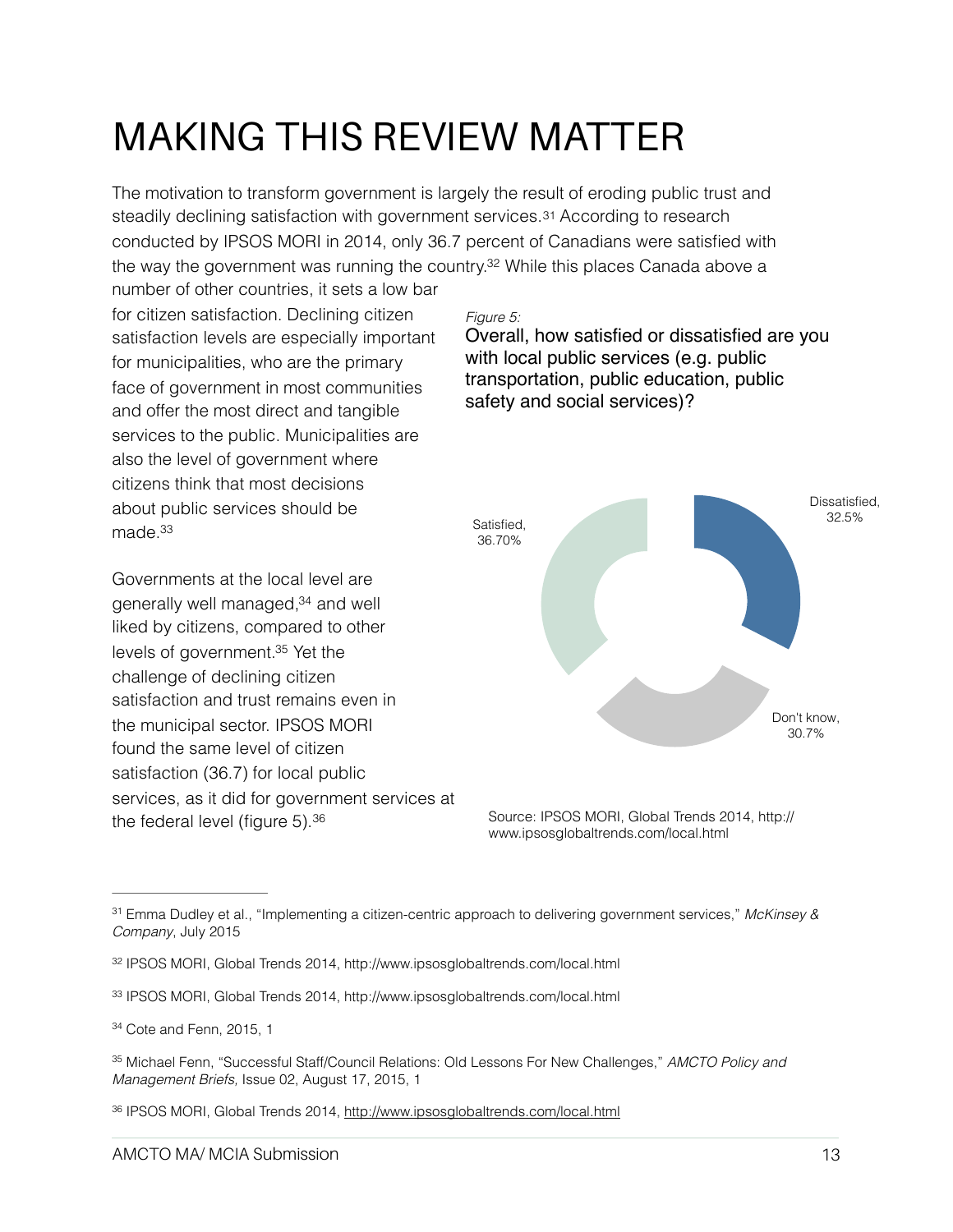## MAKING THIS REVIEW MATTER

The motivation to transform government is largely the result of eroding public trust and steadily declining satisfaction with government services[.31](#page-12-0) According to research conducted by IPSOS MORI in 2014, only 36.7 percent of Canadians were satisfied with the way the government was running the country.<sup>32</sup> While this places Canada above a

number of other countries, it sets a low bar for citizen satisfaction. Declining citizen satisfaction levels are especially important for municipalities, who are the primary face of government in most communities and offer the most direct and tangible services to the public. Municipalities are also the level of government where citizens think that most decisions about public services should be made[.33](#page-12-2)

<span id="page-12-10"></span><span id="page-12-9"></span><span id="page-12-8"></span>Governments at the local level are generally well managed,<sup>[34](#page-12-3)</sup> and well liked by citizens, compared to other levels of government.<sup>[35](#page-12-4)</sup> Yet the challenge of declining citizen satisfaction and trust remains even in the municipal sector. IPSOS MORI found the same level of citizen satisfaction (36.7) for local public services, as it did for government services at the federal level (figure 5).[36](#page-12-5)

### <span id="page-12-7"></span><span id="page-12-6"></span>*Figure 5:*

Overall, how satisfied or dissatisfied are you with local public services (e.g. public transportation, public education, public safety and social services)?



<span id="page-12-11"></span>[Source: IPSOS MORI, Global Trends 2014, http://](http://www.ipsosglobaltrends.com/local.html) www.ipsosglobaltrends.com/local.html

<span id="page-12-0"></span>Emma Dudley et al., "Implementing a citizen-centric approach to delivering government services," *McKinsey &* [31](#page-12-6) *Company*, July 2015

<span id="page-12-1"></span><sup>&</sup>lt;sup>32</sup> IPSOS MORI, Global Trends 2014,<http://www.ipsosglobaltrends.com/local.html>

<span id="page-12-2"></span><sup>&</sup>lt;sup>33</sup> IPSOS MORI, Global Trends 2014,<http://www.ipsosglobaltrends.com/local.html>

<span id="page-12-3"></span> $34$  Cote and Fenn, 2015, 1

<span id="page-12-4"></span>Michael Fenn, "Successful Staff/Council Relations: Old Lessons For New Challenges," *AMCTO Policy and* [35](#page-12-10) *Management Briefs,* Issue 02, August 17, 2015, 1

<span id="page-12-5"></span><sup>36</sup> IPSOS MORI, Global Trends 2014,<http://www.ipsosglobaltrends.com/local.html>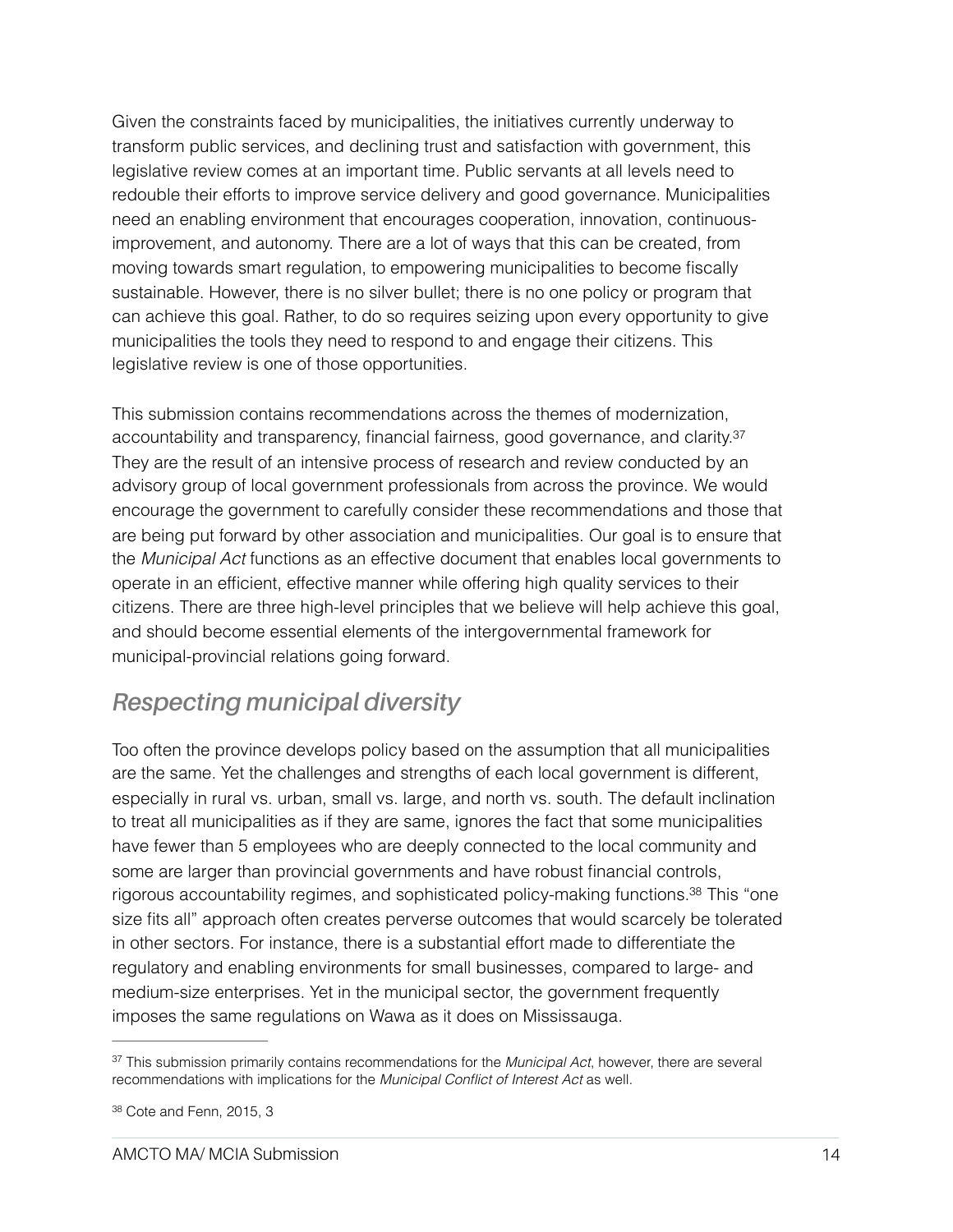Given the constraints faced by municipalities, the initiatives currently underway to transform public services, and declining trust and satisfaction with government, this legislative review comes at an important time. Public servants at all levels need to redouble their efforts to improve service delivery and good governance. Municipalities need an enabling environment that encourages cooperation, innovation, continuousimprovement, and autonomy. There are a lot of ways that this can be created, from moving towards smart regulation, to empowering municipalities to become fiscally sustainable. However, there is no silver bullet; there is no one policy or program that can achieve this goal. Rather, to do so requires seizing upon every opportunity to give municipalities the tools they need to respond to and engage their citizens. This legislative review is one of those opportunities.

<span id="page-13-2"></span>This submission contains recommendations across the themes of modernization, accountability and transparency, financial fairness, good governance, and clarity[.37](#page-13-0) They are the result of an intensive process of research and review conducted by an advisory group of local government professionals from across the province. We would encourage the government to carefully consider these recommendations and those that are being put forward by other association and municipalities. Our goal is to ensure that the *Municipal Act* functions as an effective document that enables local governments to operate in an efficient, effective manner while offering high quality services to their citizens. There are three high-level principles that we believe will help achieve this goal, and should become essential elements of the intergovernmental framework for municipal-provincial relations going forward.

### *Respecting municipal diversity*

<span id="page-13-3"></span>Too often the province develops policy based on the assumption that all municipalities are the same. Yet the challenges and strengths of each local government is different, especially in rural vs. urban, small vs. large, and north vs. south. The default inclination to treat all municipalities as if they are same, ignores the fact that some municipalities have fewer than 5 employees who are deeply connected to the local community and some are larger than provincial governments and have robust financial controls, rigorous accountability regimes, and sophisticated policy-making functions[.](#page-13-1)<sup>[38](#page-13-1)</sup> This "one size fits all" approach often creates perverse outcomes that would scarcely be tolerated in other sectors. For instance, there is a substantial effort made to differentiate the regulatory and enabling environments for small businesses, compared to large- and medium-size enterprises. Yet in the municipal sector, the government frequently imposes the same regulations on Wawa as it does on Mississauga.

<span id="page-13-0"></span><sup>&</sup>lt;sup>[37](#page-13-2)</sup> This submission primarily contains recommendations for the *Municipal Act*, however, there are several recommendations with implications for the *Municipal Conflict of Interest Act* as well.

<span id="page-13-1"></span> $38$  Cote and Fenn, 2015, 3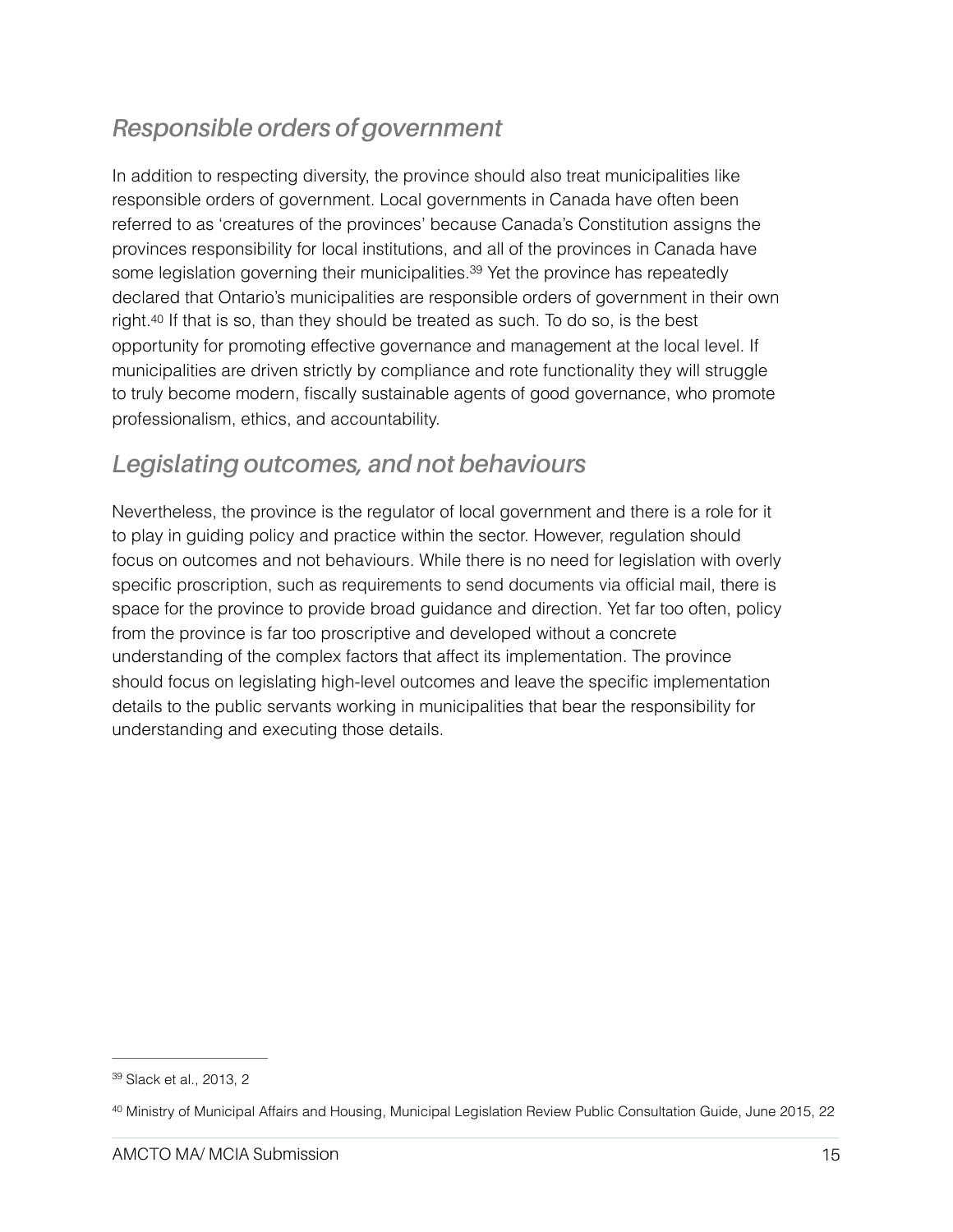### *Responsible orders of government*

<span id="page-14-2"></span>In addition to respecting diversity, the province should also treat municipalities like responsible orders of government. Local governments in Canada have often been referred to as 'creatures of the provinces' because Canada's Constitution assigns the provinces responsibility for local institutions, and all of the provinces in Canada have some legislation governing their municipalities[.](#page-14-0)<sup>[39](#page-14-0)</sup> Yet the province has repeatedly declared that Ontario's municipalities are responsible orders of government in their own right[.40](#page-14-1) If that is so, than they should be treated as such. To do so, is the best opportunity for promoting effective governance and management at the local level. If municipalities are driven strictly by compliance and rote functionality they will struggle to truly become modern, fiscally sustainable agents of good governance, who promote professionalism, ethics, and accountability.

### <span id="page-14-3"></span>*Legislating outcomes, and not behaviours*

Nevertheless, the province is the regulator of local government and there is a role for it to play in guiding policy and practice within the sector. However, regulation should focus on outcomes and not behaviours. While there is no need for legislation with overly specific proscription, such as requirements to send documents via official mail, there is space for the province to provide broad guidance and direction. Yet far too often, policy from the province is far too proscriptive and developed without a concrete understanding of the complex factors that affect its implementation. The province should focus on legislating high-level outcomes and leave the specific implementation details to the public servants working in municipalities that bear the responsibility for understanding and executing those details.

<span id="page-14-0"></span><sup>&</sup>lt;sup>[39](#page-14-2)</sup> Slack et al., 2013, 2

<span id="page-14-1"></span><sup>&</sup>lt;sup>[40](#page-14-3)</sup> Ministry of Municipal Affairs and Housing, Municipal Legislation Review Public Consultation Guide, June 2015, 22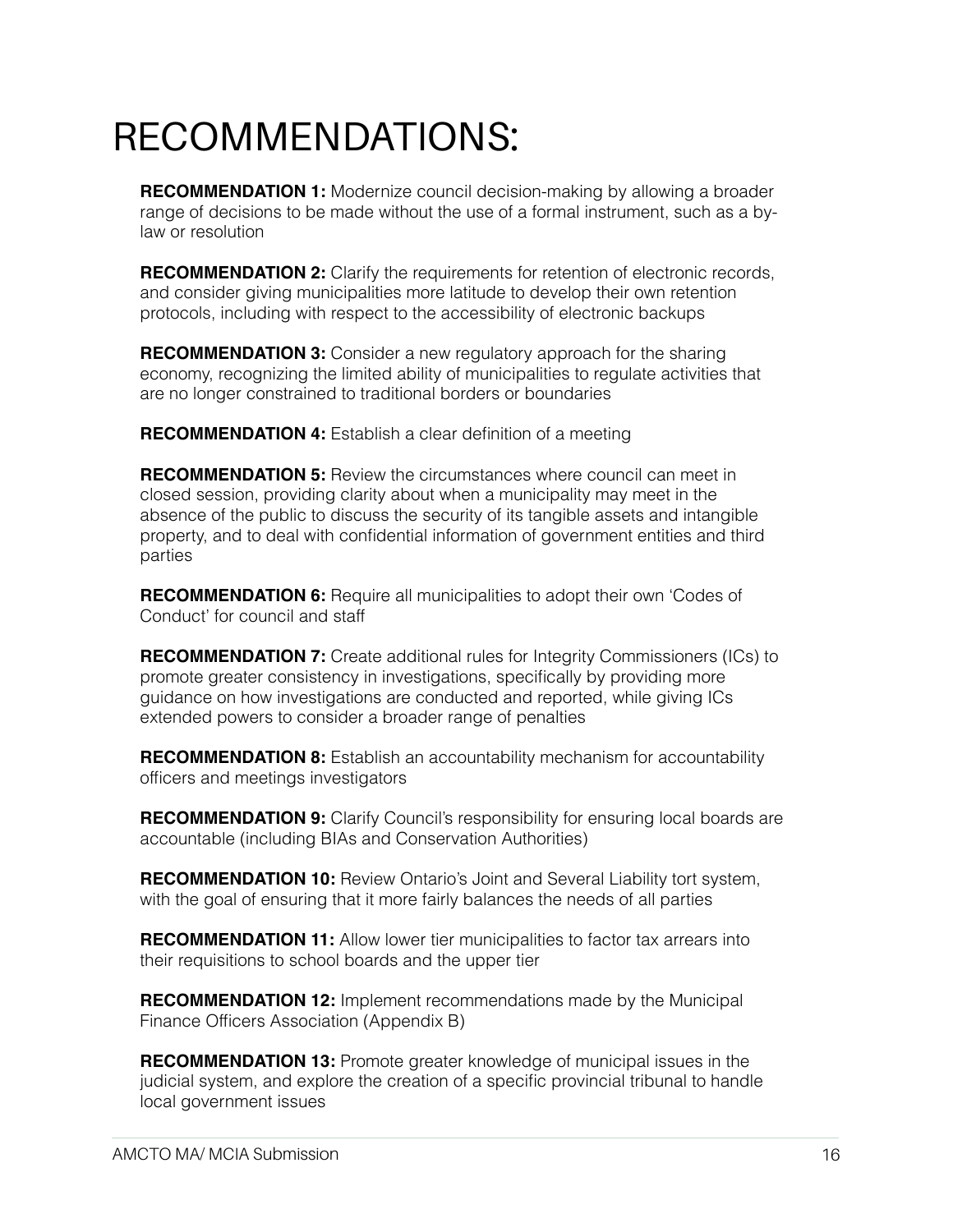## RECOMMENDATIONS:

**RECOMMENDATION 1:** Modernize council decision-making by allowing a broader range of decisions to be made without the use of a formal instrument, such as a bylaw or resolution

**RECOMMENDATION 2:** Clarify the requirements for retention of electronic records, and consider giving municipalities more latitude to develop their own retention protocols, including with respect to the accessibility of electronic backups

**RECOMMENDATION 3:** Consider a new regulatory approach for the sharing economy, recognizing the limited ability of municipalities to regulate activities that are no longer constrained to traditional borders or boundaries

**RECOMMENDATION 4:** Establish a clear definition of a meeting

**RECOMMENDATION 5:** Review the circumstances where council can meet in closed session, providing clarity about when a municipality may meet in the absence of the public to discuss the security of its tangible assets and intangible property, and to deal with confidential information of government entities and third parties

**RECOMMENDATION 6:** Require all municipalities to adopt their own 'Codes of Conduct' for council and staff

**RECOMMENDATION 7:** Create additional rules for Integrity Commissioners (ICs) to promote greater consistency in investigations, specifically by providing more guidance on how investigations are conducted and reported, while giving ICs extended powers to consider a broader range of penalties

**RECOMMENDATION 8:** Establish an accountability mechanism for accountability officers and meetings investigators

**RECOMMENDATION 9:** Clarify Council's responsibility for ensuring local boards are accountable (including BIAs and Conservation Authorities)

**RECOMMENDATION 10:** Review Ontario's Joint and Several Liability tort system, with the goal of ensuring that it more fairly balances the needs of all parties

**RECOMMENDATION 11:** Allow lower tier municipalities to factor tax arrears into their requisitions to school boards and the upper tier

**RECOMMENDATION 12:** Implement recommendations made by the Municipal Finance Officers Association (Appendix B)

**RECOMMENDATION 13:** Promote greater knowledge of municipal issues in the judicial system, and explore the creation of a specific provincial tribunal to handle local government issues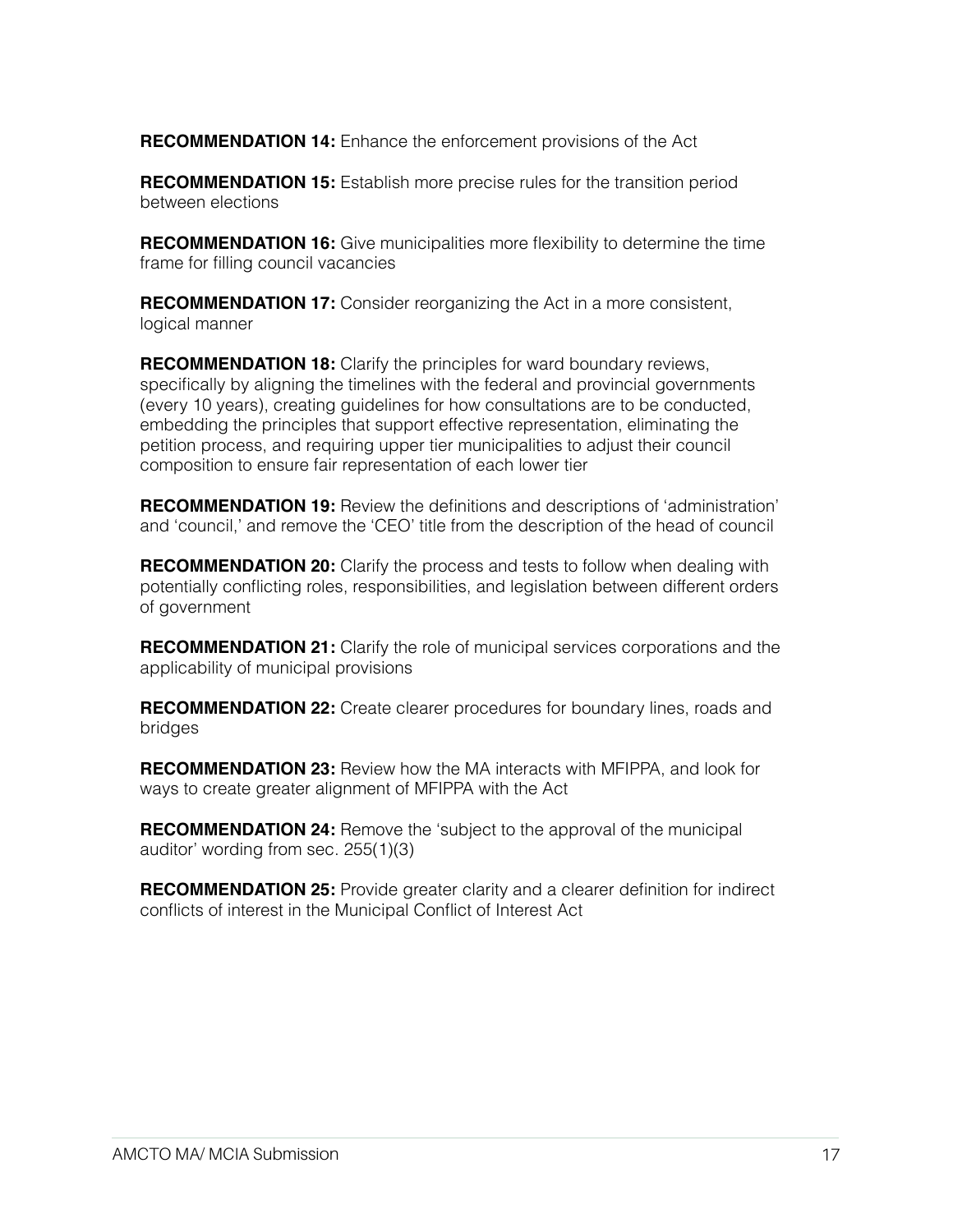**RECOMMENDATION 14:** Enhance the enforcement provisions of the Act

**RECOMMENDATION 15:** Establish more precise rules for the transition period between elections

**RECOMMENDATION 16:** Give municipalities more flexibility to determine the time frame for filling council vacancies

**RECOMMENDATION 17:** Consider reorganizing the Act in a more consistent, logical manner

**RECOMMENDATION 18:** Clarify the principles for ward boundary reviews, specifically by aligning the timelines with the federal and provincial governments (every 10 years), creating guidelines for how consultations are to be conducted, embedding the principles that support effective representation, eliminating the petition process, and requiring upper tier municipalities to adjust their council composition to ensure fair representation of each lower tier

**RECOMMENDATION 19:** Review the definitions and descriptions of 'administration' and 'council,' and remove the 'CEO' title from the description of the head of council

**RECOMMENDATION 20:** Clarify the process and tests to follow when dealing with potentially conflicting roles, responsibilities, and legislation between different orders of government

**RECOMMENDATION 21:** Clarify the role of municipal services corporations and the applicability of municipal provisions

**RECOMMENDATION 22:** Create clearer procedures for boundary lines, roads and bridges

**RECOMMENDATION 23:** Review how the MA interacts with MFIPPA, and look for ways to create greater alignment of MFIPPA with the Act

**RECOMMENDATION 24:** Remove the 'subject to the approval of the municipal auditor' wording from sec. 255(1)(3)

**RECOMMENDATION 25:** Provide greater clarity and a clearer definition for indirect conflicts of interest in the Municipal Conflict of Interest Act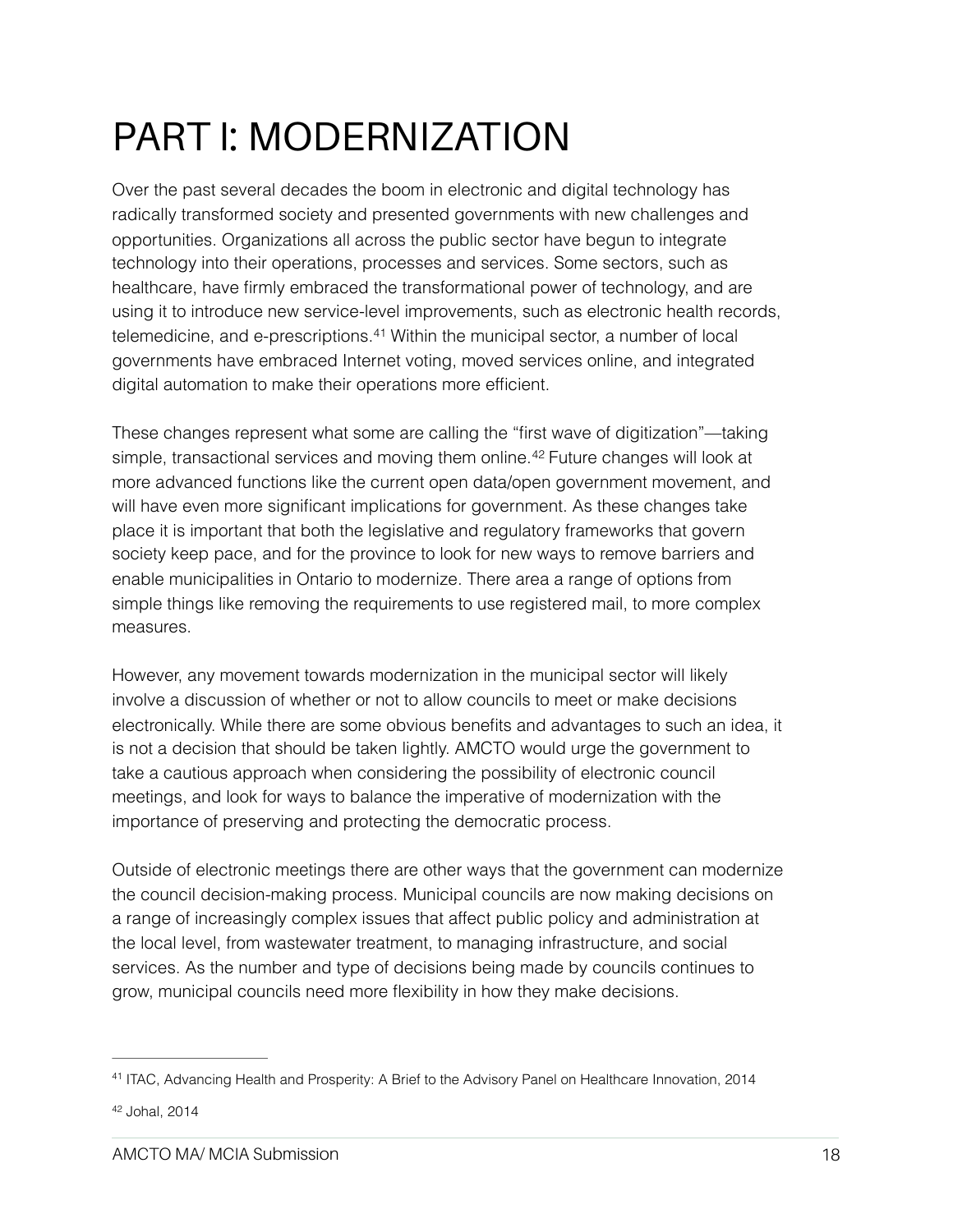## PART I: MODERNIZATION

Over the past several decades the boom in electronic and digital technology has radically transformed society and presented governments with new challenges and opportunities. Organizations all across the public sector have begun to integrate technology into their operations, processes and services. Some sectors, such as healthcare, have firmly embraced the transformational power of technology, and are using it to introduce new service-level improvements, such as electronic health records, telemedicine, and e-prescriptions.<sup>[41](#page-17-0)</sup> Within the municipal sector, a number of local governments have embraced Internet voting, moved services online, and integrated digital automation to make their operations more efficient.

<span id="page-17-3"></span><span id="page-17-2"></span>These changes represent what some are calling the "first wave of digitization"—taking simple,transactional services and moving them online.<sup>[42](#page-17-1)</sup> Future changes will look at more advanced functions like the current open data/open government movement, and will have even more significant implications for government. As these changes take place it is important that both the legislative and regulatory frameworks that govern society keep pace, and for the province to look for new ways to remove barriers and enable municipalities in Ontario to modernize. There area a range of options from simple things like removing the requirements to use registered mail, to more complex measures.

However, any movement towards modernization in the municipal sector will likely involve a discussion of whether or not to allow councils to meet or make decisions electronically. While there are some obvious benefits and advantages to such an idea, it is not a decision that should be taken lightly. AMCTO would urge the government to take a cautious approach when considering the possibility of electronic council meetings, and look for ways to balance the imperative of modernization with the importance of preserving and protecting the democratic process.

Outside of electronic meetings there are other ways that the government can modernize the council decision-making process. Municipal councils are now making decisions on a range of increasingly complex issues that affect public policy and administration at the local level, from wastewater treatment, to managing infrastructure, and social services. As the number and type of decisions being made by councils continues to grow, municipal councils need more flexibility in how they make decisions.

<span id="page-17-0"></span><sup>&</sup>lt;sup>[41](#page-17-2)</sup> ITAC, Advancing Health and Prosperity: A Brief to the Advisory Panel on Healthcare Innovation, 2014

<span id="page-17-1"></span>[<sup>42</sup>](#page-17-3) Johal, 2014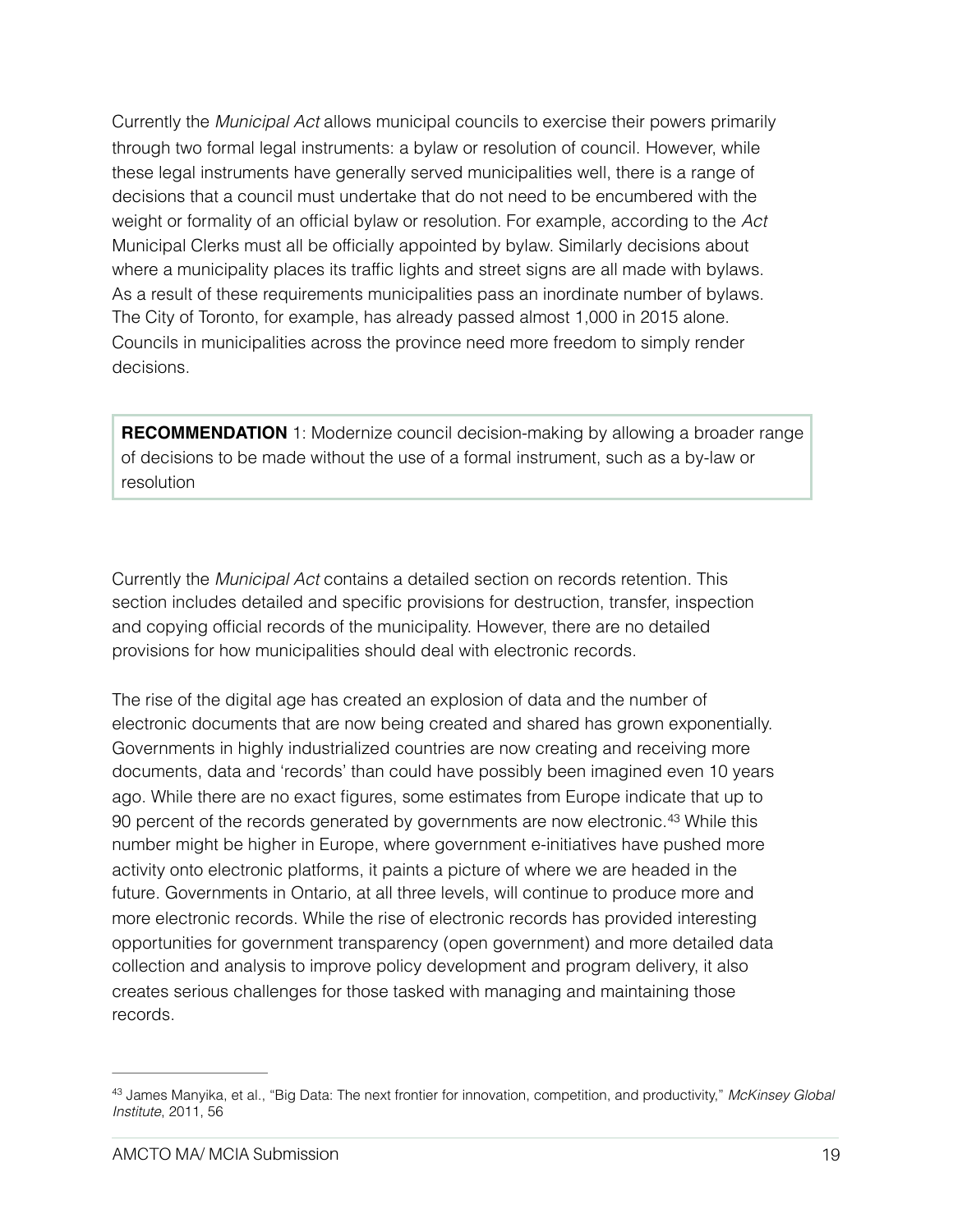Currently the *Municipal Act* allows municipal councils to exercise their powers primarily through two formal legal instruments: a bylaw or resolution of council. However, while these legal instruments have generally served municipalities well, there is a range of decisions that a council must undertake that do not need to be encumbered with the weight or formality of an official bylaw or resolution. For example, according to the *Act*  Municipal Clerks must all be officially appointed by bylaw. Similarly decisions about where a municipality places its traffic lights and street signs are all made with bylaws. As a result of these requirements municipalities pass an inordinate number of bylaws. The City of Toronto, for example, has already passed almost 1,000 in 2015 alone. Councils in municipalities across the province need more freedom to simply render decisions.

**RECOMMENDATION** 1: Modernize council decision-making by allowing a broader range of decisions to be made without the use of a formal instrument, such as a by-law or resolution

Currently the *Municipal Act* contains a detailed section on records retention. This section includes detailed and specific provisions for destruction, transfer, inspection and copying official records of the municipality. However, there are no detailed provisions for how municipalities should deal with electronic records.

<span id="page-18-1"></span>The rise of the digital age has created an explosion of data and the number of electronic documents that are now being created and shared has grown exponentially. Governments in highly industrialized countries are now creating and receiving more documents, data and 'records' than could have possibly been imagined even 10 years ago. While there are no exact figures, some estimates from Europe indicate that up to 90 percent of the records generated by governments are now electronic.<sup>[43](#page-18-0)</sup> While this number might be higher in Europe, where government e-initiatives have pushed more activity onto electronic platforms, it paints a picture of where we are headed in the future. Governments in Ontario, at all three levels, will continue to produce more and more electronic records. While the rise of electronic records has provided interesting opportunities for government transparency (open government) and more detailed data collection and analysis to improve policy development and program delivery, it also creates serious challenges for those tasked with managing and maintaining those records.

<span id="page-18-0"></span>James Manyika, et al., "Big Data: The next frontier for innovation, competition, and productivity," *McKinsey Global* [43](#page-18-1) *Institute*, 2011, 56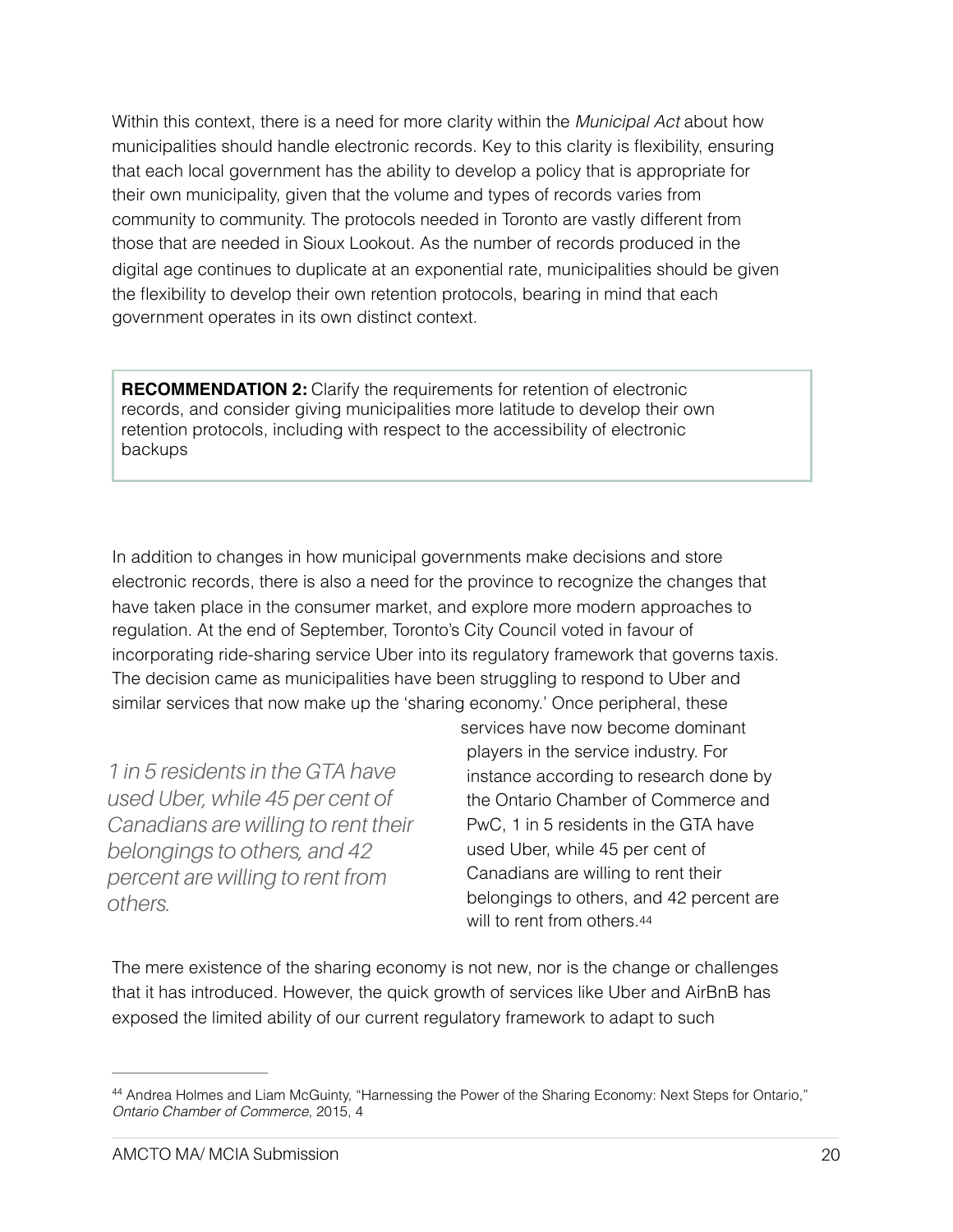Within this context, there is a need for more clarity within the *Municipal Act* about how municipalities should handle electronic records. Key to this clarity is flexibility, ensuring that each local government has the ability to develop a policy that is appropriate for their own municipality, given that the volume and types of records varies from community to community. The protocols needed in Toronto are vastly different from those that are needed in Sioux Lookout. As the number of records produced in the digital age continues to duplicate at an exponential rate, municipalities should be given the flexibility to develop their own retention protocols, bearing in mind that each government operates in its own distinct context.

**RECOMMENDATION 2:** Clarify the requirements for retention of electronic records, and consider giving municipalities more latitude to develop their own retention protocols, including with respect to the accessibility of electronic backups

In addition to changes in how municipal governments make decisions and store electronic records, there is also a need for the province to recognize the changes that have taken place in the consumer market, and explore more modern approaches to regulation. At the end of September, Toronto's City Council voted in favour of incorporating ride-sharing service Uber into its regulatory framework that governs taxis. The decision came as municipalities have been struggling to respond to Uber and similar services that now make up the 'sharing economy.' Once peripheral, these

*1 in 5 residents in the GTA have used Uber, while 45 per cent of Canadians are willing to rent their belongings to others, and 42 percent are willing to rent from others.* 

<span id="page-19-1"></span>services have now become dominant players in the service industry. For instance according to research done by the Ontario Chamber of Commerce and PwC, 1 in 5 residents in the GTA have used Uber, while 45 per cent of Canadians are willing to rent their belongings to others, and 42 percent are will to rent from others.[44](#page-19-0)

The mere existence of the sharing economy is not new, nor is the change or challenges that it has introduced. However, the quick growth of services like Uber and AirBnB has exposed the limited ability of our current regulatory framework to adapt to such

<span id="page-19-0"></span><sup>44</sup>Andrea Holmes and Liam McGuinty, "Harnessing the Power of the Sharing Economy: Next Steps for Ontario," *Ontario Chamber of Commerce*, 2015, 4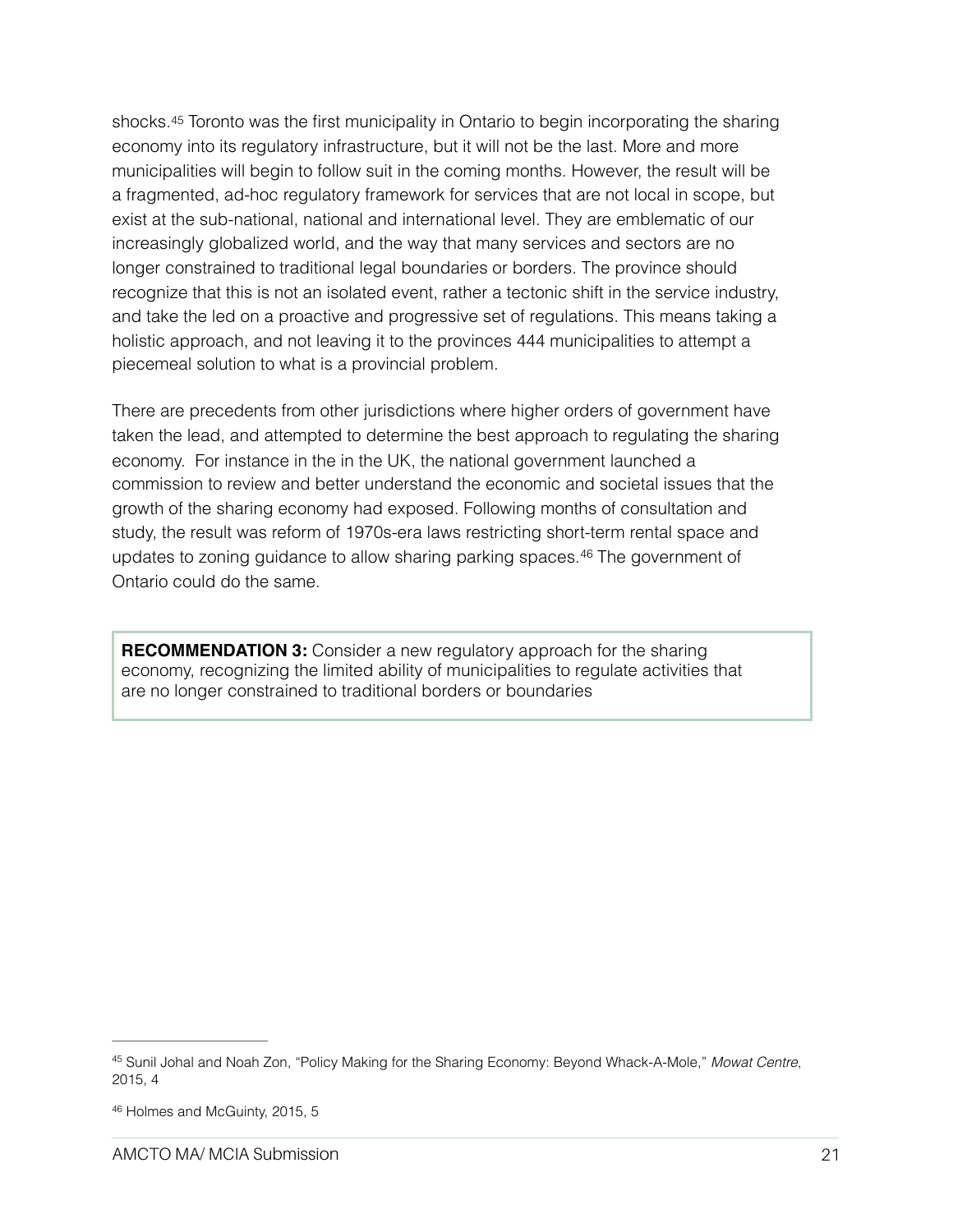<span id="page-20-2"></span>shocks.[45](#page-20-0) Toronto was the first municipality in Ontario to begin incorporating the sharing economy into its regulatory infrastructure, but it will not be the last. More and more municipalities will begin to follow suit in the coming months. However, the result will be a fragmented, ad-hoc regulatory framework for services that are not local in scope, but exist at the sub-national, national and international level. They are emblematic of our increasingly globalized world, and the way that many services and sectors are no longer constrained to traditional legal boundaries or borders. The province should recognize that this is not an isolated event, rather a tectonic shift in the service industry, and take the led on a proactive and progressive set of regulations. This means taking a holistic approach, and not leaving it to the provinces 444 municipalities to attempt a piecemeal solution to what is a provincial problem.

There are precedents from other jurisdictions where higher orders of government have taken the lead, and attempted to determine the best approach to regulating the sharing economy. For instance in the in the UK, the national government launched a commission to review and better understand the economic and societal issues that the growth of the sharing economy had exposed. Following months of consultation and study, the result was reform of 1970s-era laws restricting short-term rental space and updatesto zoning guidance to allow sharing parking spaces. $46$  The government of Ontario could do the same.

<span id="page-20-3"></span>**RECOMMENDATION 3:** Consider a new regulatory approach for the sharing economy, recognizing the limited ability of municipalities to regulate activities that are no longer constrained to traditional borders or boundaries

<span id="page-20-0"></span><sup>&</sup>lt;sup>[45](#page-20-2)</sup> Sunil Johal and Noah Zon, "Policy Making for the Sharing Economy: Beyond Whack-A-Mole," Mowat Centre, 2015, 4

<span id="page-20-1"></span>[<sup>46</sup>](#page-20-3) Holmes and McGuinty, 2015, 5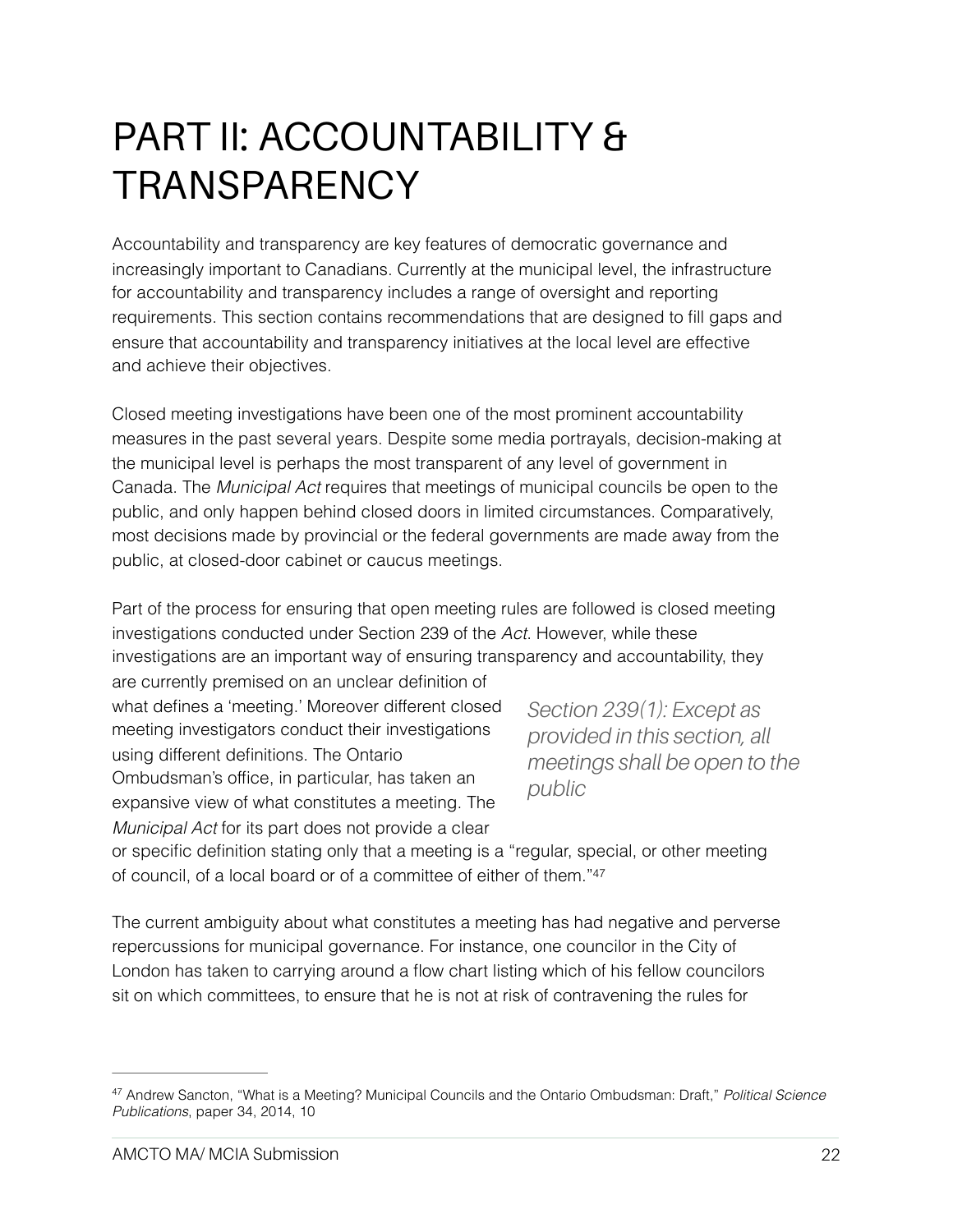## PART II: ACCOUNTABILITY & **TRANSPARENCY**

Accountability and transparency are key features of democratic governance and increasingly important to Canadians. Currently at the municipal level, the infrastructure for accountability and transparency includes a range of oversight and reporting requirements. This section contains recommendations that are designed to fill gaps and ensure that accountability and transparency initiatives at the local level are effective and achieve their objectives.

Closed meeting investigations have been one of the most prominent accountability measures in the past several years. Despite some media portrayals, decision-making at the municipal level is perhaps the most transparent of any level of government in Canada. The *Municipal Act* requires that meetings of municipal councils be open to the public, and only happen behind closed doors in limited circumstances. Comparatively, most decisions made by provincial or the federal governments are made away from the public, at closed-door cabinet or caucus meetings.

Part of the process for ensuring that open meeting rules are followed is closed meeting investigations conducted under Section 239 of the *Act*. However, while these investigations are an important way of ensuring transparency and accountability, they are currently premised on an unclear definition of

what defines a 'meeting.' Moreover different closed meeting investigators conduct their investigations using different definitions. The Ontario Ombudsman's office, in particular, has taken an expansive view of what constitutes a meeting. The *Municipal Act* for its part does not provide a clear

<span id="page-21-1"></span>*Section 239(1): Except as provided in this section, all meetings shall be open to the public*

or specific definition stating only that a meeting is a "regular, special, or other meeting of council, of a local board or of a committee of either of them.["47](#page-21-0)

The current ambiguity about what constitutes a meeting has had negative and perverse repercussions for municipal governance. For instance, one councilor in the City of London has taken to carrying around a flow chart listing which of his fellow councilors sit on which committees, to ensure that he is not at risk of contravening the rules for

<span id="page-21-0"></span>Andrew Sancton, "What is a Meeting? Municipal Councils and the Ontario Ombudsman: Draft," *Political Science* [47](#page-21-1) *Publications*, paper 34, 2014, 10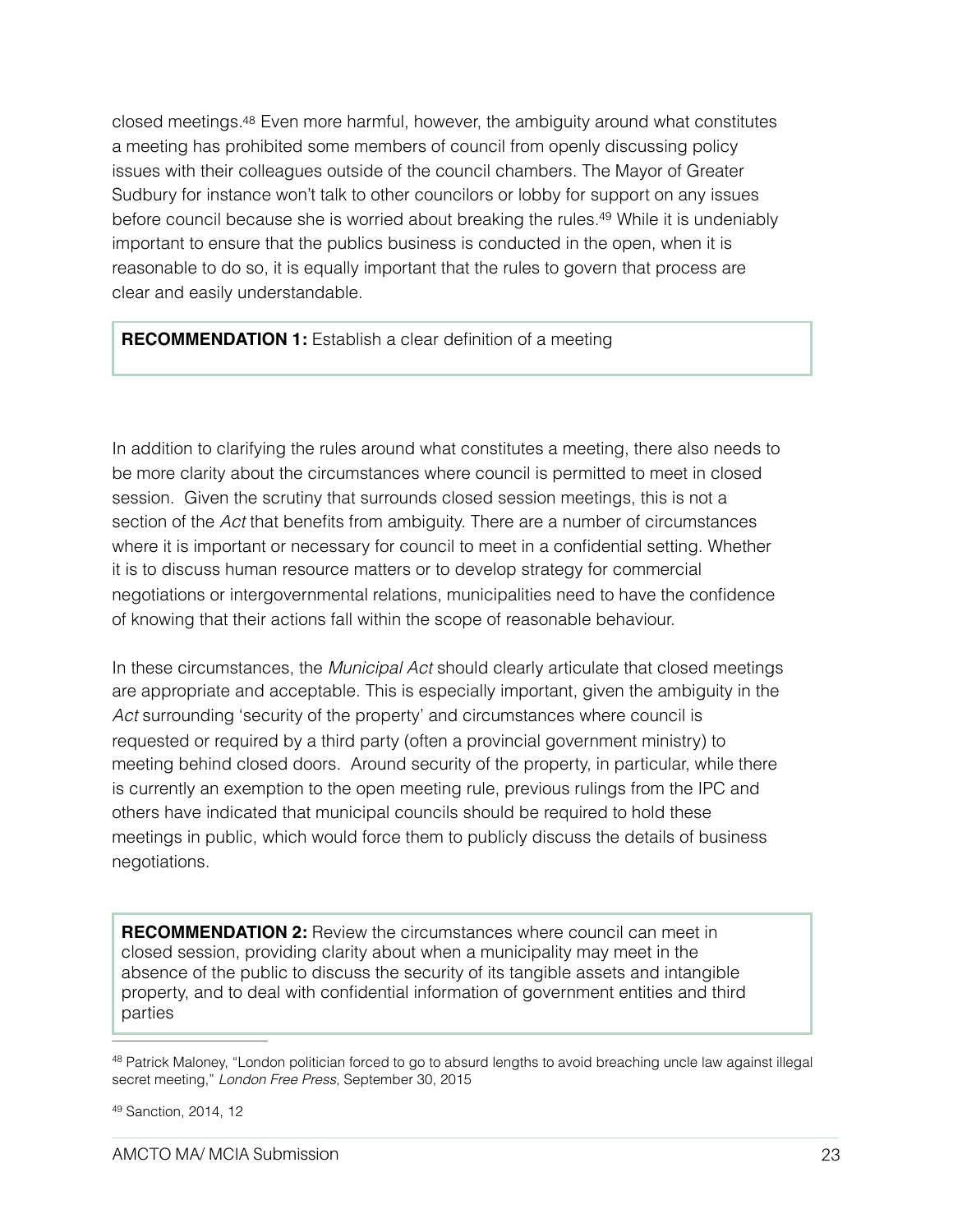<span id="page-22-2"></span>closed meetings[.48](#page-22-0) Even more harmful, however, the ambiguity around what constitutes a meeting has prohibited some members of council from openly discussing policy issues with their colleagues outside of the council chambers. The Mayor of Greater Sudbury for instance won't talk to other councilors or lobby for support on any issues before council because she is worried about breaking the rules[.](#page-22-1)<sup>[49](#page-22-1)</sup> While it is undeniably important to ensure that the publics business is conducted in the open, when it is reasonable to do so, it is equally important that the rules to govern that process are clear and easily understandable.

<span id="page-22-3"></span>**RECOMMENDATION 1:** Establish a clear definition of a meeting

In addition to clarifying the rules around what constitutes a meeting, there also needs to be more clarity about the circumstances where council is permitted to meet in closed session. Given the scrutiny that surrounds closed session meetings, this is not a section of the *Act* that benefits from ambiguity. There are a number of circumstances where it is important or necessary for council to meet in a confidential setting. Whether it is to discuss human resource matters or to develop strategy for commercial negotiations or intergovernmental relations, municipalities need to have the confidence of knowing that their actions fall within the scope of reasonable behaviour.

In these circumstances, the *Municipal Act* should clearly articulate that closed meetings are appropriate and acceptable. This is especially important, given the ambiguity in the *Act* surrounding 'security of the property' and circumstances where council is requested or required by a third party (often a provincial government ministry) to meeting behind closed doors. Around security of the property, in particular, while there is currently an exemption to the open meeting rule, previous rulings from the IPC and others have indicated that municipal councils should be required to hold these meetings in public, which would force them to publicly discuss the details of business negotiations.

**RECOMMENDATION 2:** Review the circumstances where council can meet in closed session, providing clarity about when a municipality may meet in the absence of the public to discuss the security of its tangible assets and intangible property, and to deal with confidential information of government entities and third parties

<span id="page-22-0"></span><sup>&</sup>lt;sup>48</sup>Patrick Maloney, "London politician forced to go to absurd lengths to avoid breaching uncle law against illegal secret meeting," *London Free Press,* September 30, 2015

<span id="page-22-1"></span>[<sup>49</sup>](#page-22-3) Sanction, 2014, 12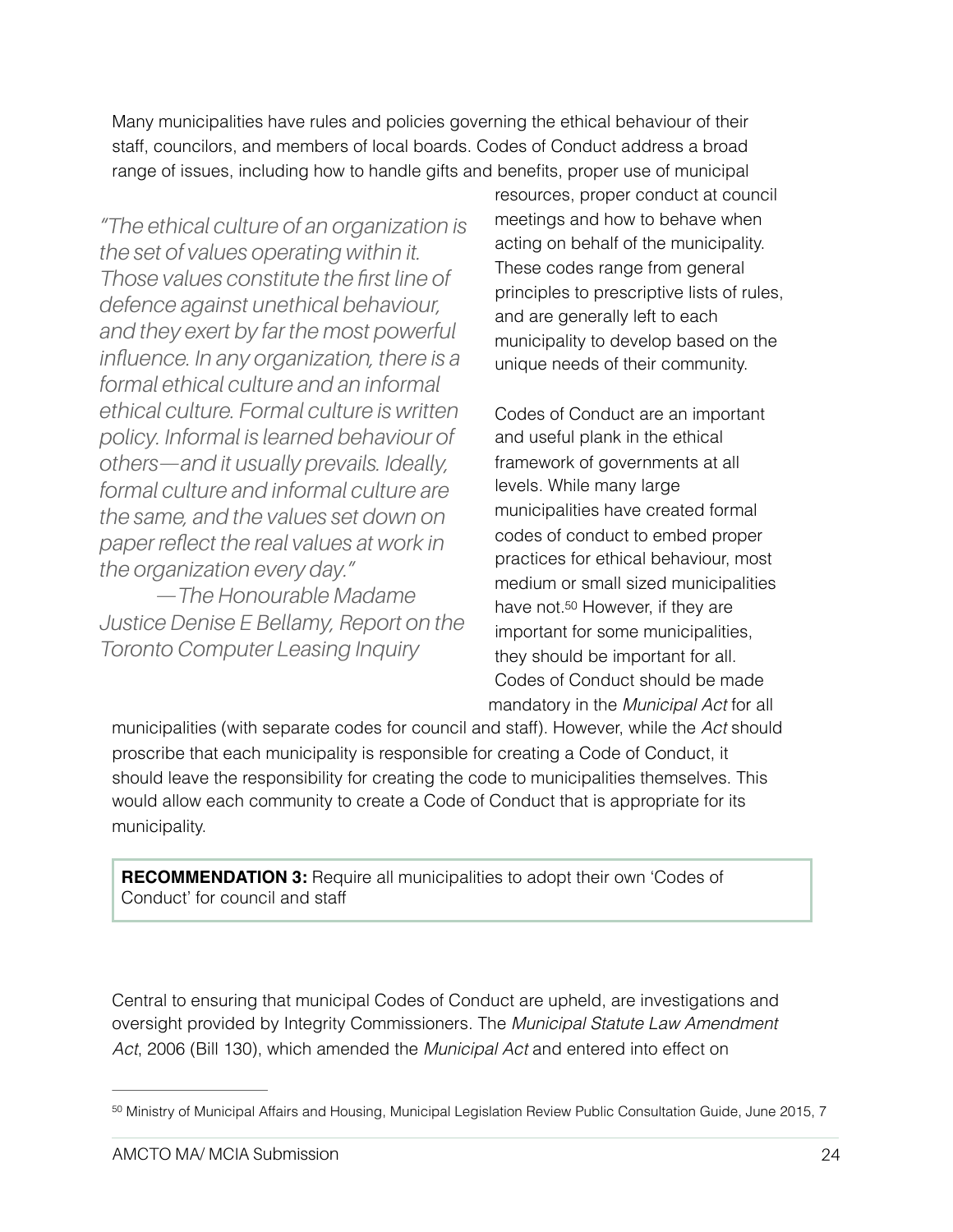Many municipalities have rules and policies governing the ethical behaviour of their staff, councilors, and members of local boards. Codes of Conduct address a broad range of issues, including how to handle gifts and benefits, proper use of municipal

*"The ethical culture of an organization is the set of values operating within it. Those values constitute the first line of defence against unethical behaviour, and they exert by far the most powerful influence. In any organization, there is a formal ethical culture and an informal ethical culture. Formal culture is written policy. Informal is learned behaviour of others—and it usually prevails. Ideally, formal culture and informal culture are the same, and the values set down on paper reflect the real values at work in the organization every day."* 

 *—The Honourable Madame Justice Denise E Bellamy, Report on the Toronto Computer Leasing Inquiry*

resources, proper conduct at council meetings and how to behave when acting on behalf of the municipality. These codes range from general principles to prescriptive lists of rules, and are generally left to each municipality to develop based on the unique needs of their community.

<span id="page-23-1"></span>Codes of Conduct are an important and useful plank in the ethical framework of governments at all levels. While many large municipalities have created formal codes of conduct to embed proper practices for ethical behaviour, most medium or small sized municipalities have not[.50](#page-23-0) However, if they are important for some municipalities, they should be important for all. Codes of Conduct should be made mandatory in the *Municipal Act* for all

municipalities (with separate codes for council and staff). However, while the *Act* should proscribe that each municipality is responsible for creating a Code of Conduct, it should leave the responsibility for creating the code to municipalities themselves. This would allow each community to create a Code of Conduct that is appropriate for its municipality.

**RECOMMENDATION 3:** Require all municipalities to adopt their own 'Codes of Conduct' for council and staff

Central to ensuring that municipal Codes of Conduct are upheld, are investigations and oversight provided by Integrity Commissioners. The *Municipal Statute Law Amendment Act*, 2006 (Bill 130), which amended the *Municipal Act* and entered into effect on

<span id="page-23-0"></span>[<sup>50</sup>](#page-23-1) Ministry of Municipal Affairs and Housing, Municipal Legislation Review Public Consultation Guide, June 2015, 7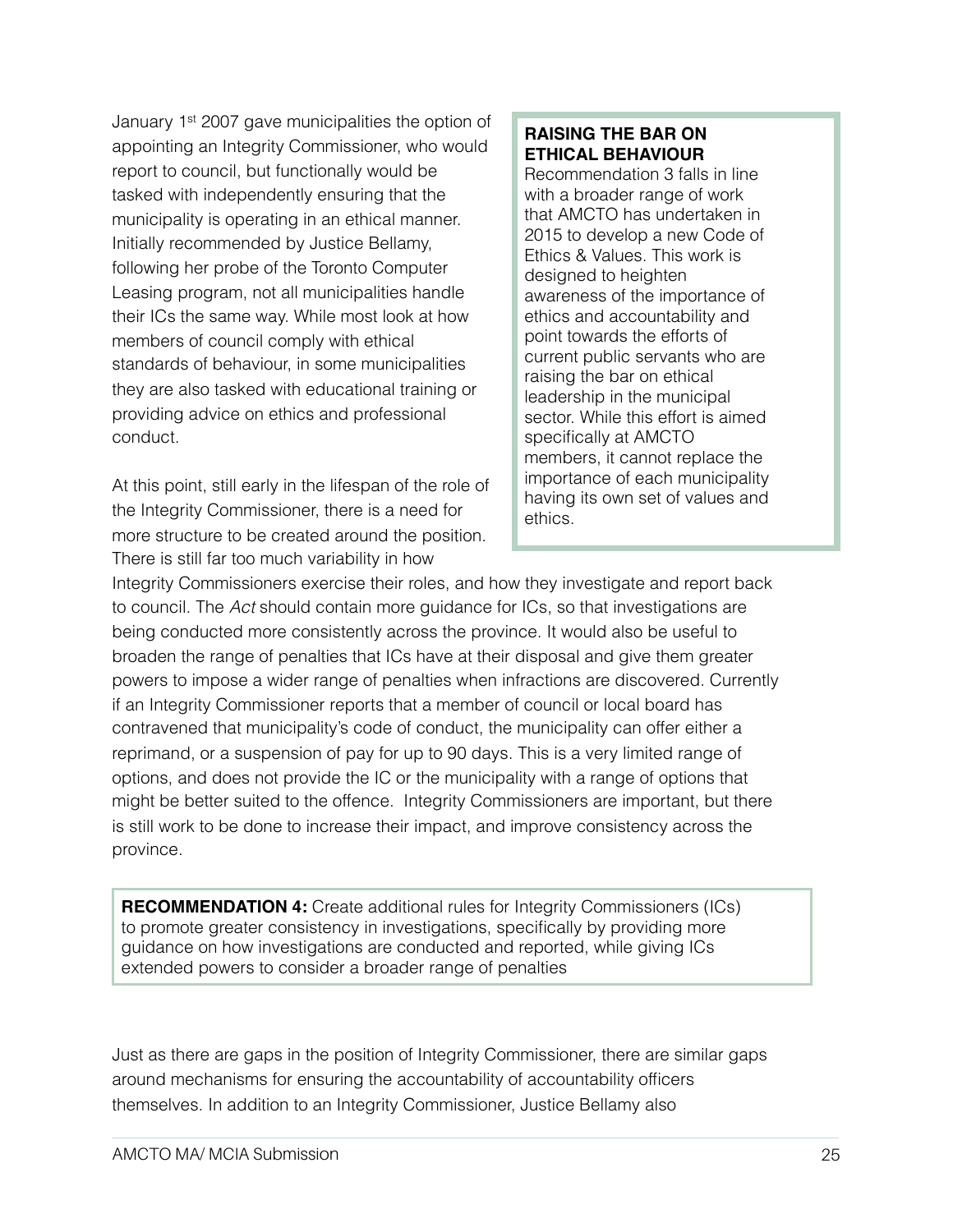January 1st 2007 gave municipalities the option of appointing an Integrity Commissioner, who would report to council, but functionally would be tasked with independently ensuring that the municipality is operating in an ethical manner. Initially recommended by Justice Bellamy, following her probe of the Toronto Computer Leasing program, not all municipalities handle their ICs the same way. While most look at how members of council comply with ethical standards of behaviour, in some municipalities they are also tasked with educational training or providing advice on ethics and professional conduct.

At this point, still early in the lifespan of the role of the Integrity Commissioner, there is a need for more structure to be created around the position. There is still far too much variability in how

### **RAISING THE BAR ON ETHICAL BEHAVIOUR**

Recommendation 3 falls in line with a broader range of work that AMCTO has undertaken in 2015 to develop a new Code of Ethics & Values. This work is designed to heighten awareness of the importance of ethics and accountability and point towards the efforts of current public servants who are raising the bar on ethical leadership in the municipal sector. While this effort is aimed specifically at AMCTO members, it cannot replace the importance of each municipality having its own set of values and ethics.

Integrity Commissioners exercise their roles, and how they investigate and report back to council. The *Act* should contain more guidance for ICs, so that investigations are being conducted more consistently across the province. It would also be useful to broaden the range of penalties that ICs have at their disposal and give them greater powers to impose a wider range of penalties when infractions are discovered. Currently if an Integrity Commissioner reports that a member of council or local board has contravened that municipality's code of conduct, the municipality can offer either a reprimand, or a suspension of pay for up to 90 days. This is a very limited range of options, and does not provide the IC or the municipality with a range of options that might be better suited to the offence. Integrity Commissioners are important, but there is still work to be done to increase their impact, and improve consistency across the province.

**RECOMMENDATION 4:** Create additional rules for Integrity Commissioners (ICs) to promote greater consistency in investigations, specifically by providing more guidance on how investigations are conducted and reported, while giving ICs extended powers to consider a broader range of penalties

Just as there are gaps in the position of Integrity Commissioner, there are similar gaps around mechanisms for ensuring the accountability of accountability officers themselves. In addition to an Integrity Commissioner, Justice Bellamy also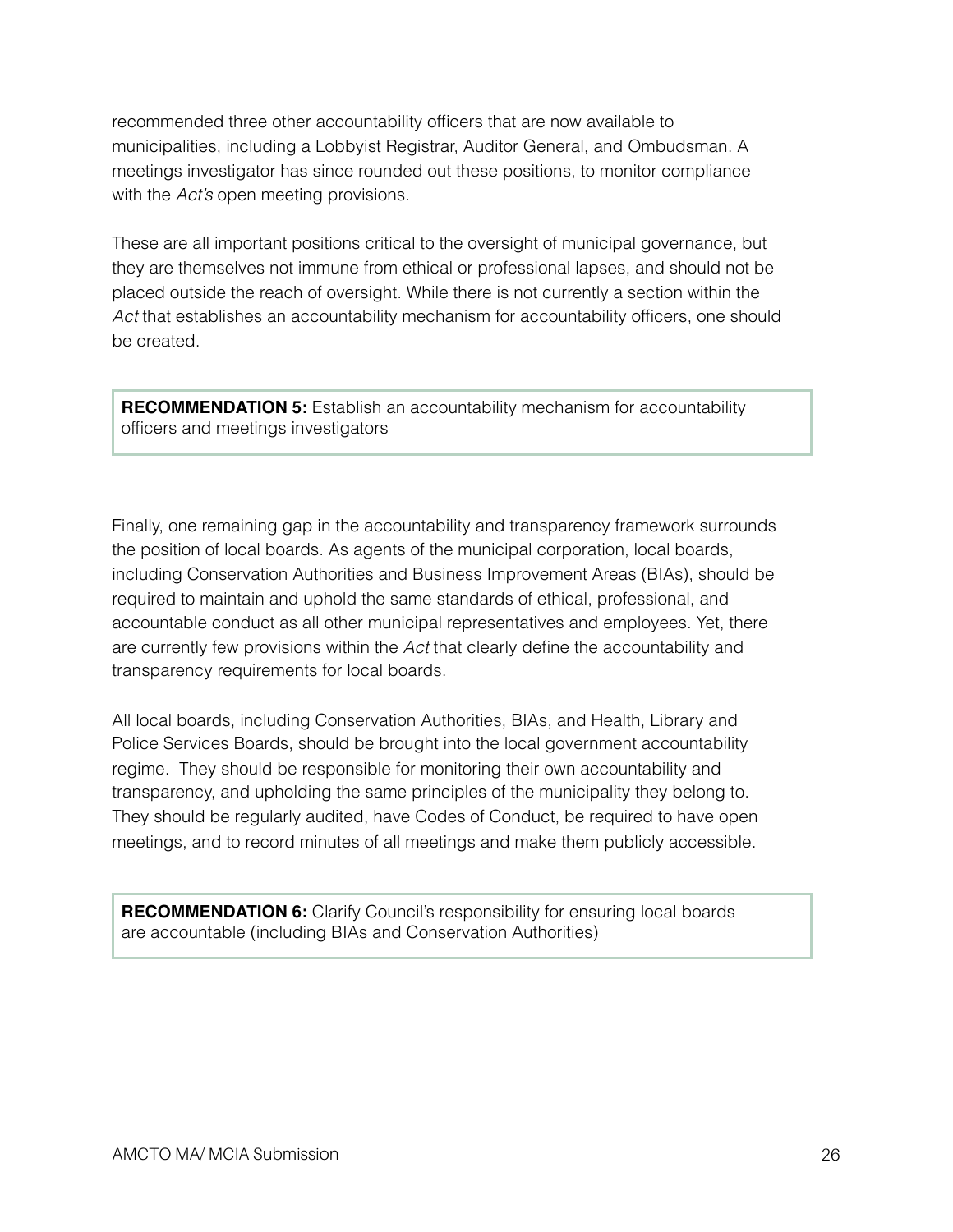recommended three other accountability officers that are now available to municipalities, including a Lobbyist Registrar, Auditor General, and Ombudsman. A meetings investigator has since rounded out these positions, to monitor compliance with the *Act's* open meeting provisions.

These are all important positions critical to the oversight of municipal governance, but they are themselves not immune from ethical or professional lapses, and should not be placed outside the reach of oversight. While there is not currently a section within the *Act* that establishes an accountability mechanism for accountability officers, one should be created.

**RECOMMENDATION 5:** Establish an accountability mechanism for accountability officers and meetings investigators

Finally, one remaining gap in the accountability and transparency framework surrounds the position of local boards. As agents of the municipal corporation, local boards, including Conservation Authorities and Business Improvement Areas (BIAs), should be required to maintain and uphold the same standards of ethical, professional, and accountable conduct as all other municipal representatives and employees. Yet, there are currently few provisions within the *Act* that clearly define the accountability and transparency requirements for local boards.

All local boards, including Conservation Authorities, BIAs, and Health, Library and Police Services Boards, should be brought into the local government accountability regime. They should be responsible for monitoring their own accountability and transparency, and upholding the same principles of the municipality they belong to. They should be regularly audited, have Codes of Conduct, be required to have open meetings, and to record minutes of all meetings and make them publicly accessible.

**RECOMMENDATION 6:** Clarify Council's responsibility for ensuring local boards are accountable (including BIAs and Conservation Authorities)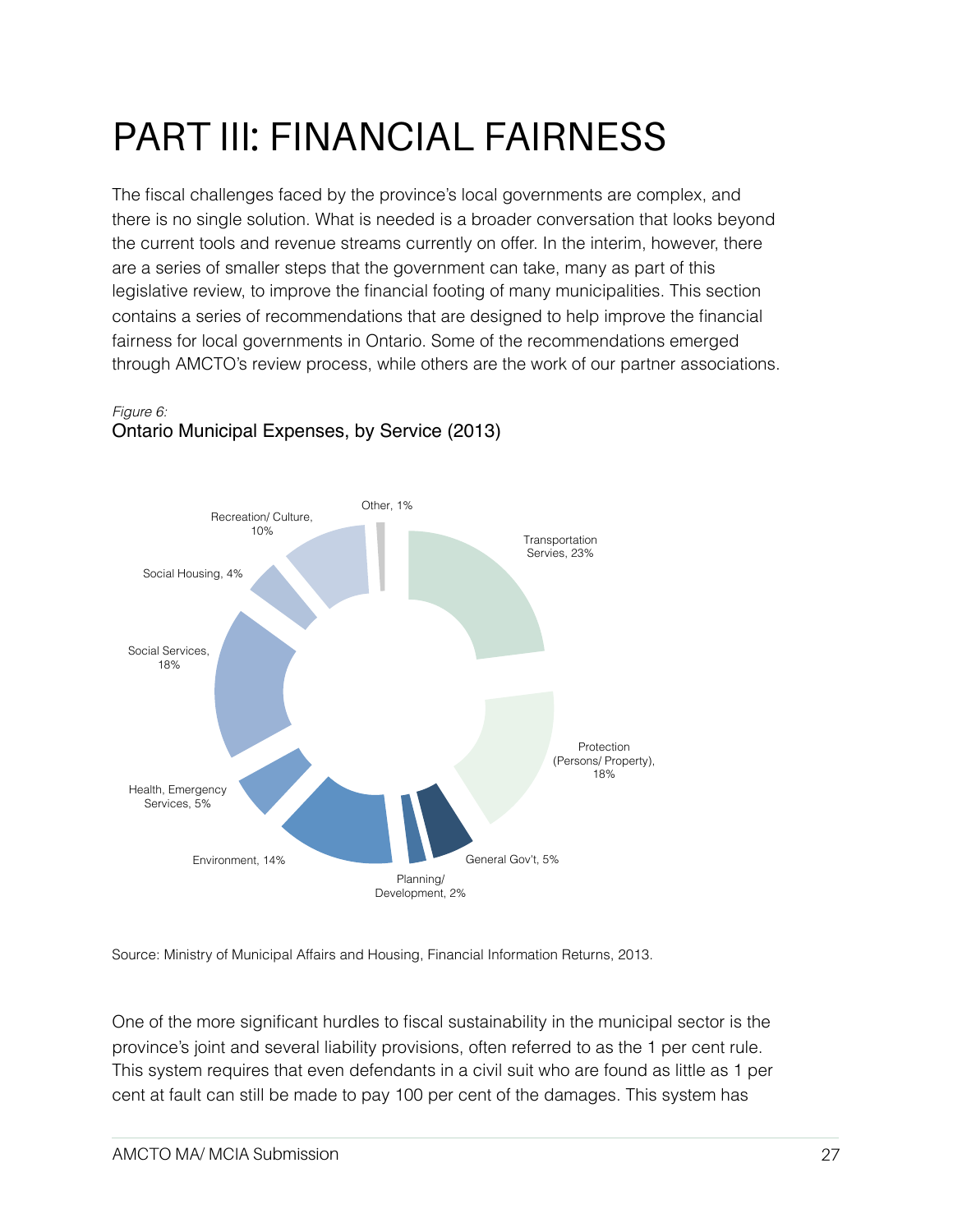## PART III: FINANCIAL FAIRNESS

The fiscal challenges faced by the province's local governments are complex, and there is no single solution. What is needed is a broader conversation that looks beyond the current tools and revenue streams currently on offer. In the interim, however, there are a series of smaller steps that the government can take, many as part of this legislative review, to improve the financial footing of many municipalities. This section contains a series of recommendations that are designed to help improve the financial fairness for local governments in Ontario. Some of the recommendations emerged through AMCTO's review process, while others are the work of our partner associations.



#### *Figure 6:* Ontario Municipal Expenses, by Service (2013)

Source: Ministry of Municipal Affairs and Housing, Financial Information Returns, 2013.

One of the more significant hurdles to fiscal sustainability in the municipal sector is the province's joint and several liability provisions, often referred to as the 1 per cent rule. This system requires that even defendants in a civil suit who are found as little as 1 per cent at fault can still be made to pay 100 per cent of the damages. This system has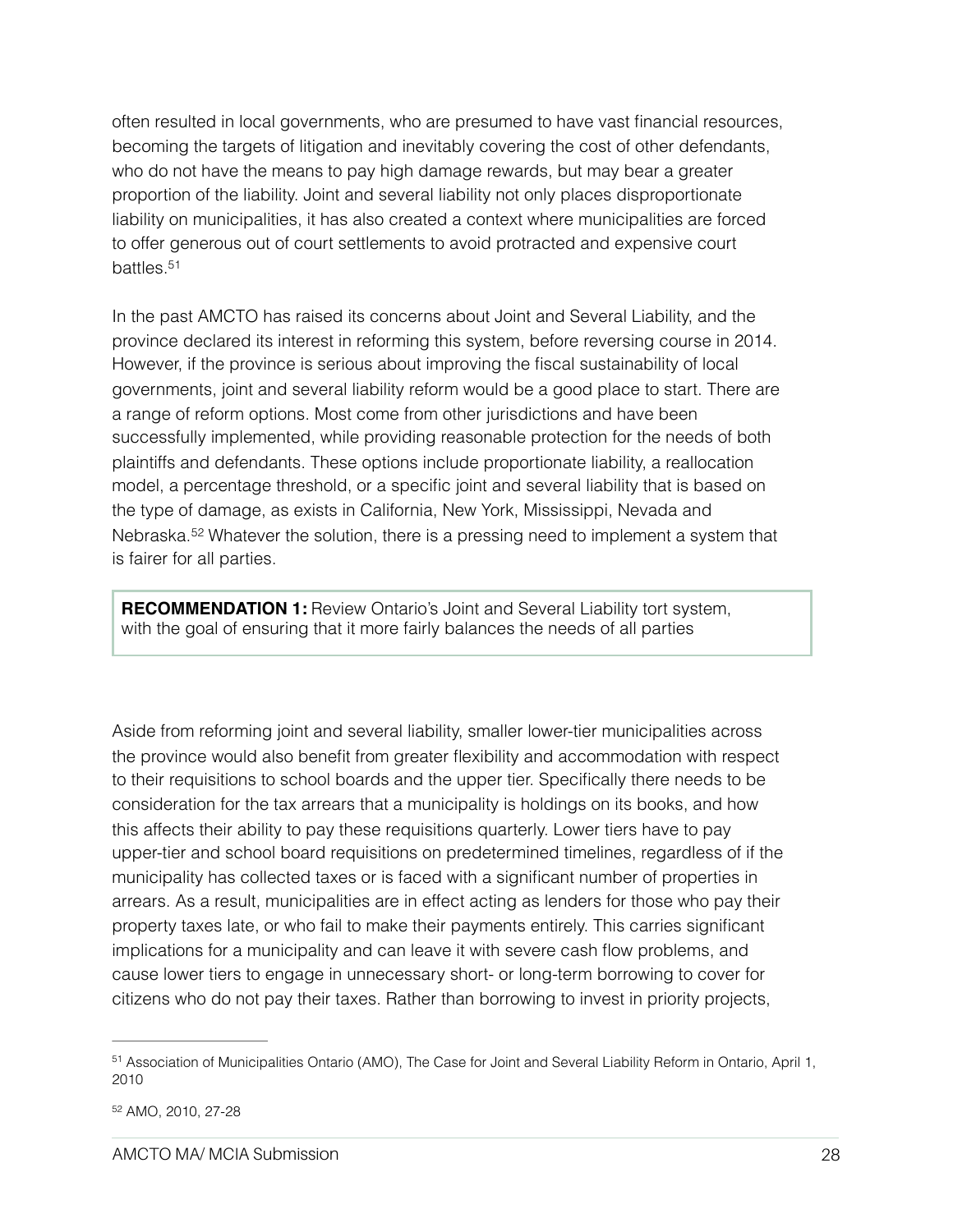often resulted in local governments, who are presumed to have vast financial resources, becoming the targets of litigation and inevitably covering the cost of other defendants, who do not have the means to pay high damage rewards, but may bear a greater proportion of the liability. Joint and several liability not only places disproportionate liability on municipalities, it has also created a context where municipalities are forced to offer generous out of court settlements to avoid protracted and expensive court battles[.51](#page-27-0)

<span id="page-27-2"></span>In the past AMCTO has raised its concerns about Joint and Several Liability, and the province declared its interest in reforming this system, before reversing course in 2014. However, if the province is serious about improving the fiscal sustainability of local governments, joint and several liability reform would be a good place to start. There are a range of reform options. Most come from other jurisdictions and have been successfully implemented, while providing reasonable protection for the needs of both plaintiffs and defendants. These options include proportionate liability, a reallocation model, a percentage threshold, or a specific joint and several liability that is based on the type of damage, as exists in California, New York, Mississippi, Nevada and Nebraska.<sup>52</sup>Whatever the solution, there is a pressing need to implement a system that is fairer for all parties.

<span id="page-27-3"></span>**RECOMMENDATION 1:** Review Ontario's Joint and Several Liability tort system, with the goal of ensuring that it more fairly balances the needs of all parties

Aside from reforming joint and several liability, smaller lower-tier municipalities across the province would also benefit from greater flexibility and accommodation with respect to their requisitions to school boards and the upper tier. Specifically there needs to be consideration for the tax arrears that a municipality is holdings on its books, and how this affects their ability to pay these requisitions quarterly. Lower tiers have to pay upper-tier and school board requisitions on predetermined timelines, regardless of if the municipality has collected taxes or is faced with a significant number of properties in arrears. As a result, municipalities are in effect acting as lenders for those who pay their property taxes late, or who fail to make their payments entirely. This carries significant implications for a municipality and can leave it with severe cash flow problems, and cause lower tiers to engage in unnecessary short- or long-term borrowing to cover for citizens who do not pay their taxes. Rather than borrowing to invest in priority projects,

<span id="page-27-0"></span><sup>51</sup>Association of Municipalities Ontario (AMO), The Case for Joint and Several Liability Reform in Ontario, April 1, 2010

<span id="page-27-1"></span>[<sup>52</sup>](#page-27-3) AMO, 2010, 27-28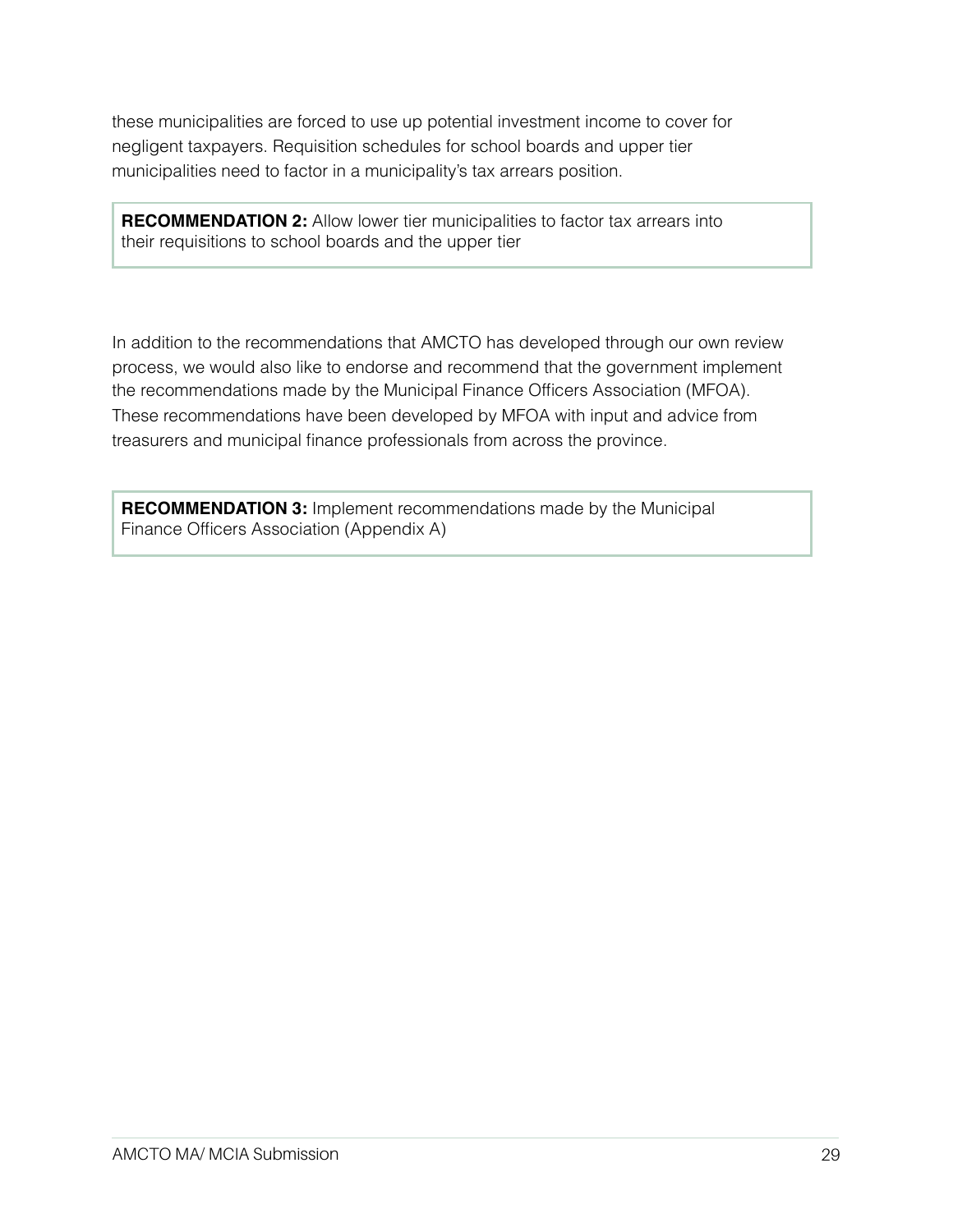these municipalities are forced to use up potential investment income to cover for negligent taxpayers. Requisition schedules for school boards and upper tier municipalities need to factor in a municipality's tax arrears position.

**RECOMMENDATION 2:** Allow lower tier municipalities to factor tax arrears into their requisitions to school boards and the upper tier

In addition to the recommendations that AMCTO has developed through our own review process, we would also like to endorse and recommend that the government implement the recommendations made by the Municipal Finance Officers Association (MFOA). These recommendations have been developed by MFOA with input and advice from treasurers and municipal finance professionals from across the province.

**RECOMMENDATION 3:** Implement recommendations made by the Municipal Finance Officers Association (Appendix A)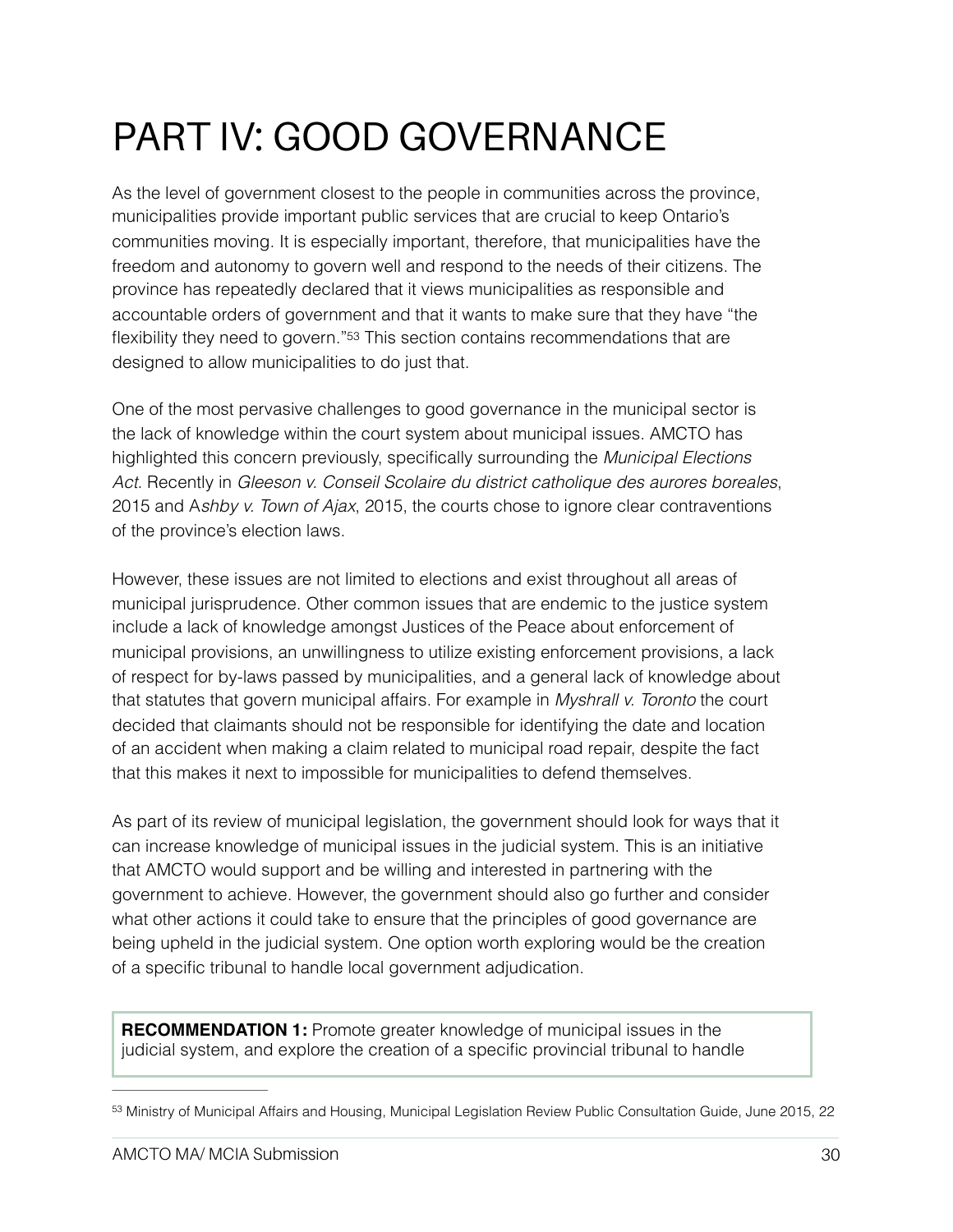## PART IV: GOOD GOVERNANCE

As the level of government closest to the people in communities across the province, municipalities provide important public services that are crucial to keep Ontario's communities moving. It is especially important, therefore, that municipalities have the freedom and autonomy to govern well and respond to the needs of their citizens. The province has repeatedly declared that it views municipalities as responsible and accountable orders of government and that it wants to make sure that they have "the flexibility they need to govern.["53](#page-29-0) This section contains recommendations that are designed to allow municipalities to do just that.

<span id="page-29-1"></span>One of the most pervasive challenges to good governance in the municipal sector is the lack of knowledge within the court system about municipal issues. AMCTO has highlighted this concern previously, specifically surrounding the *Municipal Elections Act*. Recently in *Gleeson v. Conseil Scolaire du district catholique des aurores boreales*, 2015 and A*shby v. Town of Ajax*, 2015, the courts chose to ignore clear contraventions of the province's election laws.

However, these issues are not limited to elections and exist throughout all areas of municipal jurisprudence. Other common issues that are endemic to the justice system include a lack of knowledge amongst Justices of the Peace about enforcement of municipal provisions, an unwillingness to utilize existing enforcement provisions, a lack of respect for by-laws passed by municipalities, and a general lack of knowledge about that statutes that govern municipal affairs. For example in *Myshrall v. Toronto* the court decided that claimants should not be responsible for identifying the date and location of an accident when making a claim related to municipal road repair, despite the fact that this makes it next to impossible for municipalities to defend themselves.

As part of its review of municipal legislation, the government should look for ways that it can increase knowledge of municipal issues in the judicial system. This is an initiative that AMCTO would support and be willing and interested in partnering with the government to achieve. However, the government should also go further and consider what other actions it could take to ensure that the principles of good governance are being upheld in the judicial system. One option worth exploring would be the creation of a specific tribunal to handle local government adjudication.

**RECOMMENDATION 1:** Promote greater knowledge of municipal issues in the judicial system, and explore the creation of a specific provincial tribunal to handle

<span id="page-29-0"></span>[<sup>53</sup>](#page-29-1) Ministry of Municipal Affairs and Housing, Municipal Legislation Review Public Consultation Guide, June 2015, 22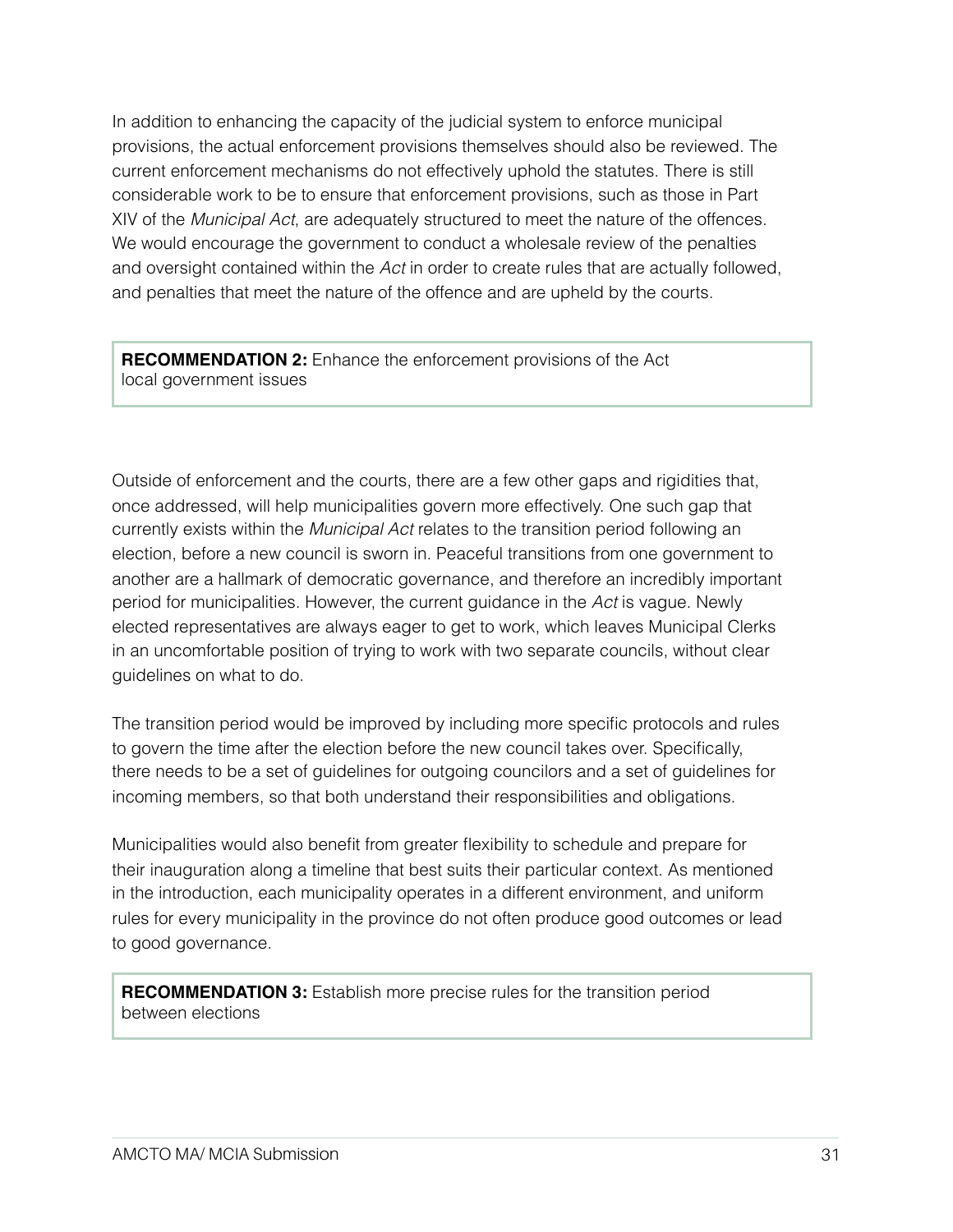In addition to enhancing the capacity of the judicial system to enforce municipal provisions, the actual enforcement provisions themselves should also be reviewed. The current enforcement mechanisms do not effectively uphold the statutes. There is still considerable work to be to ensure that enforcement provisions, such as those in Part XIV of the *Municipal Act*, are adequately structured to meet the nature of the offences. We would encourage the government to conduct a wholesale review of the penalties and oversight contained within the *Act* in order to create rules that are actually followed, and penalties that meet the nature of the offence and are upheld by the courts.

**RECOMMENDATION 2:** Enhance the enforcement provisions of the Act local government issues

Outside of enforcement and the courts, there are a few other gaps and rigidities that, once addressed, will help municipalities govern more effectively. One such gap that currently exists within the *Municipal Act* relates to the transition period following an election, before a new council is sworn in. Peaceful transitions from one government to another are a hallmark of democratic governance, and therefore an incredibly important period for municipalities. However, the current guidance in the *Act* is vague. Newly elected representatives are always eager to get to work, which leaves Municipal Clerks in an uncomfortable position of trying to work with two separate councils, without clear guidelines on what to do.

The transition period would be improved by including more specific protocols and rules to govern the time after the election before the new council takes over. Specifically, there needs to be a set of guidelines for outgoing councilors and a set of guidelines for incoming members, so that both understand their responsibilities and obligations.

Municipalities would also benefit from greater flexibility to schedule and prepare for their inauguration along a timeline that best suits their particular context. As mentioned in the introduction, each municipality operates in a different environment, and uniform rules for every municipality in the province do not often produce good outcomes or lead to good governance.

**RECOMMENDATION 3:** Establish more precise rules for the transition period between elections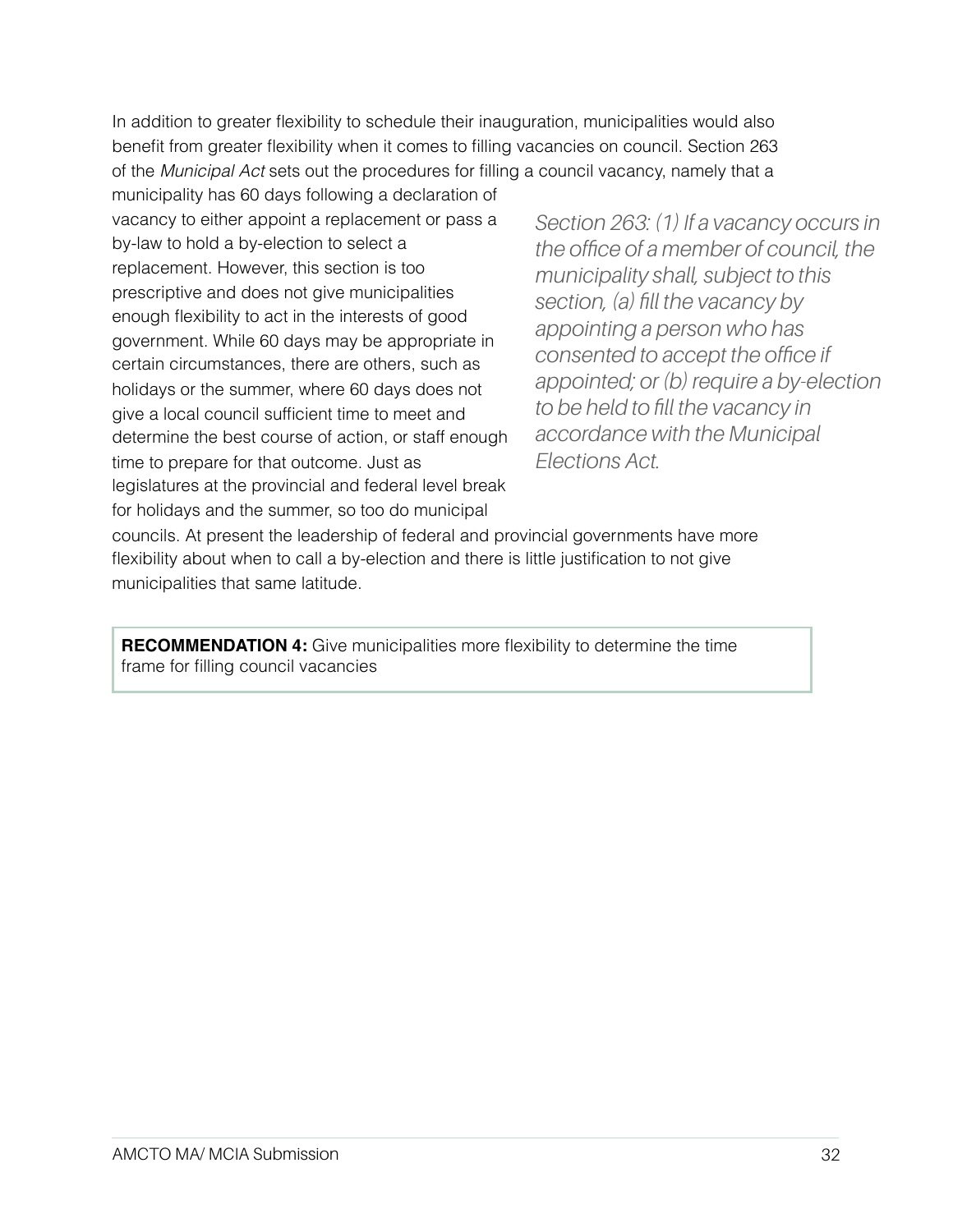In addition to greater flexibility to schedule their inauguration, municipalities would also benefit from greater flexibility when it comes to filling vacancies on council. Section 263 of the *Municipal Act* sets out the procedures for filling a council vacancy, namely that a

municipality has 60 days following a declaration of vacancy to either appoint a replacement or pass a by-law to hold a by-election to select a replacement. However, this section is too prescriptive and does not give municipalities enough flexibility to act in the interests of good government. While 60 days may be appropriate in certain circumstances, there are others, such as holidays or the summer, where 60 days does not give a local council sufficient time to meet and determine the best course of action, or staff enough time to prepare for that outcome. Just as legislatures at the provincial and federal level break for holidays and the summer, so too do municipal

*Section 263: (1) If a vacancy occurs in the office of a member of council, the municipality shall, subject to this section, (a) fill the vacancy by appointing a person who has consented to accept the office if appointed; or (b) require a by-election to be held to fill the vacancy in accordance with the Municipal Elections Act.*

councils. At present the leadership of federal and provincial governments have more flexibility about when to call a by-election and there is little justification to not give municipalities that same latitude.

**RECOMMENDATION 4:** Give municipalities more flexibility to determine the time frame for filling council vacancies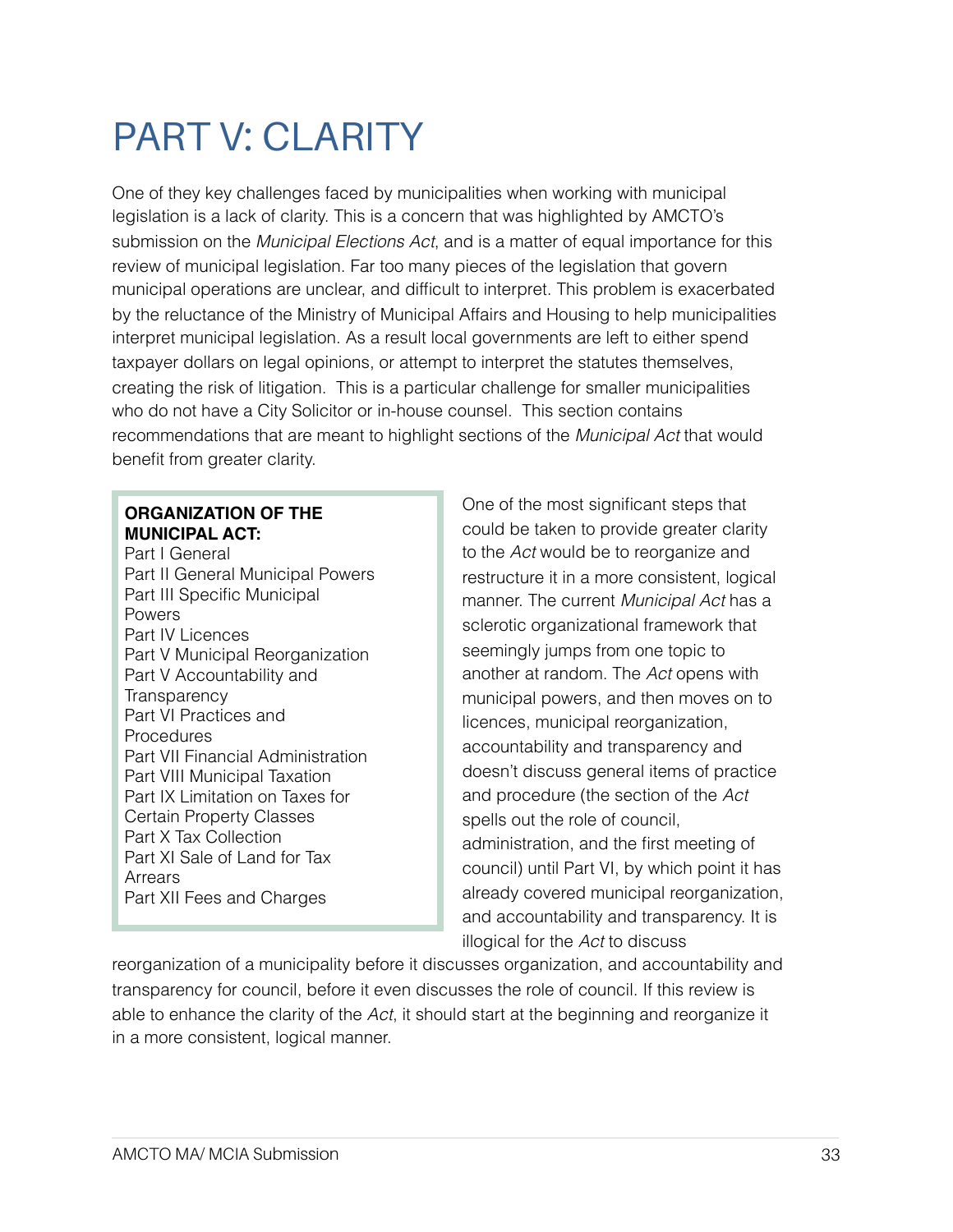## PART V: CLARITY

One of they key challenges faced by municipalities when working with municipal legislation is a lack of clarity. This is a concern that was highlighted by AMCTO's submission on the *Municipal Elections Act*, and is a matter of equal importance for this review of municipal legislation. Far too many pieces of the legislation that govern municipal operations are unclear, and difficult to interpret. This problem is exacerbated by the reluctance of the Ministry of Municipal Affairs and Housing to help municipalities interpret municipal legislation. As a result local governments are left to either spend taxpayer dollars on legal opinions, or attempt to interpret the statutes themselves, creating the risk of litigation. This is a particular challenge for smaller municipalities who do not have a City Solicitor or in-house counsel. This section contains recommendations that are meant to highlight sections of the *Municipal Act* that would benefit from greater clarity.

### **ORGANIZATION OF THE MUNICIPAL ACT:**

Part I General Part II General Municipal Powers Part III Specific Municipal Powers Part IV Licences Part V Municipal Reorganization Part V Accountability and **Transparency** Part VI Practices and **Procedures** Part VII Financial Administration Part VIII Municipal Taxation Part IX Limitation on Taxes for Certain Property Classes Part X Tax Collection Part XI Sale of Land for Tax Arrears Part XII Fees and Charges

One of the most significant steps that could be taken to provide greater clarity to the *Act* would be to reorganize and restructure it in a more consistent, logical manner. The current *Municipal Act* has a sclerotic organizational framework that seemingly jumps from one topic to another at random. The *Act* opens with municipal powers, and then moves on to licences, municipal reorganization, accountability and transparency and doesn't discuss general items of practice and procedure (the section of the *Act* spells out the role of council, administration, and the first meeting of council) until Part VI, by which point it has already covered municipal reorganization, and accountability and transparency. It is illogical for the *Act* to discuss

reorganization of a municipality before it discusses organization, and accountability and transparency for council, before it even discusses the role of council. If this review is able to enhance the clarity of the *Act*, it should start at the beginning and reorganize it in a more consistent, logical manner.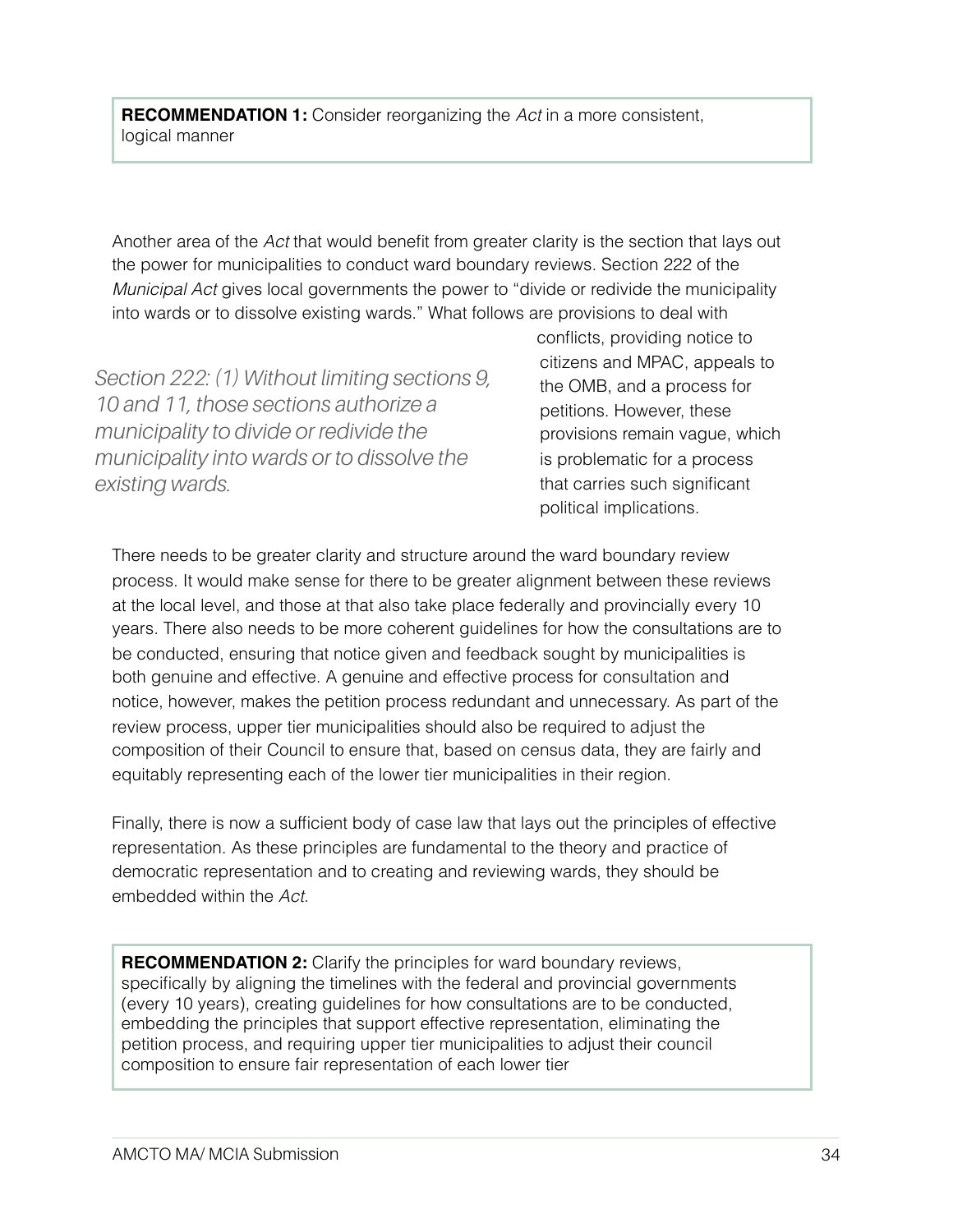**RECOMMENDATION 1:** Consider reorganizing the *Act* in a more consistent, logical manner

Another area of the *Act* that would benefit from greater clarity is the section that lays out the power for municipalities to conduct ward boundary reviews. Section 222 of the *Municipal Act* gives local governments the power to "divide or redivide the municipality into wards or to dissolve existing wards." What follows are provisions to deal with

*Section 222: (1) Without limiting sections 9, 10 and 11, those sections authorize a municipality to divide or redivide the municipality into wards or to dissolve the existing wards.*

conflicts, providing notice to citizens and MPAC, appeals to the OMB, and a process for petitions. However, these provisions remain vague, which is problematic for a process that carries such significant political implications.

There needs to be greater clarity and structure around the ward boundary review process. It would make sense for there to be greater alignment between these reviews at the local level, and those at that also take place federally and provincially every 10 years. There also needs to be more coherent guidelines for how the consultations are to be conducted, ensuring that notice given and feedback sought by municipalities is both genuine and effective. A genuine and effective process for consultation and notice, however, makes the petition process redundant and unnecessary. As part of the review process, upper tier municipalities should also be required to adjust the composition of their Council to ensure that, based on census data, they are fairly and equitably representing each of the lower tier municipalities in their region.

Finally, there is now a sufficient body of case law that lays out the principles of effective representation. As these principles are fundamental to the theory and practice of democratic representation and to creating and reviewing wards, they should be embedded within the *Act*.

**RECOMMENDATION 2:** Clarify the principles for ward boundary reviews, specifically by aligning the timelines with the federal and provincial governments (every 10 years), creating guidelines for how consultations are to be conducted, embedding the principles that support effective representation, eliminating the petition process, and requiring upper tier municipalities to adjust their council composition to ensure fair representation of each lower tier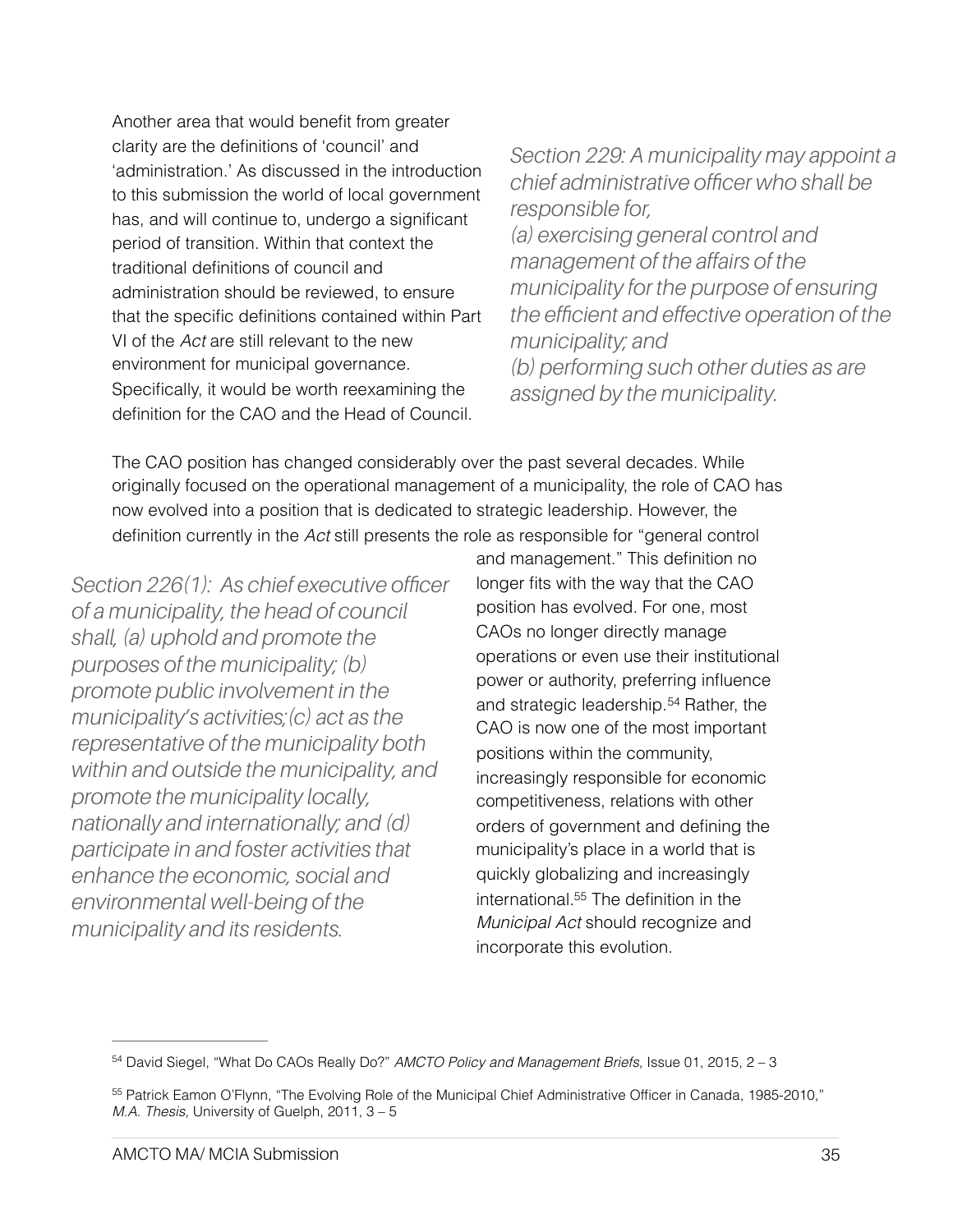Another area that would benefit from greater clarity are the definitions of 'council' and 'administration.' As discussed in the introduction to this submission the world of local government has, and will continue to, undergo a significant period of transition. Within that context the traditional definitions of council and administration should be reviewed, to ensure that the specific definitions contained within Part VI of the *Act* are still relevant to the new environment for municipal governance. Specifically, it would be worth reexamining the definition for the CAO and the Head of Council.

*Section 229: A municipality may appoint a chief administrative officer who shall be responsible for, (a) exercising general control and management of the affairs of the municipality for the purpose of ensuring the efficient and effective operation of the municipality; and (b) performing such other duties as are assigned by the municipality.*

The CAO position has changed considerably over the past several decades. While originally focused on the operational management of a municipality, the role of CAO has now evolved into a position that is dedicated to strategic leadership. However, the definition currently in the *Act* still presents the role as responsible for "general control

*Section 226(1): As chief executive officer of a municipality, the head of council shall, (a) uphold and promote the purposes of the municipality; (b) promote public involvement in the municipality's activities;(c) act as the representative of the municipality both within and outside the municipality, and promote the municipality locally, nationally and internationally; and (d) participate in and foster activities that enhance the economic, social and environmental well-being of the municipality and its residents.* 

<span id="page-34-3"></span><span id="page-34-2"></span>and management." This definition no longer fits with the way that the CAO position has evolved. For one, most CAOs no longer directly manage operations or even use their institutional power or authority, preferring influence and strategic leadership.<sup>[54](#page-34-0)</sup> Rather, the CAO is now one of the most important positions within the community, increasingly responsible for economic competitiveness, relations with other orders of government and defining the municipality's place in a world that is quickly globalizing and increasingly international[.](#page-34-1)<sup>[55](#page-34-1)</sup> The definition in the *Municipal Act* should recognize and incorporate this evolution.

<span id="page-34-0"></span><sup>&</sup>lt;sup>[54](#page-34-2)</sup> David Siegel, "What Do CAOs Really Do?" *AMCTO Policy and Management Briefs*, Issue 01, 2015, 2 – 3

<span id="page-34-1"></span><sup>55</sup>Patrick Eamon O'Flynn, "The Evolving Role of the Municipal Chief Administrative Officer in Canada, 1985-2010," *M.A. Thesis,* University of Guelph, 2011, 3 – 5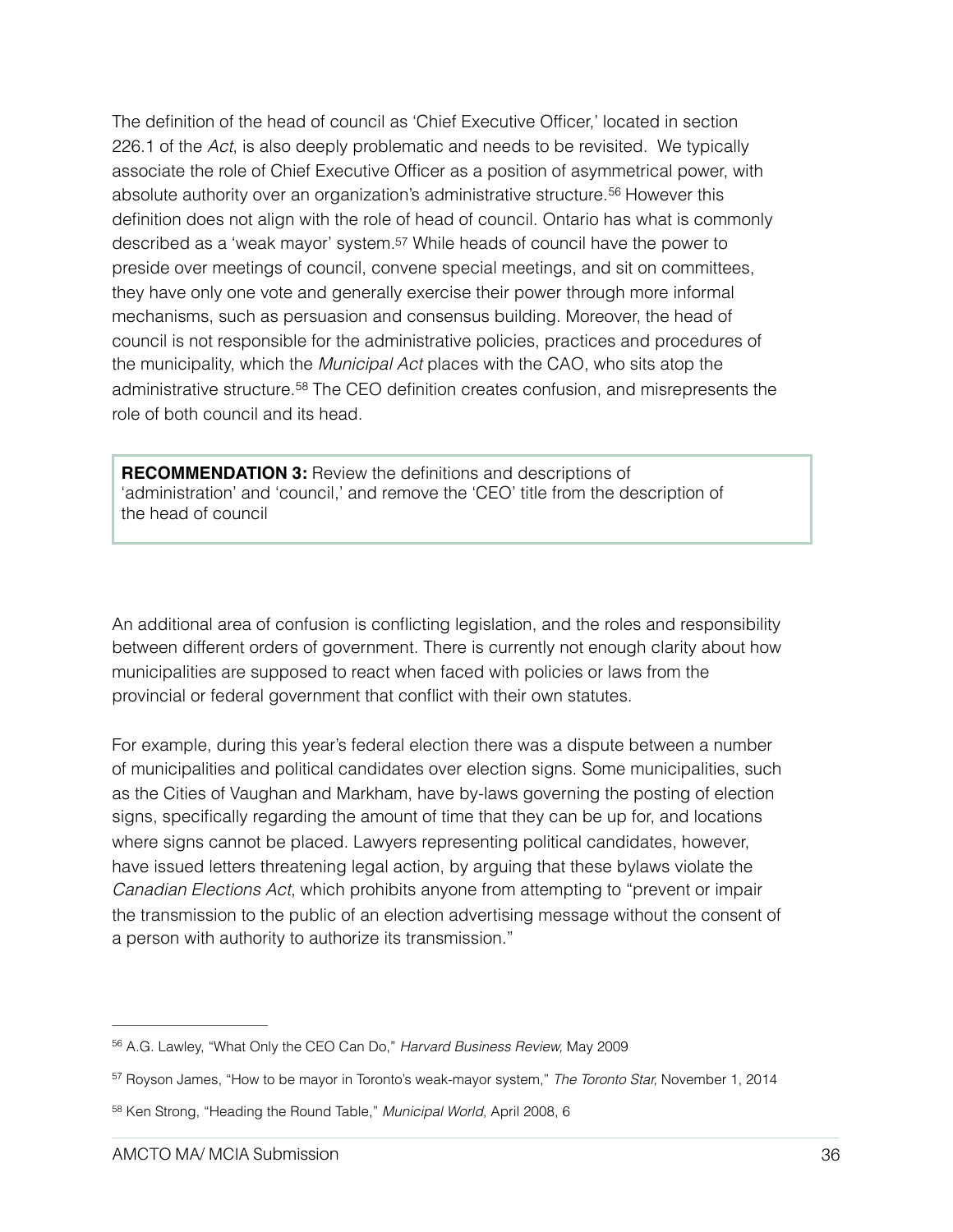<span id="page-35-4"></span><span id="page-35-3"></span>The definition of the head of council as 'Chief Executive Officer,' located in section 226.1 of the *Act*, is also deeply problematic and needs to be revisited. We typically associate the role of Chief Executive Officer as a position of asymmetrical power, with absoluteauthority over an organization's administrative structure.<sup>[56](#page-35-0)</sup> However this definition does not align with the role of head of council. Ontario has what is commonly described as a 'weak mayor' system[.57](#page-35-1) While heads of council have the power to preside over meetings of council, convene special meetings, and sit on committees, they have only one vote and generally exercise their power through more informal mechanisms, such as persuasion and consensus building. Moreover, the head of council is not responsible for the administrative policies, practices and procedures of the municipality, which the *Municipal Act* places with the CAO, who sits atop the administrativestructure.<sup>[58](#page-35-2)</sup> The CEO definition creates confusion, and misrepresents the role of both council and its head.

<span id="page-35-5"></span>**RECOMMENDATION 3:** Review the definitions and descriptions of 'administration' and 'council,' and remove the 'CEO' title from the description of the head of council

An additional area of confusion is conflicting legislation, and the roles and responsibility between different orders of government. There is currently not enough clarity about how municipalities are supposed to react when faced with policies or laws from the provincial or federal government that conflict with their own statutes.

For example, during this year's federal election there was a dispute between a number of municipalities and political candidates over election signs. Some municipalities, such as the Cities of Vaughan and Markham, have by-laws governing the posting of election signs, specifically regarding the amount of time that they can be up for, and locations where signs cannot be placed. Lawyers representing political candidates, however, have issued letters threatening legal action, by arguing that these bylaws violate the *Canadian Elections Act*, which prohibits anyone from attempting to "prevent or impair the transmission to the public of an election advertising message without the consent of a person with authority to authorize its transmission."

<span id="page-35-0"></span><sup>&</sup>lt;sup>[56](#page-35-3)</sup> A.G. Lawley, "What Only the CEO Can Do," *Harvard Business Review*, May 2009

<span id="page-35-1"></span><sup>&</sup>lt;sup>[57](#page-35-4)</sup> Royson James, "How to be mayor in Toronto's weak-mayor system," *The Toronto Star*, November 1, 2014

<span id="page-35-2"></span><sup>&</sup>lt;sup>[58](#page-35-5)</sup> Ken Strong, "Heading the Round Table," Municipal World, April 2008, 6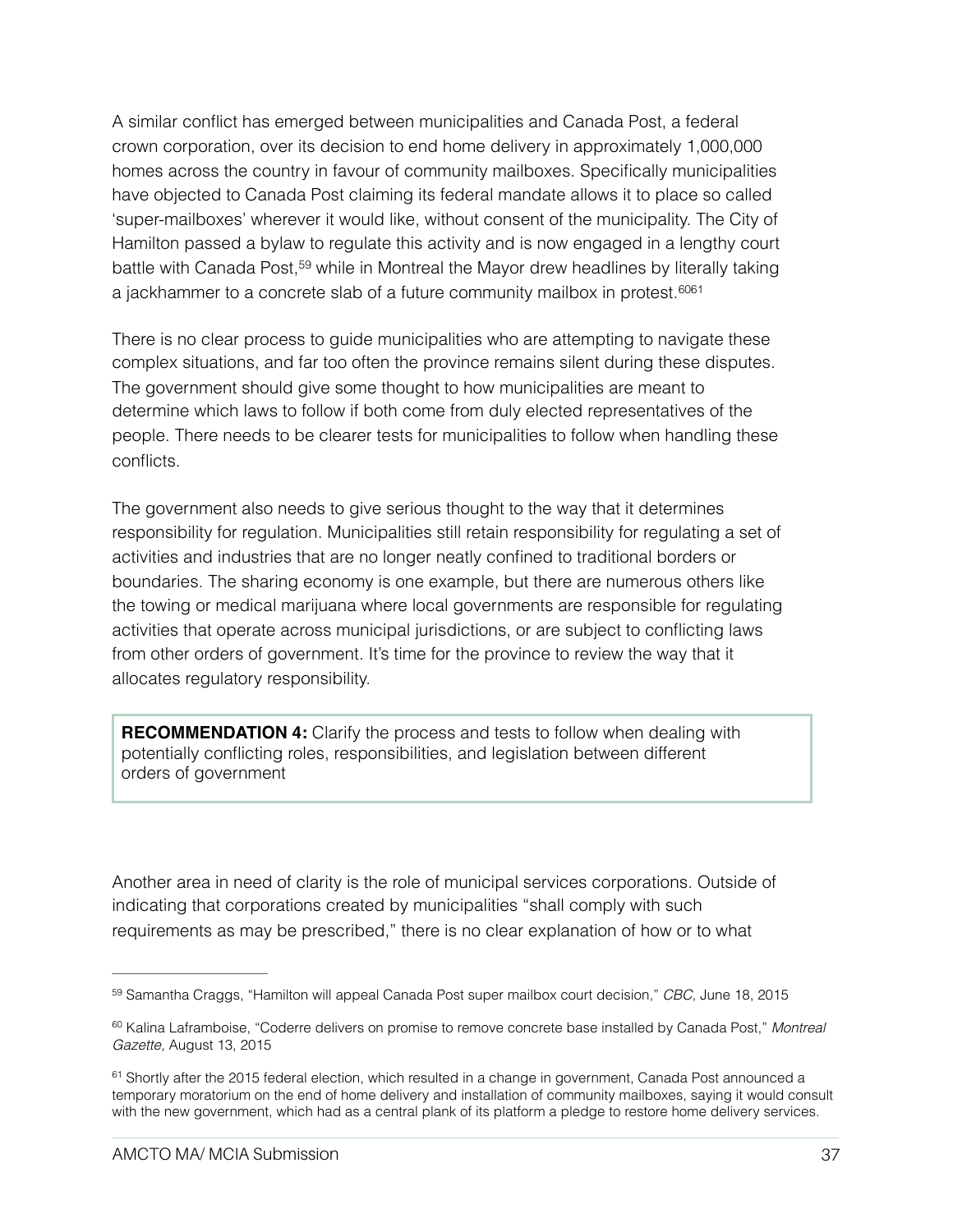A similar conflict has emerged between municipalities and Canada Post, a federal crown corporation, over its decision to end home delivery in approximately 1,000,000 homes across the country in favour of community mailboxes. Specifically municipalities have objected to Canada Post claiming its federal mandate allows it to place so called 'super-mailboxes' wherever it would like, without consent of the municipality. The City of Hamilton passed a bylaw to regulate this activity and is now engaged in a lengthy court battlewith Canada Post,<sup>[59](#page-36-0)</sup> while in Montreal the Mayor drew headlines by literally taking a jackhammer to a concrete slab of a future community mailbox in protest.[60](#page-36-1)[61](#page-36-2)

<span id="page-36-5"></span><span id="page-36-4"></span><span id="page-36-3"></span>There is no clear process to guide municipalities who are attempting to navigate these complex situations, and far too often the province remains silent during these disputes. The government should give some thought to how municipalities are meant to determine which laws to follow if both come from duly elected representatives of the people. There needs to be clearer tests for municipalities to follow when handling these conflicts.

The government also needs to give serious thought to the way that it determines responsibility for regulation. Municipalities still retain responsibility for regulating a set of activities and industries that are no longer neatly confined to traditional borders or boundaries. The sharing economy is one example, but there are numerous others like the towing or medical marijuana where local governments are responsible for regulating activities that operate across municipal jurisdictions, or are subject to conflicting laws from other orders of government. It's time for the province to review the way that it allocates regulatory responsibility.

**RECOMMENDATION 4:** Clarify the process and tests to follow when dealing with potentially conflicting roles, responsibilities, and legislation between different orders of government

Another area in need of clarity is the role of municipal services corporations. Outside of indicating that corporations created by municipalities "shall comply with such requirements as may be prescribed," there is no clear explanation of how or to what

<span id="page-36-0"></span>[<sup>59</sup>](#page-36-3) Samantha Craggs, "Hamilton will appeal Canada Post super mailbox court decision," *CBC*, June 18, 2015

<span id="page-36-1"></span>[<sup>60</sup>](#page-36-4) Kalina Laframboise, "Coderre delivers on promise to remove concrete base installed by Canada Post," Montreal *Gazette,* August 13, 2015

<span id="page-36-2"></span> $61$ Shortly after the 2015 federal election, which resulted in a change in government, Canada Post announced a temporary moratorium on the end of home delivery and installation of community mailboxes, saying it would consult with the new government, which had as a central plank of its platform a pledge to restore home delivery services.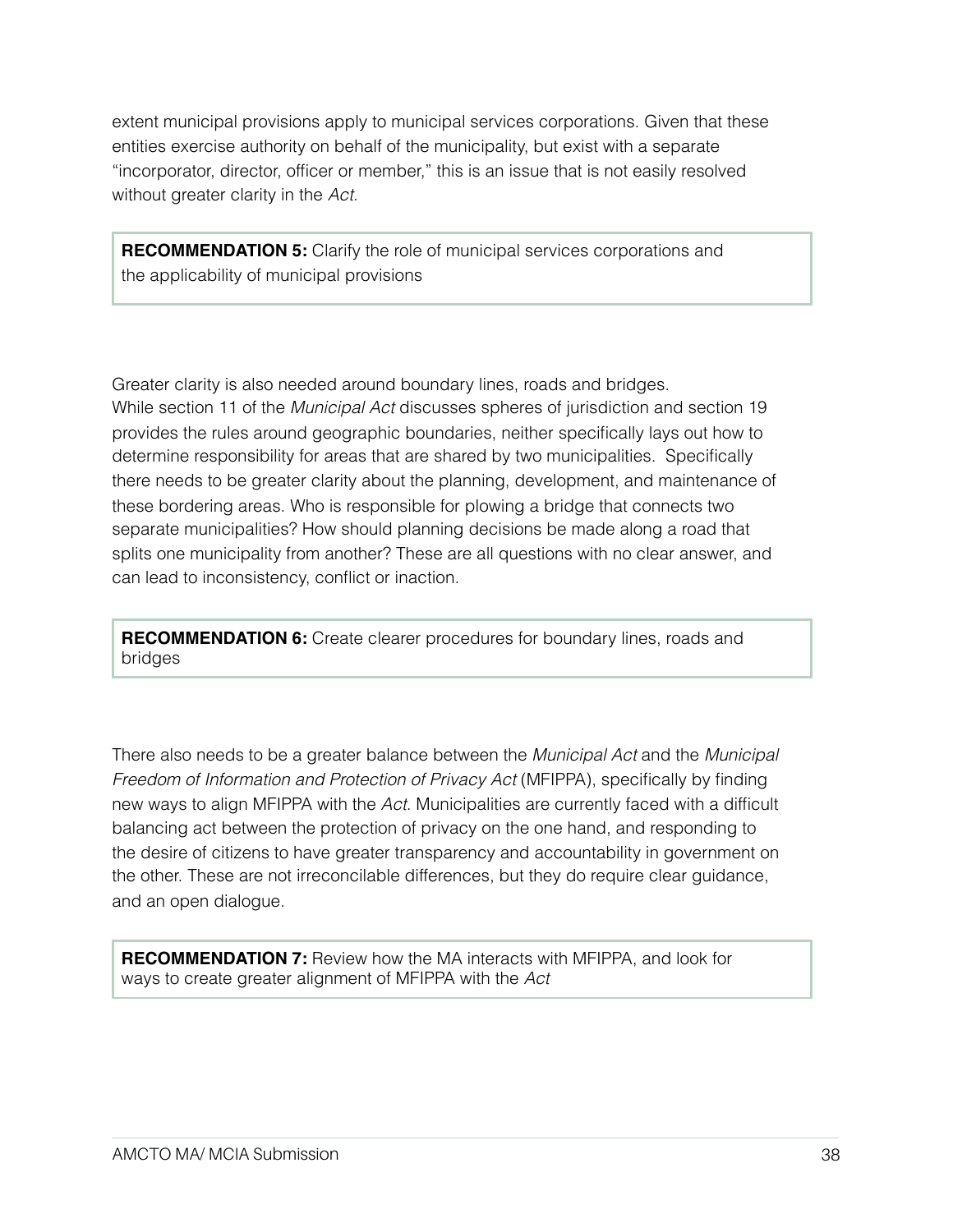extent municipal provisions apply to municipal services corporations. Given that these entities exercise authority on behalf of the municipality, but exist with a separate "incorporator, director, officer or member," this is an issue that is not easily resolved without greater clarity in the *Act*.

**RECOMMENDATION 5:** Clarify the role of municipal services corporations and the applicability of municipal provisions

Greater clarity is also needed around boundary lines, roads and bridges. While section 11 of the *Municipal Act* discusses spheres of jurisdiction and section 19 provides the rules around geographic boundaries, neither specifically lays out how to determine responsibility for areas that are shared by two municipalities. Specifically there needs to be greater clarity about the planning, development, and maintenance of these bordering areas. Who is responsible for plowing a bridge that connects two separate municipalities? How should planning decisions be made along a road that splits one municipality from another? These are all questions with no clear answer, and can lead to inconsistency, conflict or inaction.

**RECOMMENDATION 6:** Create clearer procedures for boundary lines, roads and bridges

There also needs to be a greater balance between the *Municipal Act* and the *Municipal Freedom of Information and Protection of Privacy Act* (MFIPPA), specifically by finding new ways to align MFIPPA with the *Act*. Municipalities are currently faced with a difficult balancing act between the protection of privacy on the one hand, and responding to the desire of citizens to have greater transparency and accountability in government on the other. These are not irreconcilable differences, but they do require clear guidance, and an open dialogue.

**RECOMMENDATION 7:** Review how the MA interacts with MFIPPA, and look for ways to create greater alignment of MFIPPA with the *Act*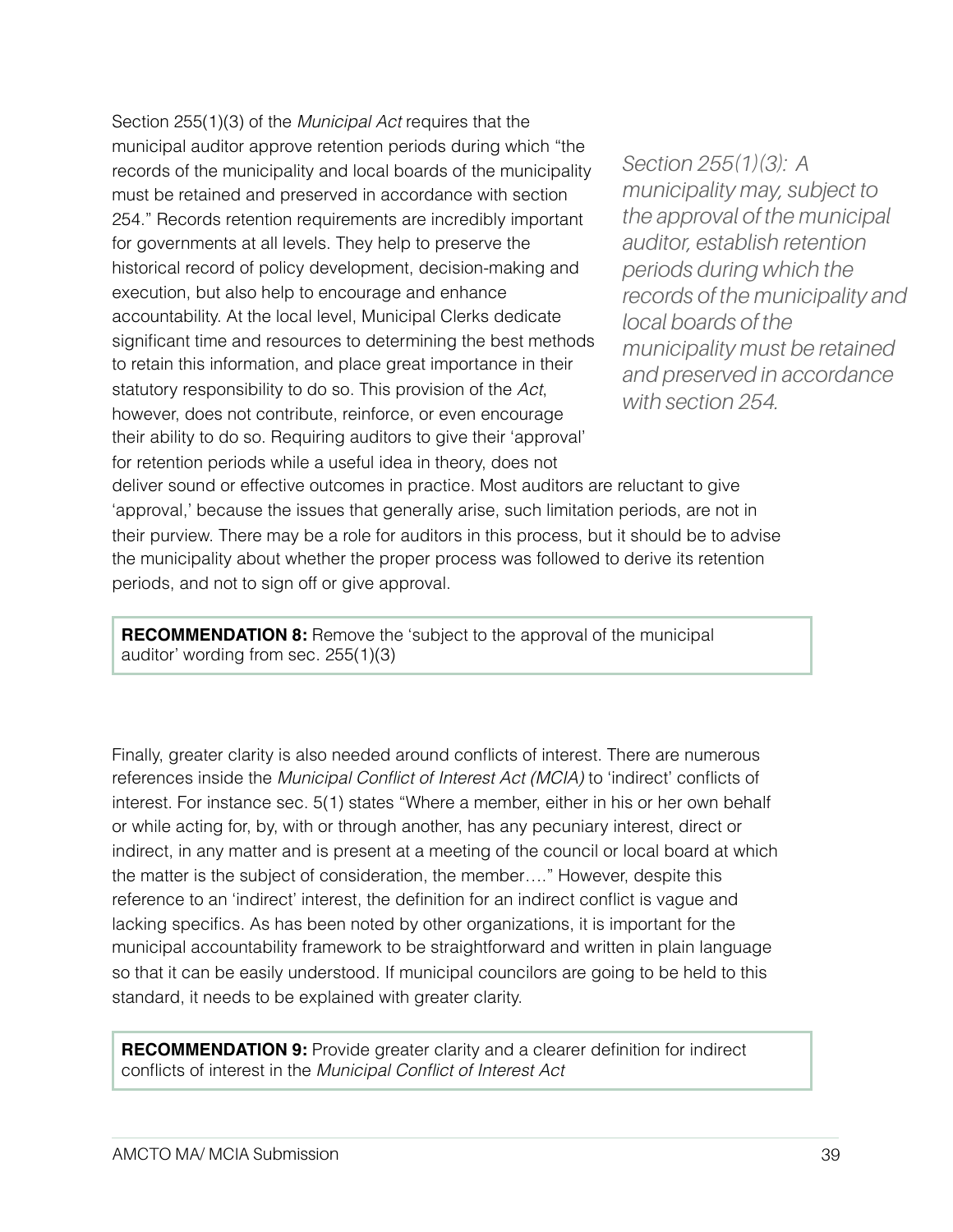Section 255(1)(3) of the *Municipal Act* requires that the municipal auditor approve retention periods during which "the records of the municipality and local boards of the municipality must be retained and preserved in accordance with section 254." Records retention requirements are incredibly important for governments at all levels. They help to preserve the historical record of policy development, decision-making and execution, but also help to encourage and enhance accountability. At the local level, Municipal Clerks dedicate significant time and resources to determining the best methods to retain this information, and place great importance in their statutory responsibility to do so. This provision of the *Act*, however, does not contribute, reinforce, or even encourage their ability to do so. Requiring auditors to give their 'approval' for retention periods while a useful idea in theory, does not

*Section 255(1)(3): A municipality may, subject to the approval of the municipal auditor, establish retention periods during which the records of the municipality and local boards of the municipality must be retained and preserved in accordance with section 254.*

deliver sound or effective outcomes in practice. Most auditors are reluctant to give 'approval,' because the issues that generally arise, such limitation periods, are not in their purview. There may be a role for auditors in this process, but it should be to advise the municipality about whether the proper process was followed to derive its retention periods, and not to sign off or give approval.

**RECOMMENDATION 8:** Remove the 'subject to the approval of the municipal auditor' wording from sec. 255(1)(3)

Finally, greater clarity is also needed around conflicts of interest. There are numerous references inside the *Municipal Conflict of Interest Act (MCIA)* to 'indirect' conflicts of interest. For instance sec. 5(1) states "Where a member, either in his or her own behalf or while acting for, by, with or through another, has any pecuniary interest, direct or indirect, in any matter and is present at a meeting of the council or local board at which the matter is the subject of consideration, the member…." However, despite this reference to an 'indirect' interest, the definition for an indirect conflict is vague and lacking specifics. As has been noted by other organizations, it is important for the municipal accountability framework to be straightforward and written in plain language so that it can be easily understood. If municipal councilors are going to be held to this standard, it needs to be explained with greater clarity.

**RECOMMENDATION 9:** Provide greater clarity and a clearer definition for indirect conflicts of interest in the *Municipal Conflict of Interest Act*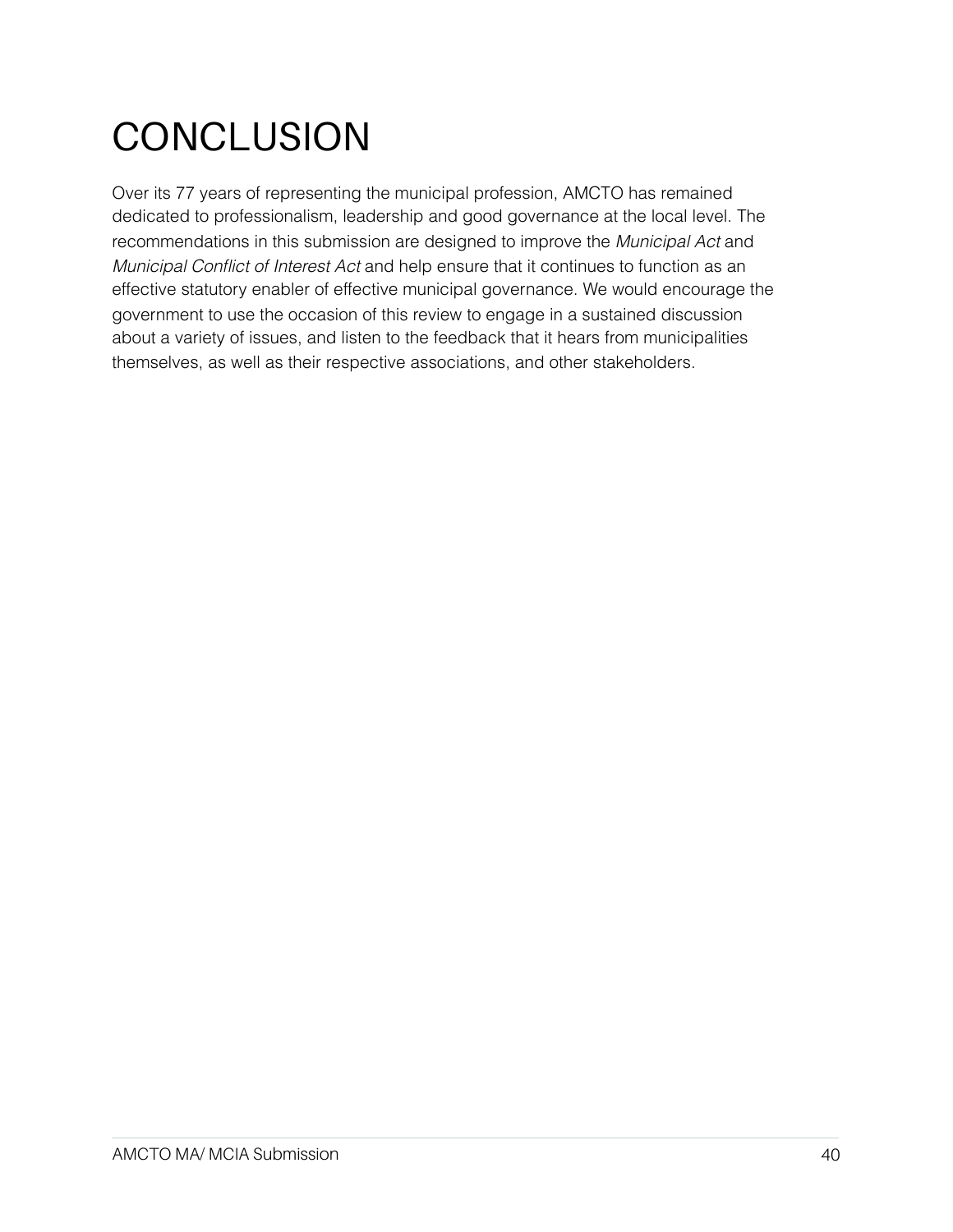## **CONCLUSION**

Over its 77 years of representing the municipal profession, AMCTO has remained dedicated to professionalism, leadership and good governance at the local level. The recommendations in this submission are designed to improve the *Municipal Act* and *Municipal Conflict of Interest Act* and help ensure that it continues to function as an effective statutory enabler of effective municipal governance. We would encourage the government to use the occasion of this review to engage in a sustained discussion about a variety of issues, and listen to the feedback that it hears from municipalities themselves, as well as their respective associations, and other stakeholders.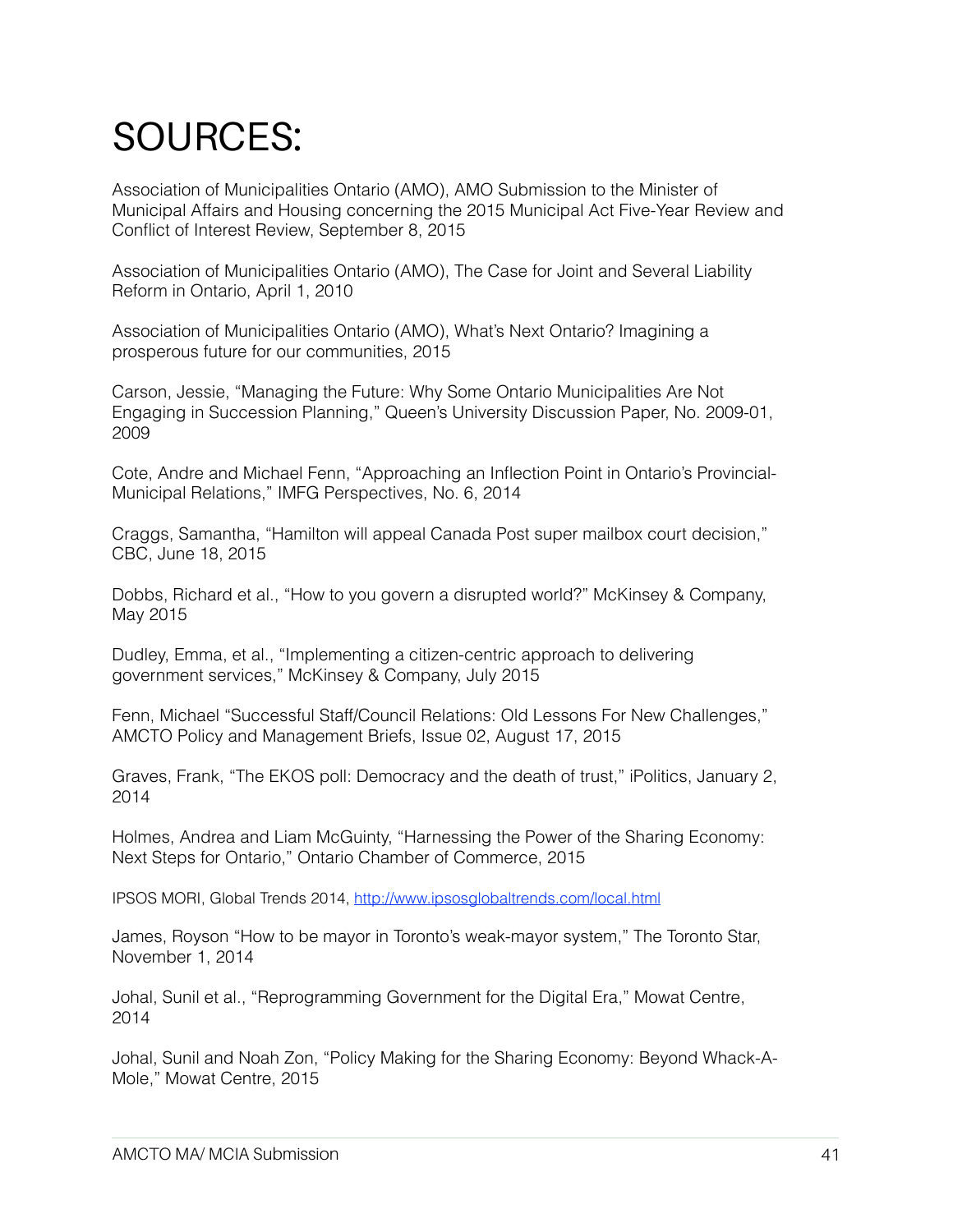## SOURCES:

Association of Municipalities Ontario (AMO), AMO Submission to the Minister of Municipal Affairs and Housing concerning the 2015 Municipal Act Five-Year Review and Conflict of Interest Review, September 8, 2015

Association of Municipalities Ontario (AMO), The Case for Joint and Several Liability Reform in Ontario, April 1, 2010

Association of Municipalities Ontario (AMO), What's Next Ontario? Imagining a prosperous future for our communities, 2015

Carson, Jessie, "Managing the Future: Why Some Ontario Municipalities Are Not Engaging in Succession Planning," Queen's University Discussion Paper, No. 2009-01, 2009

Cote, Andre and Michael Fenn, "Approaching an Inflection Point in Ontario's Provincial-Municipal Relations," IMFG Perspectives, No. 6, 2014

Craggs, Samantha, "Hamilton will appeal Canada Post super mailbox court decision," CBC, June 18, 2015

Dobbs, Richard et al., "How to you govern a disrupted world?" McKinsey & Company, May 2015

Dudley, Emma, et al., "Implementing a citizen-centric approach to delivering government services," McKinsey & Company, July 2015

Fenn, Michael "Successful Staff/Council Relations: Old Lessons For New Challenges," AMCTO Policy and Management Briefs, Issue 02, August 17, 2015

Graves, Frank, "The EKOS poll: Democracy and the death of trust," iPolitics, January 2, 2014

Holmes, Andrea and Liam McGuinty, "Harnessing the Power of the Sharing Economy: Next Steps for Ontario," Ontario Chamber of Commerce, 2015

IPSOS MORI, Global Trends 2014, <http://www.ipsosglobaltrends.com/local.html>

James, Royson "How to be mayor in Toronto's weak-mayor system," The Toronto Star, November 1, 2014

Johal, Sunil et al., "Reprogramming Government for the Digital Era," Mowat Centre, 2014

Johal, Sunil and Noah Zon, "Policy Making for the Sharing Economy: Beyond Whack-A-Mole," Mowat Centre, 2015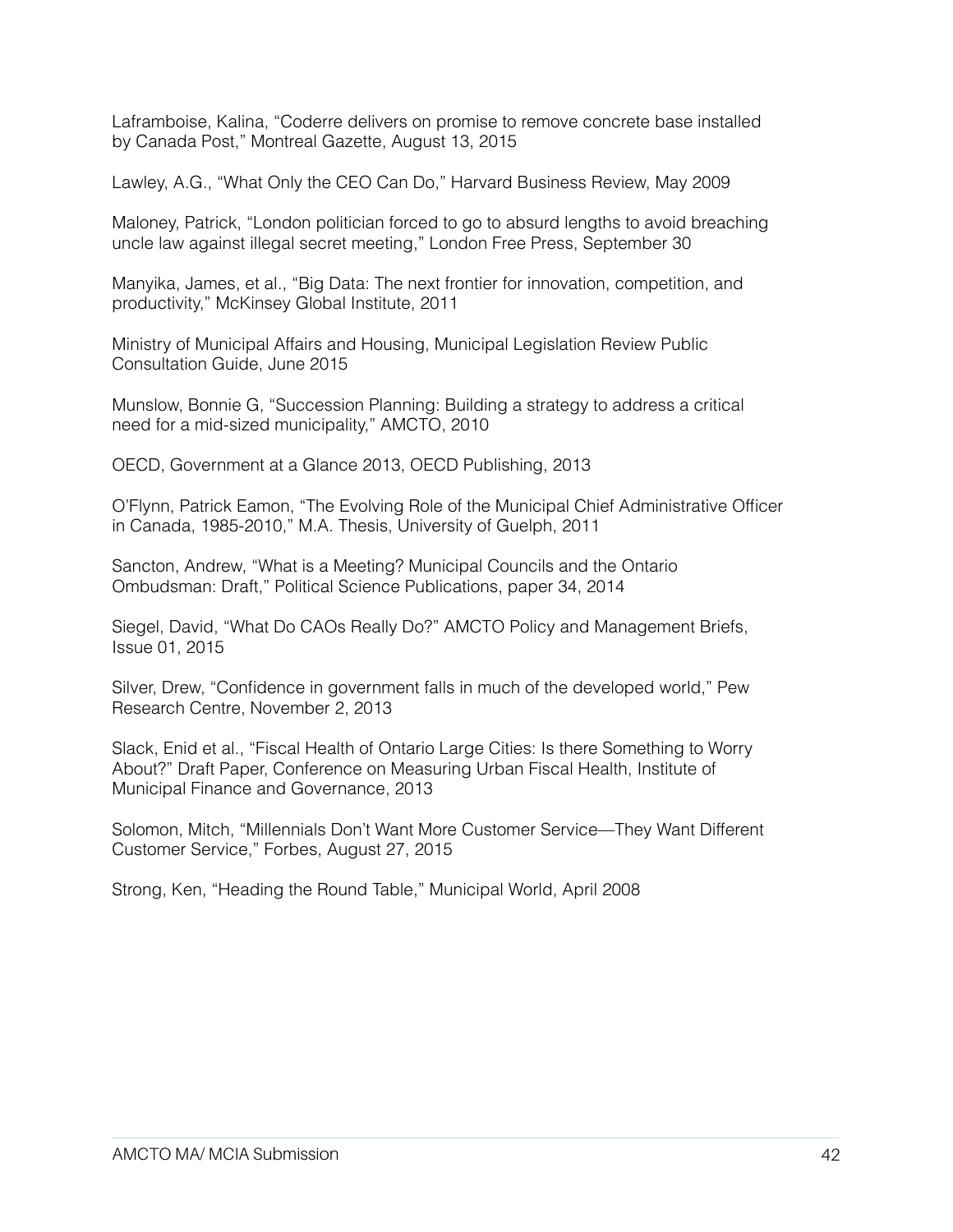Laframboise, Kalina, "Coderre delivers on promise to remove concrete base installed by Canada Post," Montreal Gazette, August 13, 2015

Lawley, A.G., "What Only the CEO Can Do," Harvard Business Review, May 2009

Maloney, Patrick, "London politician forced to go to absurd lengths to avoid breaching uncle law against illegal secret meeting," London Free Press, September 30

Manyika, James, et al., "Big Data: The next frontier for innovation, competition, and productivity," McKinsey Global Institute, 2011

Ministry of Municipal Affairs and Housing, Municipal Legislation Review Public Consultation Guide, June 2015

Munslow, Bonnie G, "Succession Planning: Building a strategy to address a critical need for a mid-sized municipality," AMCTO, 2010

OECD, Government at a Glance 2013, OECD Publishing, 2013

O'Flynn, Patrick Eamon, "The Evolving Role of the Municipal Chief Administrative Officer in Canada, 1985-2010," M.A. Thesis, University of Guelph, 2011

Sancton, Andrew, "What is a Meeting? Municipal Councils and the Ontario Ombudsman: Draft," Political Science Publications, paper 34, 2014

Siegel, David, "What Do CAOs Really Do?" AMCTO Policy and Management Briefs, Issue 01, 2015

Silver, Drew, "Confidence in government falls in much of the developed world," Pew Research Centre, November 2, 2013

Slack, Enid et al., "Fiscal Health of Ontario Large Cities: Is there Something to Worry About?" Draft Paper, Conference on Measuring Urban Fiscal Health, Institute of Municipal Finance and Governance, 2013

Solomon, Mitch, "Millennials Don't Want More Customer Service—They Want Different Customer Service," Forbes, August 27, 2015

Strong, Ken, "Heading the Round Table," Municipal World, April 2008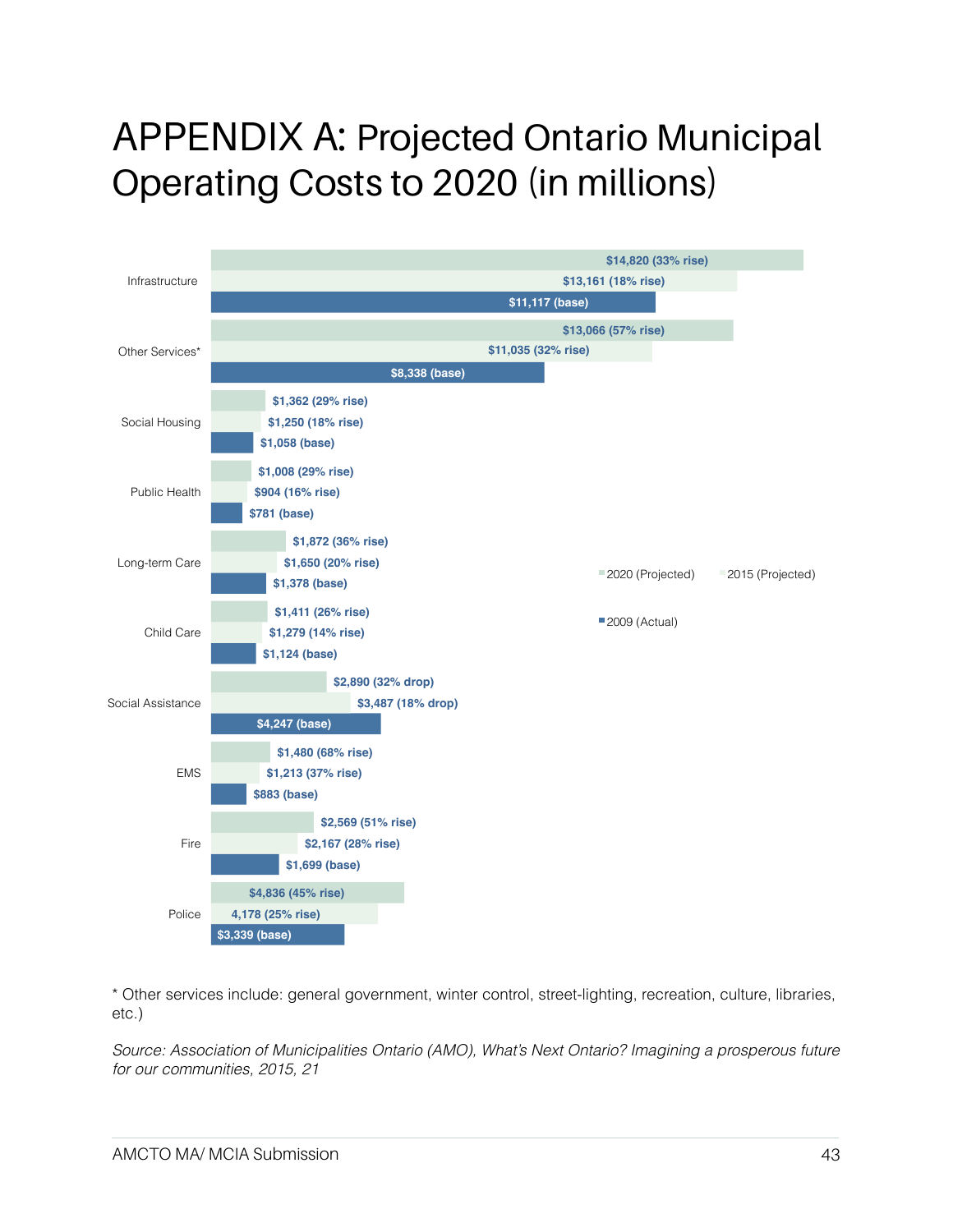### APPENDIX A: Projected Ontario Municipal Operating Costs to 2020 (in millions)



\* Other services include: general government, winter control, street-lighting, recreation, culture, libraries, etc.)

*Source: Association of Municipalities Ontario (AMO), What's Next Ontario? Imagining a prosperous future for our communities, 2015, 21*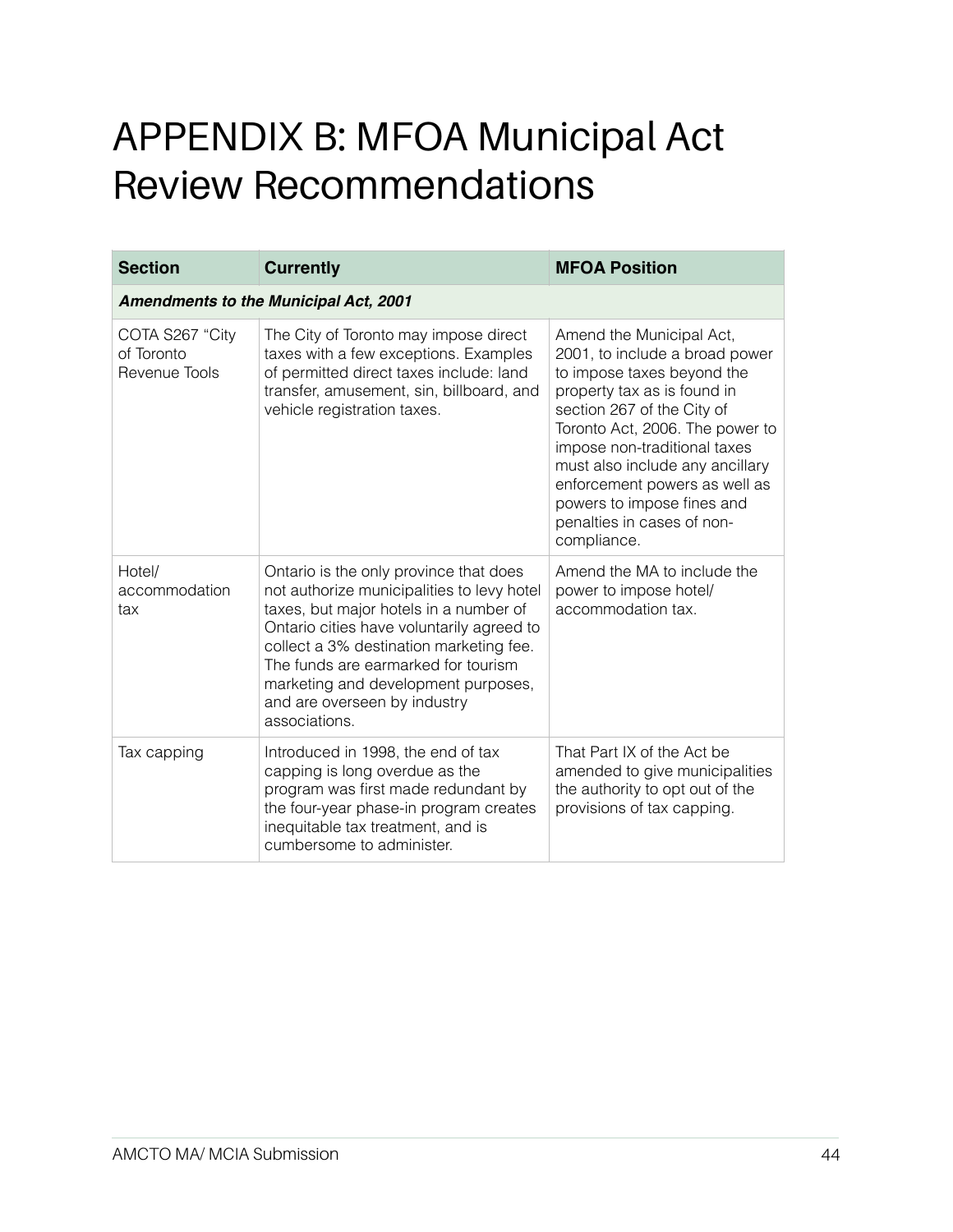## APPENDIX B: MFOA Municipal Act Review Recommendations

| <b>Section</b>                                 | <b>Currently</b>                                                                                                                                                                                                                                                                                                                                      | <b>MFOA Position</b>                                                                                                                                                                                                                                                                                                                                                    |  |
|------------------------------------------------|-------------------------------------------------------------------------------------------------------------------------------------------------------------------------------------------------------------------------------------------------------------------------------------------------------------------------------------------------------|-------------------------------------------------------------------------------------------------------------------------------------------------------------------------------------------------------------------------------------------------------------------------------------------------------------------------------------------------------------------------|--|
| <b>Amendments to the Municipal Act, 2001</b>   |                                                                                                                                                                                                                                                                                                                                                       |                                                                                                                                                                                                                                                                                                                                                                         |  |
| COTA S267 "City<br>of Toronto<br>Revenue Tools | The City of Toronto may impose direct<br>taxes with a few exceptions. Examples<br>of permitted direct taxes include: land<br>transfer, amusement, sin, billboard, and<br>vehicle registration taxes.                                                                                                                                                  | Amend the Municipal Act,<br>2001, to include a broad power<br>to impose taxes beyond the<br>property tax as is found in<br>section 267 of the City of<br>Toronto Act, 2006. The power to<br>impose non-traditional taxes<br>must also include any ancillary<br>enforcement powers as well as<br>powers to impose fines and<br>penalties in cases of non-<br>compliance. |  |
| Hotel/<br>accommodation<br>tax                 | Ontario is the only province that does<br>not authorize municipalities to levy hotel<br>taxes, but major hotels in a number of<br>Ontario cities have voluntarily agreed to<br>collect a 3% destination marketing fee.<br>The funds are earmarked for tourism<br>marketing and development purposes,<br>and are overseen by industry<br>associations. | Amend the MA to include the<br>power to impose hotel/<br>accommodation tax.                                                                                                                                                                                                                                                                                             |  |
| Tax capping                                    | Introduced in 1998, the end of tax<br>capping is long overdue as the<br>program was first made redundant by<br>the four-year phase-in program creates<br>inequitable tax treatment, and is<br>cumbersome to administer.                                                                                                                               | That Part IX of the Act be<br>amended to give municipalities<br>the authority to opt out of the<br>provisions of tax capping.                                                                                                                                                                                                                                           |  |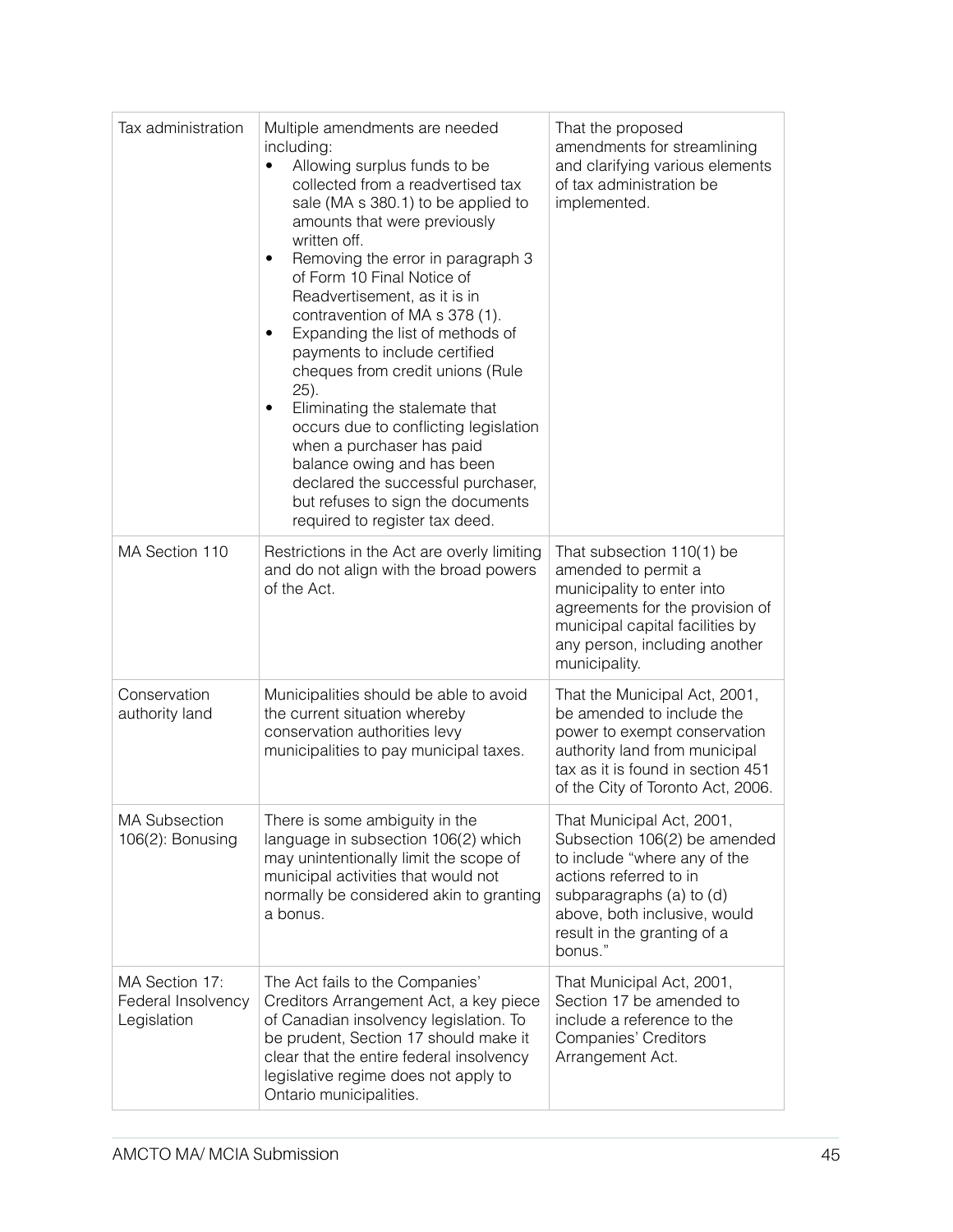| Tax administration                                  | Multiple amendments are needed<br>including:<br>Allowing surplus funds to be<br>$\bullet$<br>collected from a readvertised tax<br>sale (MA s 380.1) to be applied to<br>amounts that were previously<br>written off.<br>Removing the error in paragraph 3<br>$\bullet$<br>of Form 10 Final Notice of<br>Readvertisement, as it is in<br>contravention of MA s 378 (1).<br>Expanding the list of methods of<br>٠<br>payments to include certified<br>cheques from credit unions (Rule<br>25).<br>Eliminating the stalemate that<br>٠<br>occurs due to conflicting legislation<br>when a purchaser has paid<br>balance owing and has been<br>declared the successful purchaser,<br>but refuses to sign the documents<br>required to register tax deed. | That the proposed<br>amendments for streamlining<br>and clarifying various elements<br>of tax administration be<br>implemented.                                                                                           |
|-----------------------------------------------------|------------------------------------------------------------------------------------------------------------------------------------------------------------------------------------------------------------------------------------------------------------------------------------------------------------------------------------------------------------------------------------------------------------------------------------------------------------------------------------------------------------------------------------------------------------------------------------------------------------------------------------------------------------------------------------------------------------------------------------------------------|---------------------------------------------------------------------------------------------------------------------------------------------------------------------------------------------------------------------------|
| MA Section 110                                      | Restrictions in the Act are overly limiting<br>and do not align with the broad powers<br>of the Act.                                                                                                                                                                                                                                                                                                                                                                                                                                                                                                                                                                                                                                                 | That subsection 110(1) be<br>amended to permit a<br>municipality to enter into<br>agreements for the provision of<br>municipal capital facilities by<br>any person, including another<br>municipality.                    |
| Conservation<br>authority land                      | Municipalities should be able to avoid<br>the current situation whereby<br>conservation authorities levy<br>municipalities to pay municipal taxes.                                                                                                                                                                                                                                                                                                                                                                                                                                                                                                                                                                                                   | That the Municipal Act, 2001,<br>be amended to include the<br>power to exempt conservation<br>authority land from municipal<br>tax as it is found in section 451<br>of the City of Toronto Act, 2006.                     |
| <b>MA Subsection</b><br>106(2): Bonusing            | There is some ambiguity in the<br>language in subsection 106(2) which<br>may unintentionally limit the scope of<br>municipal activities that would not<br>normally be considered akin to granting<br>a bonus.                                                                                                                                                                                                                                                                                                                                                                                                                                                                                                                                        | That Municipal Act, 2001,<br>Subsection 106(2) be amended<br>to include "where any of the<br>actions referred to in<br>subparagraphs (a) to (d)<br>above, both inclusive, would<br>result in the granting of a<br>bonus." |
| MA Section 17:<br>Federal Insolvency<br>Legislation | The Act fails to the Companies'<br>Creditors Arrangement Act, a key piece<br>of Canadian insolvency legislation. To<br>be prudent, Section 17 should make it<br>clear that the entire federal insolvency<br>legislative regime does not apply to<br>Ontario municipalities.                                                                                                                                                                                                                                                                                                                                                                                                                                                                          | That Municipal Act, 2001,<br>Section 17 be amended to<br>include a reference to the<br><b>Companies' Creditors</b><br>Arrangement Act.                                                                                    |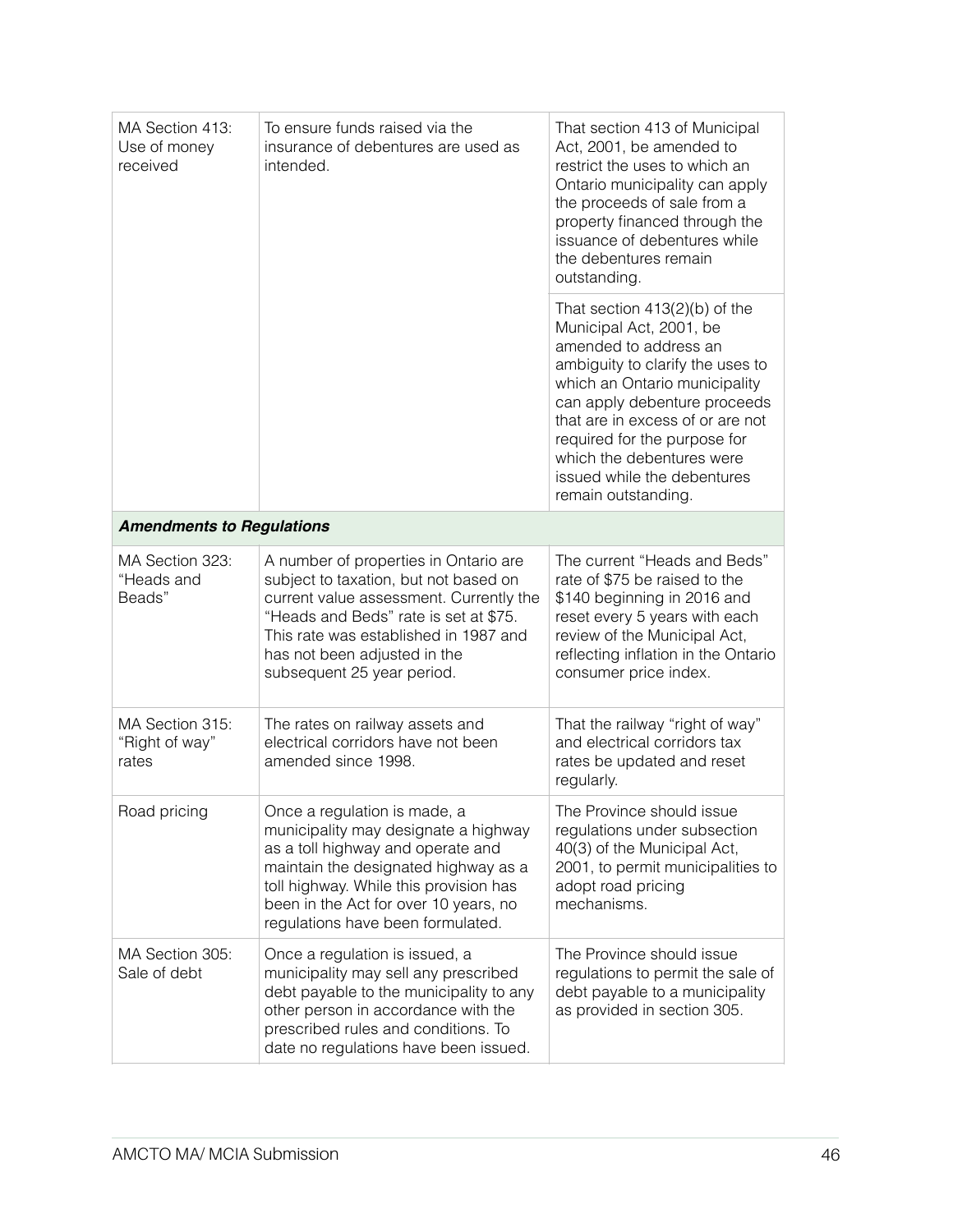| MA Section 413:<br>To ensure funds raised via the<br>Use of money<br>insurance of debentures are used as<br>received<br>intended. |                                                                                                                                                                                                                                                                           | That section 413 of Municipal<br>Act, 2001, be amended to<br>restrict the uses to which an<br>Ontario municipality can apply<br>the proceeds of sale from a<br>property financed through the<br>issuance of debentures while<br>the debentures remain<br>outstanding.                                                                           |
|-----------------------------------------------------------------------------------------------------------------------------------|---------------------------------------------------------------------------------------------------------------------------------------------------------------------------------------------------------------------------------------------------------------------------|-------------------------------------------------------------------------------------------------------------------------------------------------------------------------------------------------------------------------------------------------------------------------------------------------------------------------------------------------|
|                                                                                                                                   |                                                                                                                                                                                                                                                                           | That section $413(2)(b)$ of the<br>Municipal Act, 2001, be<br>amended to address an<br>ambiguity to clarify the uses to<br>which an Ontario municipality<br>can apply debenture proceeds<br>that are in excess of or are not<br>required for the purpose for<br>which the debentures were<br>issued while the debentures<br>remain outstanding. |
| <b>Amendments to Regulations</b>                                                                                                  |                                                                                                                                                                                                                                                                           |                                                                                                                                                                                                                                                                                                                                                 |
| MA Section 323:<br>"Heads and<br>Beads"                                                                                           | A number of properties in Ontario are<br>subject to taxation, but not based on<br>current value assessment. Currently the<br>"Heads and Beds" rate is set at \$75.<br>This rate was established in 1987 and<br>has not been adjusted in the<br>subsequent 25 year period. | The current "Heads and Beds"<br>rate of \$75 be raised to the<br>\$140 beginning in 2016 and<br>reset every 5 years with each<br>review of the Municipal Act,<br>reflecting inflation in the Ontario<br>consumer price index.                                                                                                                   |
| MA Section 315:<br>"Right of way"<br>rates                                                                                        | The rates on railway assets and<br>electrical corridors have not been<br>amended since 1998.                                                                                                                                                                              | That the railway "right of way"<br>and electrical corridors tax<br>rates be updated and reset<br>regularly.                                                                                                                                                                                                                                     |
| Road pricing                                                                                                                      | Once a regulation is made, a<br>municipality may designate a highway<br>as a toll highway and operate and<br>maintain the designated highway as a<br>toll highway. While this provision has<br>been in the Act for over 10 years, no<br>regulations have been formulated. | The Province should issue<br>regulations under subsection<br>40(3) of the Municipal Act,<br>2001, to permit municipalities to<br>adopt road pricing<br>mechanisms.                                                                                                                                                                              |
| MA Section 305:<br>Sale of debt                                                                                                   | Once a regulation is issued, a<br>municipality may sell any prescribed<br>debt payable to the municipality to any<br>other person in accordance with the<br>prescribed rules and conditions. To<br>date no regulations have been issued.                                  | The Province should issue<br>regulations to permit the sale of<br>debt payable to a municipality<br>as provided in section 305.                                                                                                                                                                                                                 |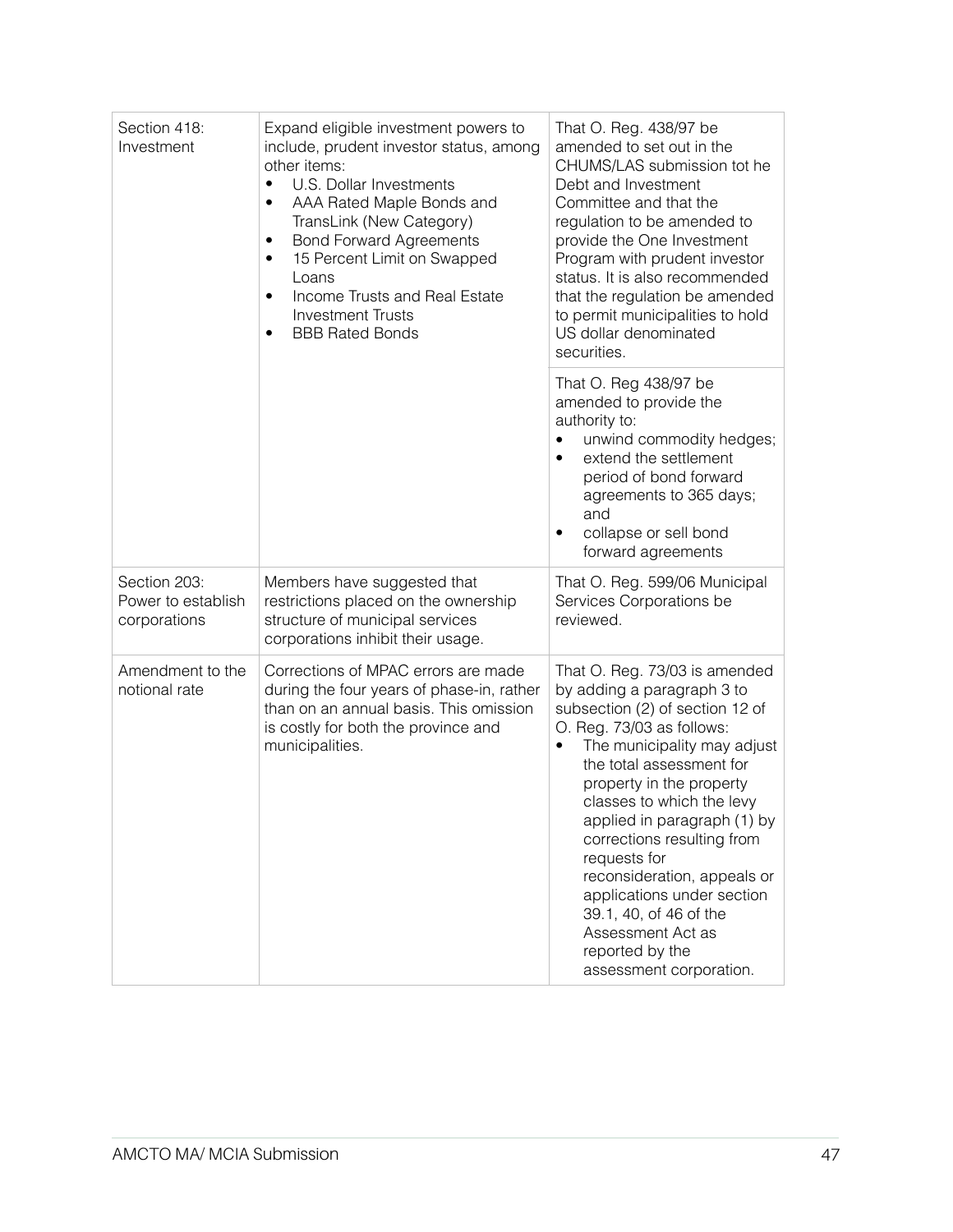| Section 418:<br>Investment<br>$\bullet$<br>$\bullet$<br>٠<br>٠<br>٠<br>$\bullet$ | Expand eligible investment powers to<br>include, prudent investor status, among<br>other items:<br>U.S. Dollar Investments<br>AAA Rated Maple Bonds and<br>TransLink (New Category)<br><b>Bond Forward Agreements</b><br>15 Percent Limit on Swapped<br>Loans<br>Income Trusts and Real Estate<br><b>Investment Trusts</b><br><b>BBB Rated Bonds</b> | That O. Reg. 438/97 be<br>amended to set out in the<br>CHUMS/LAS submission tot he<br>Debt and Investment<br>Committee and that the<br>regulation to be amended to<br>provide the One Investment<br>Program with prudent investor<br>status. It is also recommended<br>that the regulation be amended<br>to permit municipalities to hold<br>US dollar denominated<br>securities.                                                                                                                   |
|----------------------------------------------------------------------------------|------------------------------------------------------------------------------------------------------------------------------------------------------------------------------------------------------------------------------------------------------------------------------------------------------------------------------------------------------|-----------------------------------------------------------------------------------------------------------------------------------------------------------------------------------------------------------------------------------------------------------------------------------------------------------------------------------------------------------------------------------------------------------------------------------------------------------------------------------------------------|
|                                                                                  |                                                                                                                                                                                                                                                                                                                                                      | That O. Reg 438/97 be<br>amended to provide the<br>authority to:<br>unwind commodity hedges;<br>٠<br>extend the settlement<br>period of bond forward<br>agreements to 365 days;<br>and<br>collapse or sell bond<br>٠<br>forward agreements                                                                                                                                                                                                                                                          |
| Section 203:<br>Power to establish<br>corporations                               | Members have suggested that<br>restrictions placed on the ownership<br>structure of municipal services<br>corporations inhibit their usage.                                                                                                                                                                                                          | That O. Reg. 599/06 Municipal<br>Services Corporations be<br>reviewed.                                                                                                                                                                                                                                                                                                                                                                                                                              |
| Amendment to the<br>notional rate                                                | Corrections of MPAC errors are made<br>during the four years of phase-in, rather<br>than on an annual basis. This omission<br>is costly for both the province and<br>municipalities.                                                                                                                                                                 | That O. Reg. 73/03 is amended<br>by adding a paragraph 3 to<br>subsection (2) of section 12 of<br>O. Reg. 73/03 as follows:<br>The municipality may adjust<br>$\bullet$<br>the total assessment for<br>property in the property<br>classes to which the levy<br>applied in paragraph (1) by<br>corrections resulting from<br>requests for<br>reconsideration, appeals or<br>applications under section<br>39.1, 40, of 46 of the<br>Assessment Act as<br>reported by the<br>assessment corporation. |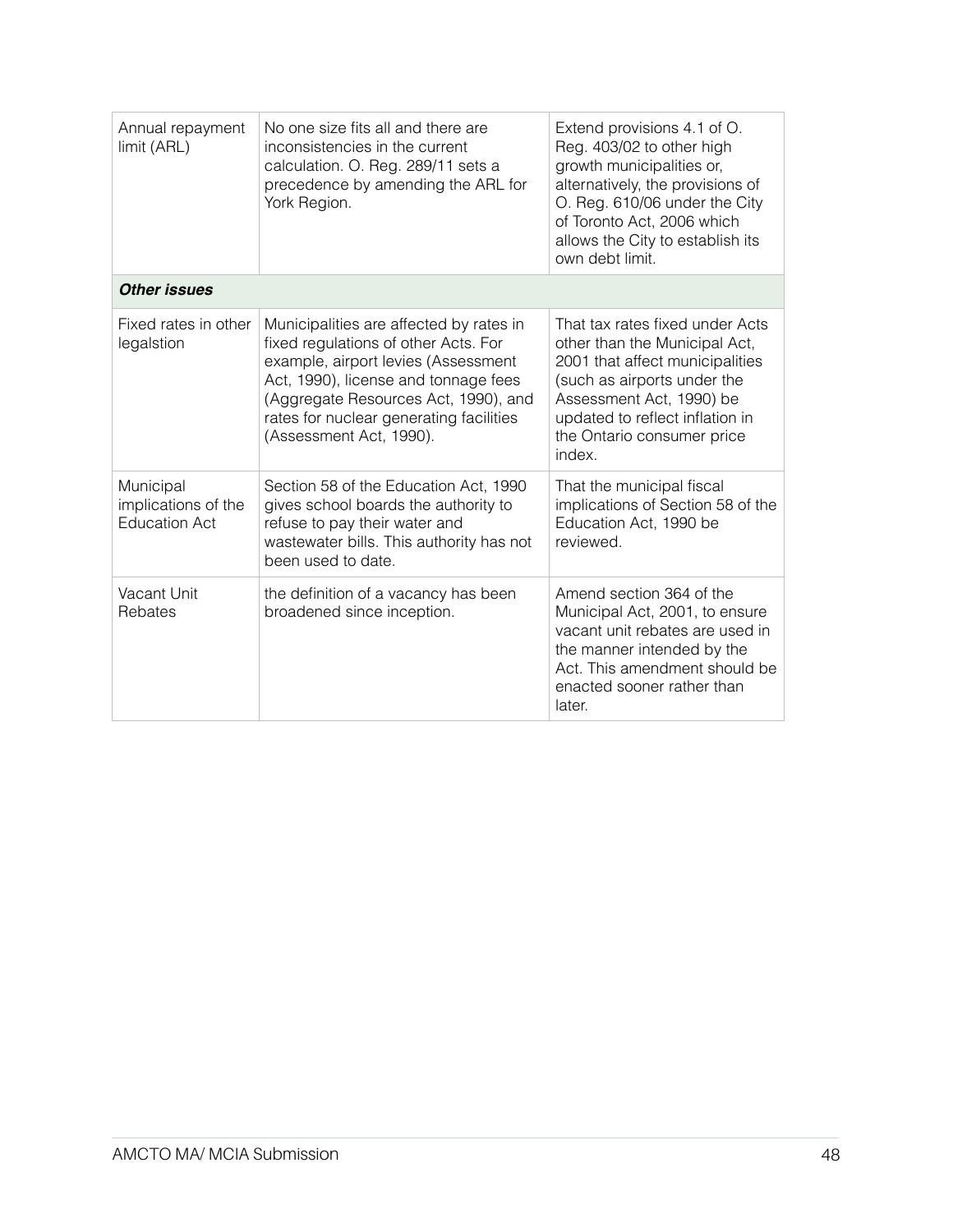| Annual repayment<br>limit (ARL)                          | No one size fits all and there are<br>inconsistencies in the current<br>calculation. O. Reg. 289/11 sets a<br>precedence by amending the ARL for<br>York Region.                                                                                                             | Extend provisions 4.1 of O.<br>Reg. 403/02 to other high<br>growth municipalities or,<br>alternatively, the provisions of<br>O. Reg. 610/06 under the City<br>of Toronto Act, 2006 which<br>allows the City to establish its<br>own debt limit. |
|----------------------------------------------------------|------------------------------------------------------------------------------------------------------------------------------------------------------------------------------------------------------------------------------------------------------------------------------|-------------------------------------------------------------------------------------------------------------------------------------------------------------------------------------------------------------------------------------------------|
| <b>Other issues</b>                                      |                                                                                                                                                                                                                                                                              |                                                                                                                                                                                                                                                 |
| Fixed rates in other<br>legalstion                       | Municipalities are affected by rates in<br>fixed regulations of other Acts. For<br>example, airport levies (Assessment<br>Act, 1990), license and tonnage fees<br>(Aggregate Resources Act, 1990), and<br>rates for nuclear generating facilities<br>(Assessment Act, 1990). | That tax rates fixed under Acts<br>other than the Municipal Act,<br>2001 that affect municipalities<br>(such as airports under the<br>Assessment Act, 1990) be<br>updated to reflect inflation in<br>the Ontario consumer price<br>index.       |
| Municipal<br>implications of the<br><b>Education Act</b> | Section 58 of the Education Act, 1990<br>gives school boards the authority to<br>refuse to pay their water and<br>wastewater bills. This authority has not<br>been used to date.                                                                                             | That the municipal fiscal<br>implications of Section 58 of the<br>Education Act, 1990 be<br>reviewed.                                                                                                                                           |
| Vacant Unit<br>Rebates                                   | the definition of a vacancy has been<br>broadened since inception.                                                                                                                                                                                                           | Amend section 364 of the<br>Municipal Act, 2001, to ensure<br>vacant unit rebates are used in<br>the manner intended by the<br>Act. This amendment should be<br>enacted sooner rather than<br>later.                                            |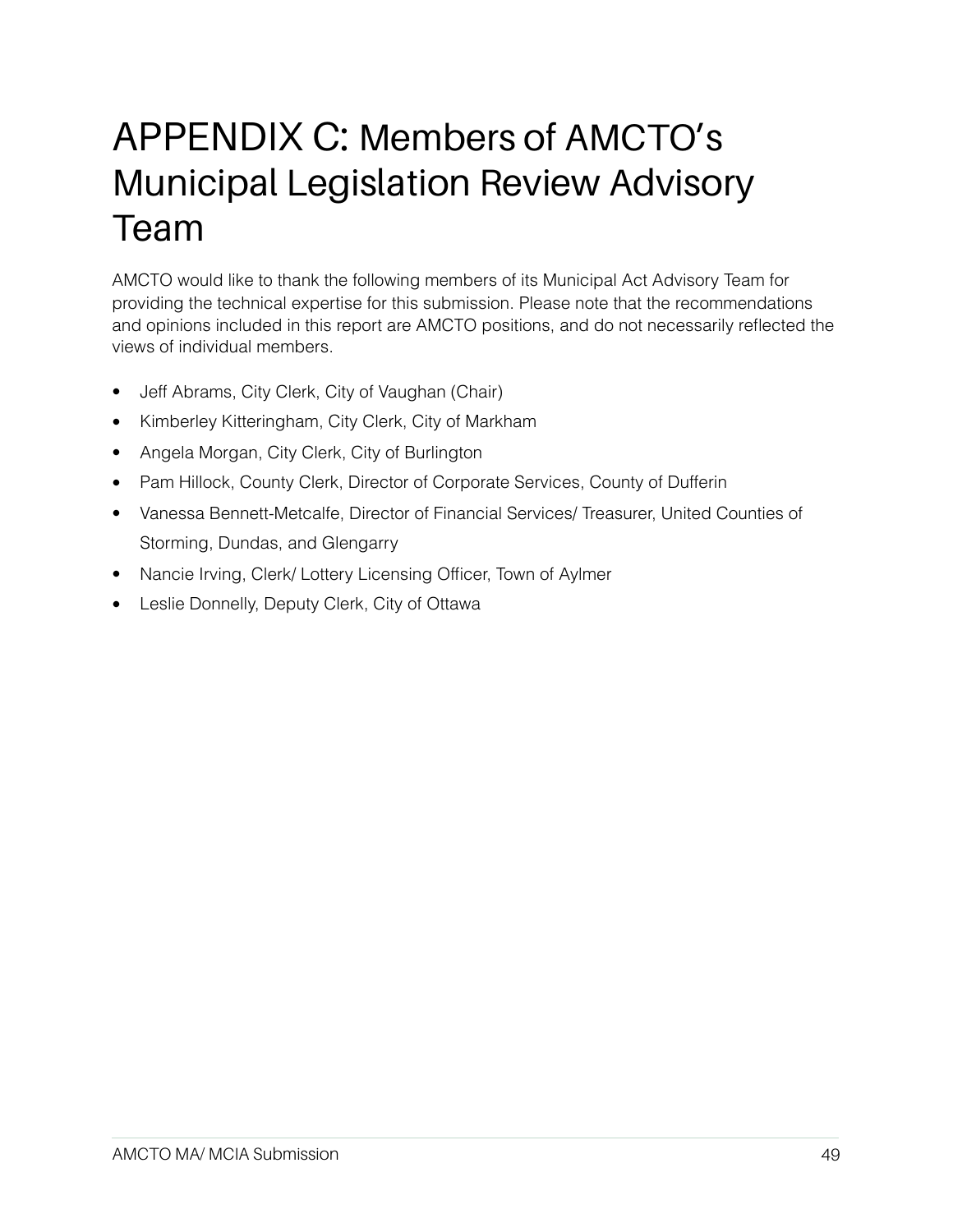### APPENDIX C: Members of AMCTO's Municipal Legislation Review Advisory Team

AMCTO would like to thank the following members of its Municipal Act Advisory Team for providing the technical expertise for this submission. Please note that the recommendations and opinions included in this report are AMCTO positions, and do not necessarily reflected the views of individual members.

- Jeff Abrams, City Clerk, City of Vaughan (Chair)
- Kimberley Kitteringham, City Clerk, City of Markham
- Angela Morgan, City Clerk, City of Burlington
- Pam Hillock, County Clerk, Director of Corporate Services, County of Dufferin
- Vanessa Bennett-Metcalfe, Director of Financial Services/ Treasurer, United Counties of Storming, Dundas, and Glengarry
- Nancie Irving, Clerk/ Lottery Licensing Officer, Town of Aylmer
- Leslie Donnelly, Deputy Clerk, City of Ottawa